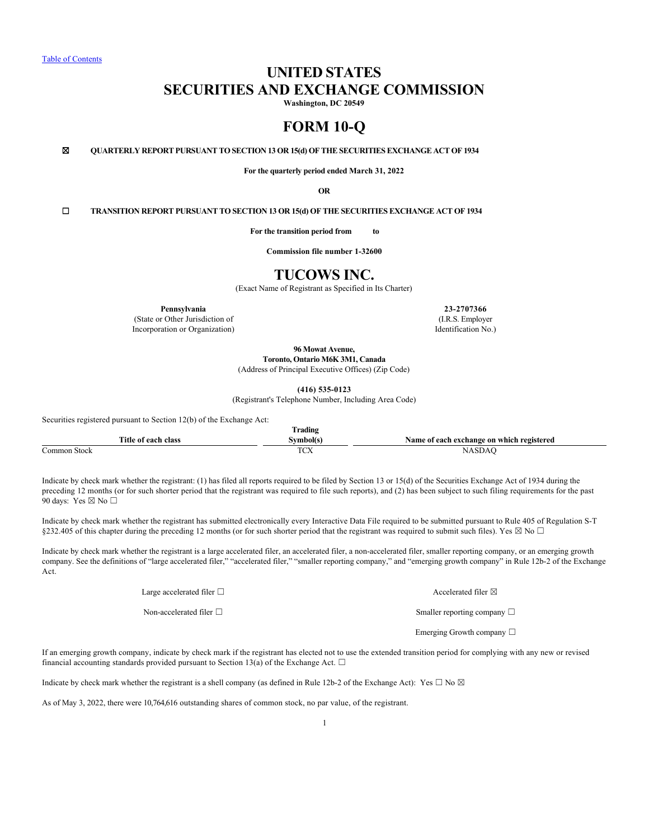[Table of Contents](#page-1-0)

# **UNITED STATES SECURITIES AND EXCHANGE COMMISSION**

**Washington, DC 20549**

# **FORM 10-Q**

☒ **QUARTERLY REPORT PURSUANT TO SECTION 13 OR 15(d) OF THE SECURITIES EXCHANGE ACT OF 1934**

**For the quarterly period ended March 31, 2022**

**OR**

☐ **TRANSITION REPORT PURSUANT TO SECTION 13 OR 15(d) OF THE SECURITIES EXCHANGE ACT OF 1934**

For the transition period from to

**Commission file number 1-32600**

# **TUCOWS INC.**

(Exact Name of Registrant as Specified in Its Charter)

(State or Other Jurisdiction of (I.R.S. Employer Incorporation or Organization) Identification No.)

**Pennsylvania 23-2707366**

**96 Mowat Avenue,**

**Toronto, Ontario M6K 3M1, Canada** (Address of Principal Executive Offices) (Zip Code)

**(416) 535-0123**

(Registrant's Telephone Number, Including Area Code)

Securities registered pursuant to Section 12(b) of the Exchange Act:

|                           | rading              |                                                    |
|---------------------------|---------------------|----------------------------------------------------|
| Title .<br>class<br>.en h |                     | which registered<br>Name of<br>exchange on<br>.aan |
| ∽<br>.`ommon<br>Stock     | <b>TOV</b><br>1 C/L |                                                    |

Indicate by check mark whether the registrant: (1) has filed all reports required to be filed by Section 13 or 15(d) of the Securities Exchange Act of 1934 during the preceding 12 months (or for such shorter period that the registrant was required to file such reports), and (2) has been subject to such filing requirements for the past 90 days: Yes ⊠ No □

Indicate by check mark whether the registrant has submitted electronically every Interactive Data File required to be submitted pursuant to Rule 405 of Regulation S-T §232.405 of this chapter during the preceding 12 months (or for such shorter period that the registrant was required to submit such files). Yes  $\boxtimes$  No  $\Box$ 

Indicate by check mark whether the registrant is a large accelerated filer, an accelerated filer, a non-accelerated filer, smaller reporting company, or an emerging growth company. See the definitions of "large accelerated filer," "accelerated filer," "smaller reporting company," and "emerging growth company" in Rule 12b-2 of the Exchange Act.

Large accelerated filer □ accelerated filer □ accelerated filer ⊠

Non-accelerated filer □ state of the state of the state of the Smaller reporting company □

Emerging Growth company ☐

If an emerging growth company, indicate by check mark if the registrant has elected not to use the extended transition period for complying with any new or revised financial accounting standards provided pursuant to Section 13(a) of the Exchange Act.  $\Box$ 

Indicate by check mark whether the registrant is a shell company (as defined in Rule 12b-2 of the Exchange Act): Yes  $\Box$  No  $\boxtimes$ 

As of May 3, 2022, there were 10,764,616 outstanding shares of common stock, no par value, of the registrant.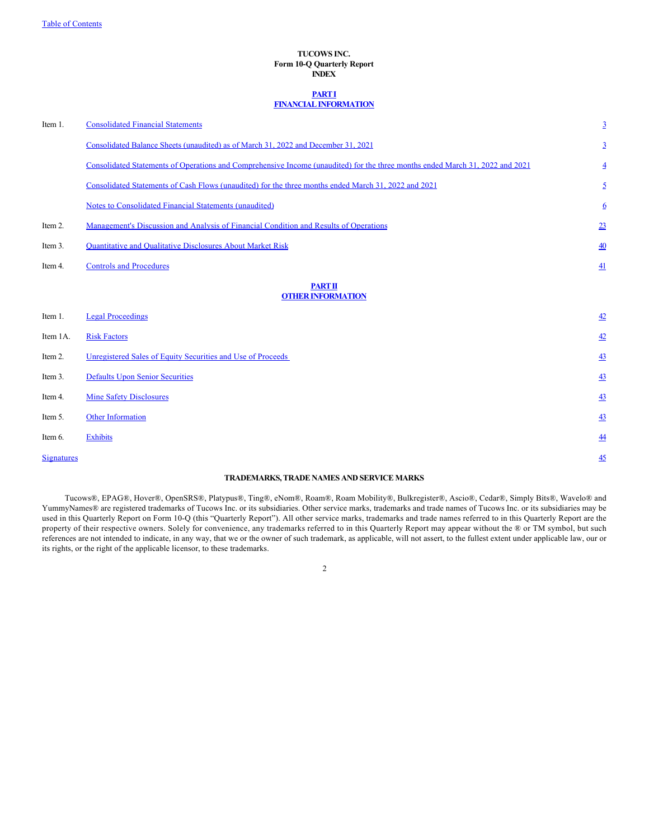# <span id="page-1-0"></span>**TUCOWS INC. Form 10-Q Quarterly Report INDEX**

# **[PART I](#page-2-0) [FINANCIAL INFORMATION](#page-2-0)**

| Item 1.    | <b>Consolidated Financial Statements</b>                                                                                      | $\overline{3}$  |
|------------|-------------------------------------------------------------------------------------------------------------------------------|-----------------|
|            | Consolidated Balance Sheets (unaudited) as of March 31, 2022 and December 31, 2021                                            | $\overline{3}$  |
|            | Consolidated Statements of Operations and Comprehensive Income (unaudited) for the three months ended March 31, 2022 and 2021 | $\overline{4}$  |
|            | Consolidated Statements of Cash Flows (unaudited) for the three months ended March 31, 2022 and 2021                          | $\overline{2}$  |
|            | Notes to Consolidated Financial Statements (unaudited)                                                                        | $\overline{6}$  |
| Item 2.    | Management's Discussion and Analysis of Financial Condition and Results of Operations                                         | 23              |
| Item 3.    | <b>Quantitative and Qualitative Disclosures About Market Risk</b>                                                             | $\overline{40}$ |
| Item 4.    | <b>Controls and Procedures</b>                                                                                                | 41              |
|            | <b>PART II</b><br><b>OTHER INFORMATION</b>                                                                                    |                 |
|            |                                                                                                                               |                 |
| Item 1.    | <b>Legal Proceedings</b>                                                                                                      | 42              |
| Item 1A.   | <b>Risk Factors</b>                                                                                                           | 42              |
| Item 2.    | Unregistered Sales of Equity Securities and Use of Proceeds                                                                   | 43              |
| Item 3.    | <b>Defaults Upon Senior Securities</b>                                                                                        | 43              |
| Item 4.    | <b>Mine Safety Disclosures</b>                                                                                                | $\overline{43}$ |
| Item 5.    | <b>Other Information</b>                                                                                                      | 43              |
| Item 6.    | <b>Exhibits</b>                                                                                                               | 44              |
| Signatures |                                                                                                                               | 45              |

# **TRADEMARKS, TRADE NAMES AND SERVICE MARKS**

Tucows®, EPAG®, Hover®, OpenSRS®, Platypus®, Ting®, eNom®, Roam®, Roam Mobility®, Bulkregister®, Ascio®, Cedar®, Simply Bits®, Wavelo® and YummyNames® are registered trademarks of Tucows Inc. or its subsidiaries. Other service marks, trademarks and trade names of Tucows Inc. or its subsidiaries may be used in this Quarterly Report on Form 10-Q (this "Quarterly Report"). All other service marks, trademarks and trade names referred to in this Quarterly Report are the property of their respective owners. Solely for convenience, any trademarks referred to in this Quarterly Report may appear without the ® or TM symbol, but such references are not intended to indicate, in any way, that we or the owner of such trademark, as applicable, will not assert, to the fullest extent under applicable law, our or its rights, or the right of the applicable licensor, to these trademarks.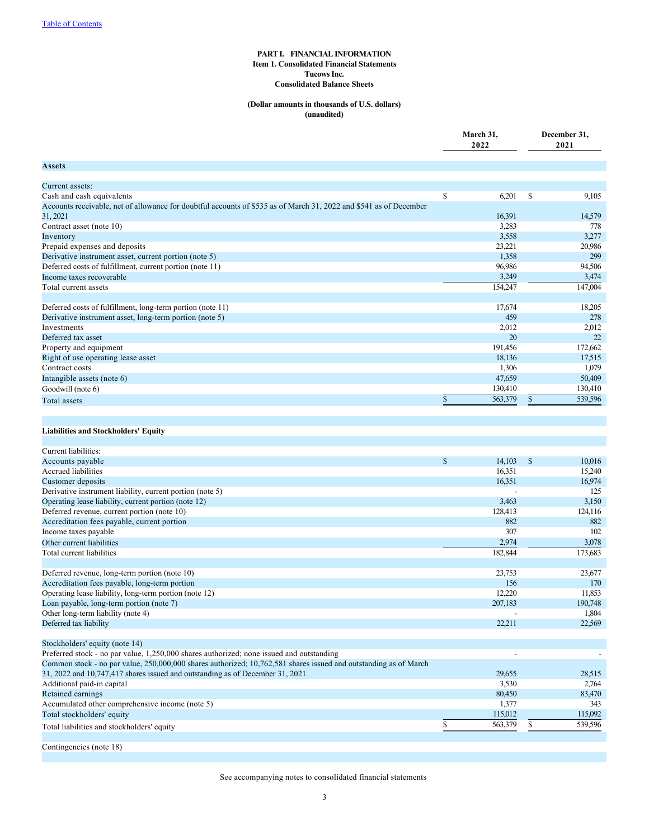# <span id="page-2-0"></span>**PART I. FINANCIAL INFORMATION Item 1. Consolidated Financial Statements Tucows Inc. Consolidated Balance Sheets**

# **(Dollar amounts in thousands of U.S. dollars) (unaudited)**

|                                                                                                                                                                                                   |    | March 31,<br>2022 | December 31,<br>2021 |         |  |
|---------------------------------------------------------------------------------------------------------------------------------------------------------------------------------------------------|----|-------------------|----------------------|---------|--|
| <b>Assets</b>                                                                                                                                                                                     |    |                   |                      |         |  |
| Current assets:                                                                                                                                                                                   |    |                   |                      |         |  |
| Cash and cash equivalents                                                                                                                                                                         | \$ | 6,201             | \$                   | 9,105   |  |
| Accounts receivable, net of allowance for doubtful accounts of \$535 as of March 31, 2022 and \$541 as of December<br>31, 2021                                                                    |    | 16,391            |                      | 14,579  |  |
| Contract asset (note 10)                                                                                                                                                                          |    | 3,283             |                      | 778     |  |
| Inventory                                                                                                                                                                                         |    | 3,558             |                      | 3,277   |  |
| Prepaid expenses and deposits                                                                                                                                                                     |    | 23,221            |                      | 20,986  |  |
| Derivative instrument asset, current portion (note 5)                                                                                                                                             |    | 1,358             |                      | 299     |  |
| Deferred costs of fulfillment, current portion (note 11)                                                                                                                                          |    | 96,986            |                      | 94,506  |  |
| Income taxes recoverable                                                                                                                                                                          |    | 3,249             |                      | 3,474   |  |
| Total current assets                                                                                                                                                                              |    | 154,247           |                      | 147,004 |  |
|                                                                                                                                                                                                   |    |                   |                      |         |  |
| Deferred costs of fulfillment, long-term portion (note 11)                                                                                                                                        |    | 17,674            |                      | 18,205  |  |
| Derivative instrument asset, long-term portion (note 5)                                                                                                                                           |    | 459               |                      | 278     |  |
| Investments                                                                                                                                                                                       |    | 2,012             |                      | 2,012   |  |
| Deferred tax asset                                                                                                                                                                                |    | 20                |                      | 22      |  |
| Property and equipment                                                                                                                                                                            |    | 191.456           |                      | 172,662 |  |
| Right of use operating lease asset                                                                                                                                                                |    | 18,136            |                      | 17,515  |  |
| Contract costs                                                                                                                                                                                    |    | 1,306             |                      | 1,079   |  |
| Intangible assets (note 6)                                                                                                                                                                        |    | 47,659            |                      | 50,409  |  |
| Goodwill (note 6)                                                                                                                                                                                 |    | 130,410           |                      | 130,410 |  |
| Total assets                                                                                                                                                                                      | \$ | 563,379           | \$                   | 539,596 |  |
|                                                                                                                                                                                                   |    |                   |                      |         |  |
| <b>Liabilities and Stockholders' Equity</b>                                                                                                                                                       |    |                   |                      |         |  |
|                                                                                                                                                                                                   |    |                   |                      |         |  |
| Current liabilities:                                                                                                                                                                              |    |                   |                      |         |  |
| Accounts payable                                                                                                                                                                                  | \$ | 14,103            | \$                   | 10,016  |  |
| Accrued liabilities                                                                                                                                                                               |    | 16,351            |                      | 15,240  |  |
| Customer deposits                                                                                                                                                                                 |    | 16,351            |                      | 16,974  |  |
| Derivative instrument liability, current portion (note 5)                                                                                                                                         |    |                   |                      | 125     |  |
| Operating lease liability, current portion (note 12)                                                                                                                                              |    | 3,463             |                      | 3,150   |  |
| Deferred revenue, current portion (note 10)                                                                                                                                                       |    | 128,413           |                      | 124,116 |  |
| Accreditation fees payable, current portion                                                                                                                                                       |    | 882               |                      | 882     |  |
| Income taxes payable                                                                                                                                                                              |    | 307               |                      | 102     |  |
| Other current liabilities                                                                                                                                                                         |    | 2,974             |                      | 3,078   |  |
| Total current liabilities                                                                                                                                                                         |    | 182,844           |                      | 173,683 |  |
| Deferred revenue, long-term portion (note 10)                                                                                                                                                     |    | 23,753            |                      | 23,677  |  |
| Accreditation fees payable, long-term portion                                                                                                                                                     |    | 156               |                      | 170     |  |
| Operating lease liability, long-term portion (note 12)                                                                                                                                            |    | 12,220            |                      | 11,853  |  |
| Loan payable, long-term portion (note 7)                                                                                                                                                          |    | 207,183           |                      | 190,748 |  |
| Other long-term liability (note 4)                                                                                                                                                                |    |                   |                      | 1,804   |  |
| Deferred tax liability                                                                                                                                                                            |    | 22,211            |                      | 22,569  |  |
|                                                                                                                                                                                                   |    |                   |                      |         |  |
| Stockholders' equity (note 14)                                                                                                                                                                    |    |                   |                      |         |  |
| Preferred stock - no par value, 1,250,000 shares authorized; none issued and outstanding                                                                                                          |    |                   |                      |         |  |
| Common stock - no par value, 250,000,000 shares authorized; 10,762,581 shares issued and outstanding as of March<br>31, 2022 and 10,747,417 shares issued and outstanding as of December 31, 2021 |    | 29,655            |                      | 28,515  |  |
| Additional paid-in capital                                                                                                                                                                        |    | 3,530             |                      | 2,764   |  |
|                                                                                                                                                                                                   |    | 80,450            |                      | 83,470  |  |
| Retained earnings<br>Accumulated other comprehensive income (note 5)                                                                                                                              |    | 1,377             |                      | 343     |  |
|                                                                                                                                                                                                   |    |                   |                      | 115,092 |  |
| Total stockholders' equity                                                                                                                                                                        |    | 115,012           |                      | 539,596 |  |
| Total liabilities and stockholders' equity                                                                                                                                                        | \$ | 563,379           | \$                   |         |  |
| Contingencies (note 18)                                                                                                                                                                           |    |                   |                      |         |  |
|                                                                                                                                                                                                   |    |                   |                      |         |  |

See accompanying notes to consolidated financial statements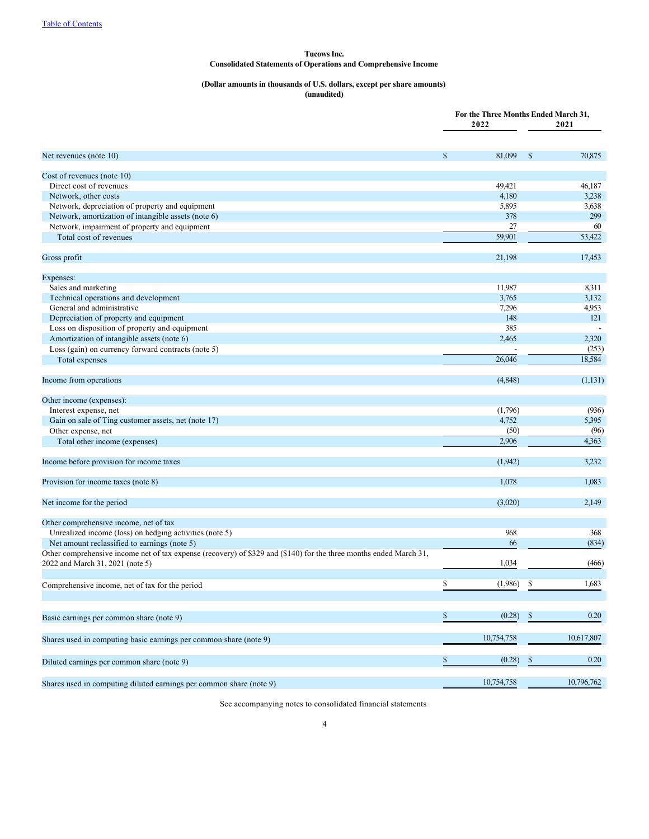# <span id="page-3-0"></span>**Tucows Inc.**

# **Consolidated Statements of Operations and Comprehensive Income**

# **(Dollar amounts in thousands of U.S. dollars, except per share amounts) (unaudited)**

|                                                     |              | For the Three Months Ended March 31,<br>2022 | 2021     |  |  |
|-----------------------------------------------------|--------------|----------------------------------------------|----------|--|--|
|                                                     |              |                                              |          |  |  |
| Net revenues (note 10)                              | $\mathbb{S}$ | 81,099<br>$\mathbf{\hat{s}}$                 | 70,875   |  |  |
|                                                     |              |                                              |          |  |  |
| Cost of revenues (note 10)                          |              |                                              |          |  |  |
| Direct cost of revenues                             |              | 49,421                                       | 46,187   |  |  |
| Network, other costs                                |              | 4,180                                        | 3,238    |  |  |
| Network, depreciation of property and equipment     |              | 5,895                                        | 3,638    |  |  |
| Network, amortization of intangible assets (note 6) |              | 378                                          | 299      |  |  |
| Network, impairment of property and equipment       |              | 27                                           | 60       |  |  |
| Total cost of revenues                              |              | 59,901                                       | 53,422   |  |  |
| Gross profit                                        |              | 21,198                                       | 17,453   |  |  |
| Expenses:                                           |              |                                              |          |  |  |
| Sales and marketing                                 |              | 11,987                                       | 8,311    |  |  |
| Technical operations and development                |              | 3.765                                        | 3,132    |  |  |
| General and administrative                          |              | 7.296                                        | 4,953    |  |  |
| Depreciation of property and equipment              |              | 148                                          | 121      |  |  |
| Loss on disposition of property and equipment       |              | 385                                          |          |  |  |
| Amortization of intangible assets (note 6)          |              | 2,465                                        | 2,320    |  |  |
| Loss (gain) on currency forward contracts (note 5)  |              |                                              | (253)    |  |  |
| Total expenses                                      |              | 26,046                                       | 18,584   |  |  |
| Income from operations                              |              | (4,848)                                      | (1, 131) |  |  |
| Other income (expenses):                            |              |                                              |          |  |  |
| Interest expense, net                               |              | (1,796)                                      | (936)    |  |  |
| Gain on sale of Ting customer assets, net (note 17) |              | 4,752                                        | 5,395    |  |  |
| Other expense, net                                  |              | (50)                                         | (96)     |  |  |
| Total other income (expenses)                       |              | 2,906                                        | 4,363    |  |  |

Unrealized income (loss) on hedging activities (note 5) 368 368 Net amount reclassified to earnings (note 5) 66 (834) Other comprehensive income net of tax expense (recovery) of \$329 and (\$140) for the three months ended March 31, 2022 and March 31, 2021 (note 5) 1,034 (466)

Other comprehensive income, net of tax

Comprehensive income, net of tax for the period  $\frac{\$}{\$}$  (1,986)  $\frac{\$}{\$}$  1,683 Basic earnings per common share (note 9)  $\frac{\$}{\$}$  (0.28)  $\frac{\$}{\$}$  (0.28)  $\frac{\$}{\$}$  (0.28)  $\frac{\$}{\$}$  (0.28) Shares used in computing basic earnings per common share (note 9) 10,754,758 10,617,807 Diluted earnings per common share (note 9)  $\frac{\$}{0.28}$   $\frac{\$}{0.28}$   $\frac{\$}{0.20}$ 

Income before provision for income taxes (1,942) 3,232 Provision for income taxes (note 8) 1,078 1,083 Net income for the period (3,020) 2,149

Shares used in computing diluted earnings per common share (note 9) 10,754,758 10,754,758 10,796,762

See accompanying notes to consolidated financial statements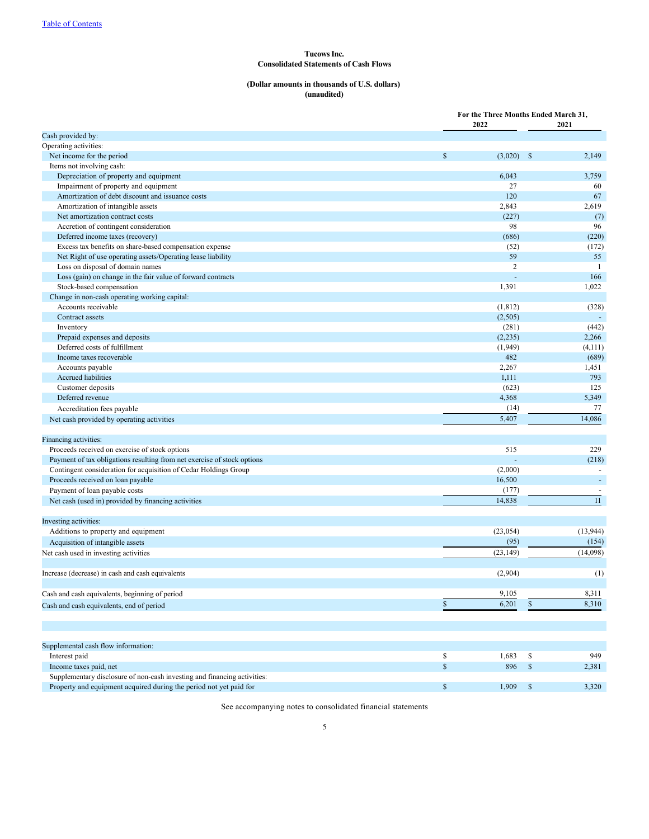# <span id="page-4-0"></span>**Tucows Inc. Consolidated Statements of Cash Flows**

### **(Dollar amounts in thousands of U.S. dollars) (unaudited)**

|                                                                          |              | For the Three Months Ended March 31,<br>2022<br>2021 |              |           |  |  |
|--------------------------------------------------------------------------|--------------|------------------------------------------------------|--------------|-----------|--|--|
| Cash provided by:                                                        |              |                                                      |              |           |  |  |
| Operating activities:                                                    |              |                                                      |              |           |  |  |
| Net income for the period                                                | \$           | (3,020)                                              | -S           | 2,149     |  |  |
| Items not involving cash:                                                |              |                                                      |              |           |  |  |
| Depreciation of property and equipment                                   |              | 6,043                                                |              | 3,759     |  |  |
| Impairment of property and equipment                                     |              | 27                                                   |              | 60        |  |  |
| Amortization of debt discount and issuance costs                         |              | 120                                                  |              | 67        |  |  |
| Amortization of intangible assets                                        |              | 2,843                                                |              | 2,619     |  |  |
| Net amortization contract costs                                          |              | (227)                                                |              | (7)       |  |  |
| Accretion of contingent consideration                                    |              | 98                                                   |              | 96        |  |  |
| Deferred income taxes (recovery)                                         |              | (686)                                                |              | (220)     |  |  |
| Excess tax benefits on share-based compensation expense                  |              | (52)                                                 |              | (172)     |  |  |
| Net Right of use operating assets/Operating lease liability              |              | 59                                                   |              | 55        |  |  |
| Loss on disposal of domain names                                         |              | $\overline{2}$                                       |              | -1        |  |  |
| Loss (gain) on change in the fair value of forward contracts             |              |                                                      |              | 166       |  |  |
| Stock-based compensation                                                 |              | 1,391                                                |              | 1,022     |  |  |
| Change in non-cash operating working capital:                            |              |                                                      |              |           |  |  |
| Accounts receivable                                                      |              | (1,812)                                              |              | (328)     |  |  |
| Contract assets                                                          |              | (2,505)                                              |              |           |  |  |
| Inventory                                                                |              | (281)                                                |              | (442)     |  |  |
| Prepaid expenses and deposits                                            |              | (2, 235)                                             |              | 2,266     |  |  |
| Deferred costs of fulfillment                                            |              | (1,949)                                              |              | (4, 111)  |  |  |
| Income taxes recoverable                                                 |              | 482                                                  |              | (689)     |  |  |
| Accounts payable                                                         |              | 2,267                                                |              | 1,451     |  |  |
| <b>Accrued liabilities</b>                                               |              | 1,111                                                |              | 793       |  |  |
| Customer deposits                                                        |              | (623)                                                |              | 125       |  |  |
| Deferred revenue                                                         |              | 4,368                                                |              | 5,349     |  |  |
| Accreditation fees payable                                               |              | (14)                                                 |              | 77        |  |  |
| Net cash provided by operating activities                                |              | 5,407                                                |              | 14,086    |  |  |
| Financing activities:                                                    |              |                                                      |              |           |  |  |
| Proceeds received on exercise of stock options                           |              | 515                                                  |              | 229       |  |  |
| Payment of tax obligations resulting from net exercise of stock options  |              |                                                      |              | (218)     |  |  |
| Contingent consideration for acquisition of Cedar Holdings Group         |              | (2,000)                                              |              | $\sim$    |  |  |
| Proceeds received on loan payable                                        |              | 16,500                                               |              | $\sim$    |  |  |
| Payment of loan payable costs                                            |              | (177)                                                |              |           |  |  |
| Net cash (used in) provided by financing activities                      |              | 14,838                                               |              | 11        |  |  |
| Investing activities:                                                    |              |                                                      |              |           |  |  |
| Additions to property and equipment                                      |              | (23, 054)                                            |              | (13, 944) |  |  |
| Acquisition of intangible assets                                         |              | (95)                                                 |              | (154)     |  |  |
| Net cash used in investing activities                                    |              | (23, 149)                                            |              | (14,098)  |  |  |
| Increase (decrease) in cash and cash equivalents                         |              | (2,904)                                              |              | (1)       |  |  |
| Cash and cash equivalents, beginning of period                           |              | 9,105                                                |              | 8,311     |  |  |
| Cash and cash equivalents, end of period                                 | \$           | 6,201                                                | \$           | 8,310     |  |  |
|                                                                          |              |                                                      |              |           |  |  |
| Supplemental cash flow information:                                      |              |                                                      |              |           |  |  |
| Interest paid                                                            | \$           | 1,683                                                | \$           | 949       |  |  |
| Income taxes paid, net                                                   | \$           | 896                                                  | $\mathbb{S}$ | 2,381     |  |  |
| Supplementary disclosure of non-cash investing and financing activities: |              |                                                      |              |           |  |  |
| Property and equipment acquired during the period not yet paid for       | $\mathbb{S}$ | 1,909                                                | S            | 3,320     |  |  |

See accompanying notes to consolidated financial statements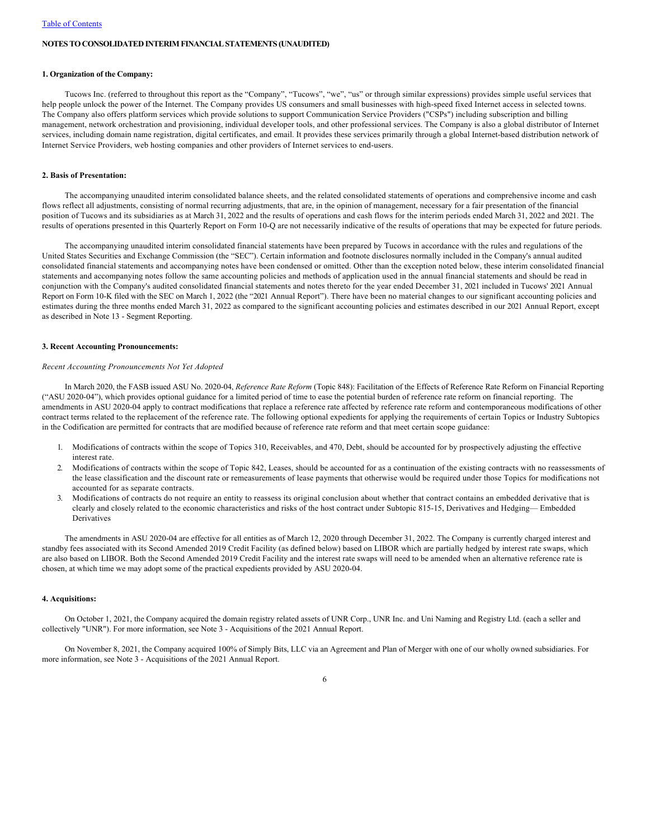#### <span id="page-5-0"></span>**NOTES TO CONSOLIDATED INTERIM FINANCIAL STATEMENTS (UNAUDITED)**

# **1. Organization of the Company:**

Tucows Inc. (referred to throughout this report as the "Company", "Tucows", "we", "us" or through similar expressions) provides simple useful services that help people unlock the power of the Internet. The Company provides US consumers and small businesses with high-speed fixed Internet access in selected towns. The Company also offers platform services which provide solutions to support Communication Service Providers ("CSPs") including subscription and billing management, network orchestration and provisioning, individual developer tools, and other professional services. The Company is also a global distributor of Internet services, including domain name registration, digital certificates, and email. It provides these services primarily through a global Internet-based distribution network of Internet Service Providers, web hosting companies and other providers of Internet services to end-users.

# **2. Basis of Presentation:**

The accompanying unaudited interim consolidated balance sheets, and the related consolidated statements of operations and comprehensive income and cash flows reflect all adjustments, consisting of normal recurring adjustments, that are, in the opinion of management, necessary for a fair presentation of the financial position of Tucows and its subsidiaries as at March 31, 2022 and the results of operations and cash flows for the interim periods ended March 31, 2022 and 2021. The results of operations presented in this Quarterly Report on Form 10-Q are not necessarily indicative of the results of operations that may be expected for future periods.

The accompanying unaudited interim consolidated financial statements have been prepared by Tucows in accordance with the rules and regulations of the United States Securities and Exchange Commission (the "SEC"). Certain information and footnote disclosures normally included in the Company's annual audited consolidated financial statements and accompanying notes have been condensed or omitted. Other than the exception noted below, these interim consolidated financial statements and accompanying notes follow the same accounting policies and methods of application used in the annual financial statements and should be read in conjunction with the Company's audited consolidated financial statements and notes thereto for the year ended December 31, 2021 included in Tucows' 2021 Annual Report on Form 10-K filed with the SEC on March 1, 2022 (the "2021 Annual Report"). There have been no material changes to our significant accounting policies and estimates during the three months ended March 31, 2022 as compared to the significant accounting policies and estimates described in our 2021 Annual Report, except as described in Note 13 - Segment Reporting.

#### **3. Recent Accounting Pronouncements:**

# *Recent Accounting Pronouncements Not Yet Adopted*

In March 2020, the FASB issued ASU No. 2020-04, *Reference Rate Reform* (Topic 848): Facilitation of the Effects of Reference Rate Reform on Financial Reporting ("ASU 2020-04"), which provides optional guidance for a limited period of time to ease the potential burden of reference rate reform on financial reporting. The amendments in ASU 2020-04 apply to contract modifications that replace a reference rate affected by reference rate reform and contemporaneous modifications of other contract terms related to the replacement of the reference rate. The following optional expedients for applying the requirements of certain Topics or Industry Subtopics in the Codification are permitted for contracts that are modified because of reference rate reform and that meet certain scope guidance:

- 1. Modifications of contracts within the scope of Topics 310, Receivables, and 470, Debt, should be accounted for by prospectively adjusting the effective interest rate.
- 2. Modifications of contracts within the scope of Topic 842, Leases, should be accounted for as a continuation of the existing contracts with no reassessments of the lease classification and the discount rate or remeasurements of lease payments that otherwise would be required under those Topics for modifications not accounted for as separate contracts.
- 3. Modifications of contracts do not require an entity to reassess its original conclusion about whether that contract contains an embedded derivative that is clearly and closely related to the economic characteristics and risks of the host contract under Subtopic 815-15, Derivatives and Hedging— Embedded Derivatives

The amendments in ASU 2020-04 are effective for all entities as of March 12, 2020 through December 31, 2022. The Company is currently charged interest and standby fees associated with its Second Amended 2019 Credit Facility (as defined below) based on LIBOR which are partially hedged by interest rate swaps, which are also based on LIBOR. Both the Second Amended 2019 Credit Facility and the interest rate swaps will need to be amended when an alternative reference rate is chosen, at which time we may adopt some of the practical expedients provided by ASU 2020-04.

# **4. Acquisitions:**

On October 1, 2021, the Company acquired the domain registry related assets of UNR Corp., UNR Inc. and Uni Naming and Registry Ltd. (each a seller and collectively "UNR"). For more information, see Note 3 - Acquisitions of the 2021 Annual Report.

On November 8, 2021, the Company acquired 100% of Simply Bits, LLC via an Agreement and Plan of Merger with one of our wholly owned subsidiaries. For more information, see Note 3 - Acquisitions of the 2021 Annual Report.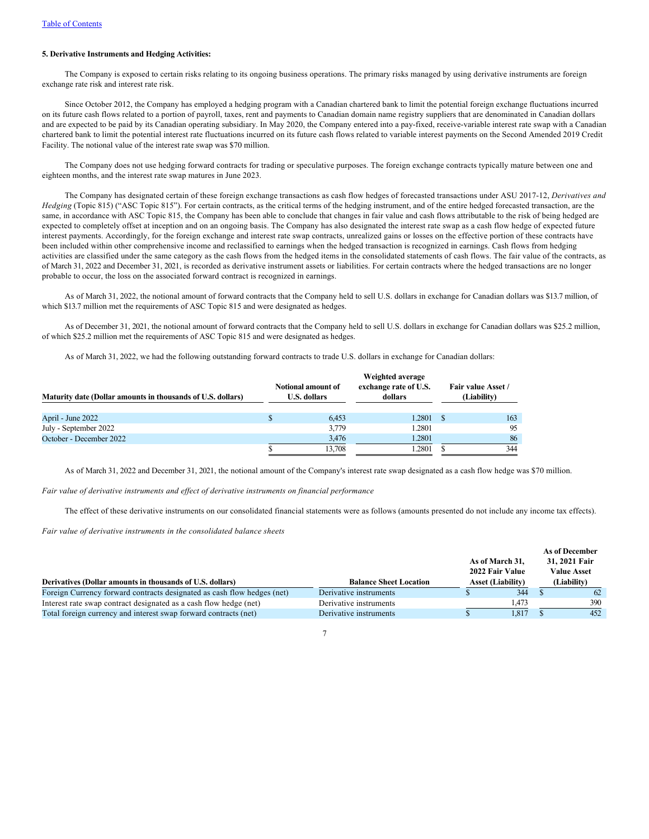#### **5. Derivative Instruments and Hedging Activities:**

The Company is exposed to certain risks relating to its ongoing business operations. The primary risks managed by using derivative instruments are foreign exchange rate risk and interest rate risk.

Since October 2012, the Company has employed a hedging program with a Canadian chartered bank to limit the potential foreign exchange fluctuations incurred on its future cash flows related to a portion of payroll, taxes, rent and payments to Canadian domain name registry suppliers that are denominated in Canadian dollars and are expected to be paid by its Canadian operating subsidiary. In May 2020, the Company entered into a pay-fixed, receive-variable interest rate swap with a Canadian chartered bank to limit the potential interest rate fluctuations incurred on its future cash flows related to variable interest payments on the Second Amended 2019 Credit Facility. The notional value of the interest rate swap was \$70 million.

The Company does not use hedging forward contracts for trading or speculative purposes. The foreign exchange contracts typically mature between one and eighteen months, and the interest rate swap matures in June 2023.

The Company has designated certain of these foreign exchange transactions as cash flow hedges of forecasted transactions under ASU 2017-12, *Derivatives and Hedging* (Topic 815) ("ASC Topic 815"). For certain contracts, as the critical terms of the hedging instrument, and of the entire hedged forecasted transaction, are the same, in accordance with ASC Topic 815, the Company has been able to conclude that changes in fair value and cash flows attributable to the risk of being hedged are expected to completely offset at inception and on an ongoing basis. The Company has also designated the interest rate swap as a cash flow hedge of expected future interest payments. Accordingly, for the foreign exchange and interest rate swap contracts, unrealized gains or losses on the effective portion of these contracts have been included within other comprehensive income and reclassified to earnings when the hedged transaction is recognized in earnings. Cash flows from hedging activities are classified under the same category as the cash flows from the hedged items in the consolidated statements of cash flows. The fair value of the contracts, as of March 31, 2022 and December 31, 2021, is recorded as derivative instrument assets or liabilities. For certain contracts where the hedged transactions are no longer probable to occur, the loss on the associated forward contract is recognized in earnings.

As of March 31, 2022, the notional amount of forward contracts that the Company held to sell U.S. dollars in exchange for Canadian dollars was \$13.7 million, of which \$13.7 million met the requirements of ASC Topic 815 and were designated as hedges.

As of December 31, 2021, the notional amount of forward contracts that the Company held to sell U.S. dollars in exchange for Canadian dollars was \$25.2 million, of which \$25.2 million met the requirements of ASC Topic 815 and were designated as hedges.

As of March 31, 2022, we had the following outstanding forward contracts to trade U.S. dollars in exchange for Canadian dollars:

|                                                             | Weighted average |                                           |                                  |     |                                   |  |  |  |  |  |  |
|-------------------------------------------------------------|------------------|-------------------------------------------|----------------------------------|-----|-----------------------------------|--|--|--|--|--|--|
| Maturity date (Dollar amounts in thousands of U.S. dollars) |                  | Notional amount of<br><b>U.S. dollars</b> | exchange rate of U.S.<br>dollars |     | Fair value Asset /<br>(Liability) |  |  |  |  |  |  |
| April - June 2022                                           |                  | 6.453                                     | 1.2801                           | - 8 | 163                               |  |  |  |  |  |  |
| July - September 2022                                       |                  | 3,779                                     | 1.2801                           |     | 95                                |  |  |  |  |  |  |
| October - December 2022                                     |                  | 3,476                                     | 1.2801                           |     | 86                                |  |  |  |  |  |  |
|                                                             |                  | 13.708                                    | 1.2801                           |     | 344                               |  |  |  |  |  |  |

As of March 31, 2022 and December 31, 2021, the notional amount of the Company's interest rate swap designated as a cash flow hedge was \$70 million.

*Fair value of derivative instruments and effect of derivative instruments on financial performance*

The effect of these derivative instruments on our consolidated financial statements were as follows (amounts presented do not include any income tax effects).

*Fair value of derivative instruments in the consolidated balance sheets* 

|                                                                         |                               |                 |                          |  | <b>As of December</b> |
|-------------------------------------------------------------------------|-------------------------------|-----------------|--------------------------|--|-----------------------|
|                                                                         |                               |                 | As of March 31,          |  | 31, 2021 Fair         |
|                                                                         |                               | 2022 Fair Value |                          |  | <b>Value Asset</b>    |
| Derivatives (Dollar amounts in thousands of U.S. dollars)               | <b>Balance Sheet Location</b> |                 | <b>Asset (Liability)</b> |  | (Liability)           |
| Foreign Currency forward contracts designated as cash flow hedges (net) | Derivative instruments        |                 | 344                      |  | 62                    |
| Interest rate swap contract designated as a cash flow hedge (net)       | Derivative instruments        |                 | 1.473                    |  | 390                   |
| Total foreign currency and interest swap forward contracts (net)        | Derivative instruments        |                 | 1.817                    |  | 452                   |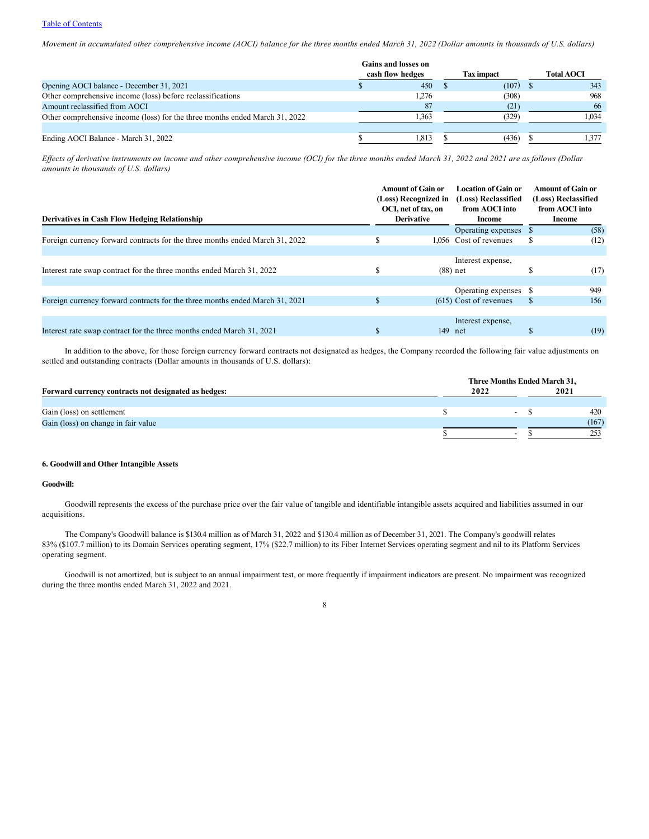# [Table of Contents](#page-1-0)

*Movement in accumulated other comprehensive income (AOCI) balance for the three months ended March 31, 2022 (Dollar amounts in thousands of U.S. dollars)*

|                                                                             | <b>Gains and losses on</b><br>cash flow hedges | <b>Tax impact</b> | <b>Total AOCI</b> |
|-----------------------------------------------------------------------------|------------------------------------------------|-------------------|-------------------|
| Opening AOCI balance - December 31, 2021                                    | 450                                            | (107)             | 343               |
| Other comprehensive income (loss) before reclassifications                  | 1,276                                          | (308)             | 968               |
| Amount reclassified from AOCI                                               | 87                                             | (21)              | 66                |
| Other comprehensive income (loss) for the three months ended March 31, 2022 | 1.363                                          | (329)             | 1.034             |
|                                                                             |                                                |                   |                   |
| Ending AOCI Balance - March 31, 2022                                        | 1.813                                          | (436)             | . 377             |

*Effects of derivative instruments on income and other comprehensive income (OCI) for the three months ended March 31, 2022 and 2021 are as follows (Dollar amounts in thousands of U.S. dollars)* 

|                                                                              |          | <b>Amount of Gain or</b><br>(Loss) Recognized in<br>OCI, net of tax, on | <b>Location of Gain or</b><br>(Loss) Reclassified<br>from AOCI into | <b>Amount of Gain or</b><br>(Loss) Reclassified<br>from AOCI into |
|------------------------------------------------------------------------------|----------|-------------------------------------------------------------------------|---------------------------------------------------------------------|-------------------------------------------------------------------|
| <b>Derivatives in Cash Flow Hedging Relationship</b>                         |          | <b>Derivative</b>                                                       | Income                                                              | Income                                                            |
|                                                                              |          |                                                                         | Operating expenses                                                  | (58)                                                              |
| Foreign currency forward contracts for the three months ended March 31, 2022 |          |                                                                         | 1.056 Cost of revenues                                              | (12)                                                              |
|                                                                              |          |                                                                         |                                                                     |                                                                   |
|                                                                              |          |                                                                         | Interest expense,                                                   |                                                                   |
| Interest rate swap contract for the three months ended March 31, 2022        |          |                                                                         | $(88)$ net                                                          | (17)                                                              |
|                                                                              |          |                                                                         |                                                                     |                                                                   |
|                                                                              |          |                                                                         | Operating expenses \$                                               | 949                                                               |
| Foreign currency forward contracts for the three months ended March 31, 2021 |          |                                                                         | $(615)$ Cost of revenues                                            | 156                                                               |
|                                                                              |          |                                                                         |                                                                     |                                                                   |
|                                                                              |          |                                                                         | Interest expense,                                                   |                                                                   |
| Interest rate swap contract for the three months ended March 31, 2021        | <b>S</b> | 149                                                                     | net                                                                 | (19)                                                              |
|                                                                              |          |                                                                         |                                                                     |                                                                   |

In addition to the above, for those foreign currency forward contracts not designated as hedges, the Company recorded the following fair value adjustments on settled and outstanding contracts (Dollar amounts in thousands of U.S. dollars):

|                                                      | Three Months Ended March 31, |  |       |  |  |  |  |  |
|------------------------------------------------------|------------------------------|--|-------|--|--|--|--|--|
| Forward currency contracts not designated as hedges: | 2022                         |  | 2021  |  |  |  |  |  |
|                                                      |                              |  |       |  |  |  |  |  |
| Gain (loss) on settlement                            |                              |  | 420   |  |  |  |  |  |
| Gain (loss) on change in fair value                  |                              |  | (167) |  |  |  |  |  |
|                                                      |                              |  | 253   |  |  |  |  |  |

#### **6. Goodwill and Other Intangible Assets**

# **Goodwill:**

Goodwill represents the excess of the purchase price over the fair value of tangible and identifiable intangible assets acquired and liabilities assumed in our acquisitions.

The Company's Goodwill balance is \$130.4 million as of March 31, 2022 and \$130.4 million as of December 31, 2021. The Company's goodwill relates 83% (\$107.7 million) to its Domain Services operating segment, 17% (\$22.7 million) to its Fiber Internet Services operating segment and nil to its Platform Services operating segment.

Goodwill is not amortized, but is subject to an annual impairment test, or more frequently if impairment indicators are present. No impairment was recognized during the three months ended March 31, 2022 and 2021.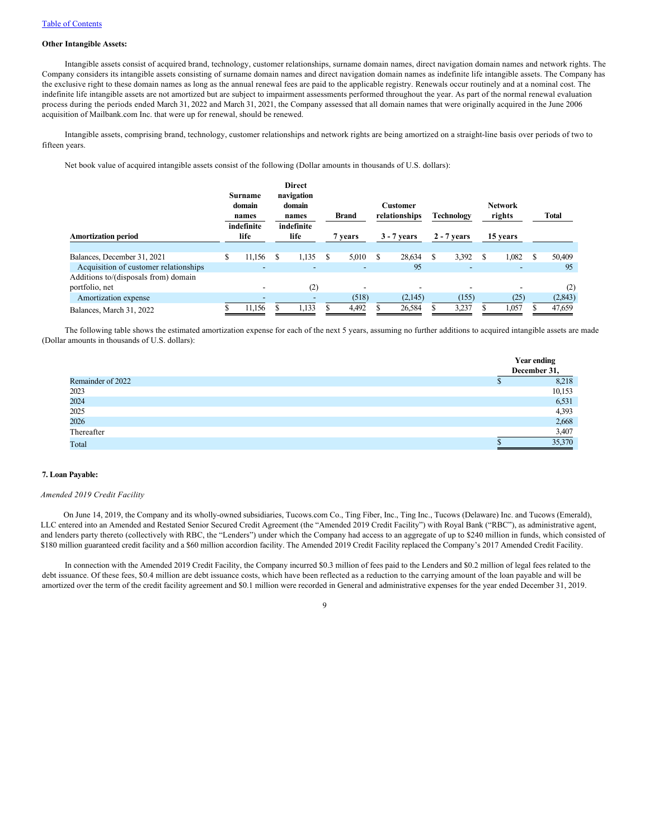#### **Other Intangible Assets:**

Intangible assets consist of acquired brand, technology, customer relationships, surname domain names, direct navigation domain names and network rights. The Company considers its intangible assets consisting of surname domain names and direct navigation domain names as indefinite life intangible assets. The Company has the exclusive right to these domain names as long as the annual renewal fees are paid to the applicable registry. Renewals occur routinely and at a nominal cost. The indefinite life intangible assets are not amortized but are subject to impairment assessments performed throughout the year. As part of the normal renewal evaluation process during the periods ended March 31, 2022 and March 31, 2021, the Company assessed that all domain names that were originally acquired in the June 2006 acquisition of Mailbank.com Inc. that were up for renewal, should be renewed.

Intangible assets, comprising brand, technology, customer relationships and network rights are being amortized on a straight-line basis over periods of two to fifteen years.

Net book value of acquired intangible assets consist of the following (Dollar amounts in thousands of U.S. dollars):

| <b>Amortization period</b>            |   | <b>Surname</b><br>domain<br>names<br>indefinite<br>life |   | <b>Direct</b><br>navigation<br>domain<br>names<br>indefinite<br>life |   | <b>Brand</b><br>7 years  |   | <b>Customer</b><br>relationships<br>$3 - 7$ years |  | <b>Technology</b><br>$2 - 7$ years |  | <b>Network</b><br>rights<br>15 years |   |         |  |  |  |  |  | <b>Total</b> |
|---------------------------------------|---|---------------------------------------------------------|---|----------------------------------------------------------------------|---|--------------------------|---|---------------------------------------------------|--|------------------------------------|--|--------------------------------------|---|---------|--|--|--|--|--|--------------|
| Balances, December 31, 2021           | S | 11,156                                                  | S | 1,135                                                                | S | 5,010                    | S | 28,634                                            |  | 3,392                              |  | 1,082                                | S | 50,409  |  |  |  |  |  |              |
| Acquisition of customer relationships |   | $\overline{\phantom{0}}$                                |   |                                                                      |   | -                        |   | 95                                                |  |                                    |  | $\overline{\phantom{a}}$             |   | 95      |  |  |  |  |  |              |
| Additions to/(disposals from) domain  |   |                                                         |   |                                                                      |   |                          |   |                                                   |  |                                    |  |                                      |   |         |  |  |  |  |  |              |
| portfolio, net                        |   |                                                         |   | (2)                                                                  |   | $\overline{\phantom{a}}$ |   |                                                   |  |                                    |  | $\overline{\phantom{a}}$             |   | (2)     |  |  |  |  |  |              |
| Amortization expense                  |   |                                                         |   | $\overline{\phantom{0}}$                                             |   | (518)                    |   | (2,145)                                           |  | (155)                              |  | (25)                                 |   | (2,843) |  |  |  |  |  |              |
| Balances, March 31, 2022              |   | 11,156                                                  |   | 1,133                                                                |   | 4,492                    |   | 26,584                                            |  | 3,237                              |  | 1,057                                |   | 47,659  |  |  |  |  |  |              |

The following table shows the estimated amortization expense for each of the next 5 years, assuming no further additions to acquired intangible assets are made (Dollar amounts in thousands of U.S. dollars):

|                   | <b>Year ending</b> |
|-------------------|--------------------|
|                   | December 31,       |
| Remainder of 2022 | 8,218              |
| 2023              | 10,153             |
| 2024              | 6,531              |
| 2025              | 4,393              |
| 2026              | 2,668              |
| Thereafter        | 3,407              |
| Total             | 35,370             |

#### **7. Loan Payable:**

# *Amended 2019 Credit Facility*

On June 14, 2019, the Company and its wholly-owned subsidiaries, Tucows.com Co., Ting Fiber, Inc., Ting Inc., Tucows (Delaware) Inc. and Tucows (Emerald), LLC entered into an Amended and Restated Senior Secured Credit Agreement (the "Amended 2019 Credit Facility") with Royal Bank ("RBC"), as administrative agent, and lenders party thereto (collectively with RBC, the "Lenders") under which the Company had access to an aggregate of up to \$240 million in funds, which consisted of \$180 million guaranteed credit facility and a \$60 million accordion facility. The Amended 2019 Credit Facility replaced the Company's 2017 Amended Credit Facility.

In connection with the Amended 2019 Credit Facility, the Company incurred \$0.3 million of fees paid to the Lenders and \$0.2 million of legal fees related to the debt issuance. Of these fees, \$0.4 million are debt issuance costs, which have been reflected as a reduction to the carrying amount of the loan payable and will be amortized over the term of the credit facility agreement and \$0.1 million were recorded in General and administrative expenses for the year ended December 31, 2019.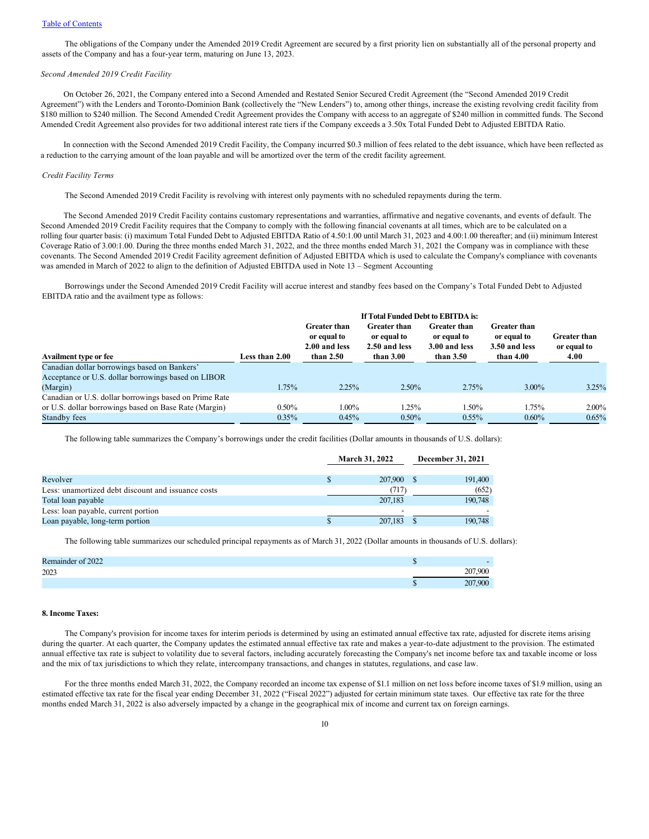The obligations of the Company under the Amended 2019 Credit Agreement are secured by a first priority lien on substantially all of the personal property and assets of the Company and has a four-year term, maturing on June 13, 2023.

#### *Second Amended 2019 Credit Facility*

On October 26, 2021, the Company entered into a Second Amended and Restated Senior Secured Credit Agreement (the "Second Amended 2019 Credit Agreement") with the Lenders and Toronto-Dominion Bank (collectively the "New Lenders") to, among other things, increase the existing revolving credit facility from \$180 million to \$240 million. The Second Amended Credit Agreement provides the Company with access to an aggregate of \$240 million in committed funds. The Second Amended Credit Agreement also provides for two additional interest rate tiers if the Company exceeds a 3.50x Total Funded Debt to Adjusted EBITDA Ratio.

In connection with the Second Amended 2019 Credit Facility, the Company incurred \$0.3 million of fees related to the debt issuance, which have been reflected as a reduction to the carrying amount of the loan payable and will be amortized over the term of the credit facility agreement.

#### *Credit Facility Terms*

The Second Amended 2019 Credit Facility is revolving with interest only payments with no scheduled repayments during the term.

The Second Amended 2019 Credit Facility contains customary representations and warranties, affirmative and negative covenants, and events of default. The Second Amended 2019 Credit Facility requires that the Company to comply with the following financial covenants at all times, which are to be calculated on a rolling four quarter basis: (i) maximum Total Funded Debt to Adjusted EBITDA Ratio of 4.50:1.00 until March 31, 2023 and 4.00:1.00 thereafter; and (ii) minimum Interest Coverage Ratio of 3.00:1.00. During the three months ended March 31, 2022, and the three months ended March 31, 2021 the Company was in compliance with these covenants. The Second Amended 2019 Credit Facility agreement definition of Adjusted EBITDA which is used to calculate the Company's compliance with covenants was amended in March of 2022 to align to the definition of Adjusted EBITDA used in Note 13 – Segment Accounting

Borrowings under the Second Amended 2019 Credit Facility will accrue interest and standby fees based on the Company's Total Funded Debt to Adjusted EBITDA ratio and the availment type as follows:

|                                                        | <b>If Total Funded Debt to EBITDA is:</b> |                                              |                                                     |                                                     |                                                     |                                    |
|--------------------------------------------------------|-------------------------------------------|----------------------------------------------|-----------------------------------------------------|-----------------------------------------------------|-----------------------------------------------------|------------------------------------|
|                                                        |                                           | Greater than<br>or equal to<br>2.00 and less | <b>Greater than</b><br>or equal to<br>2.50 and less | <b>Greater than</b><br>or equal to<br>3.00 and less | <b>Greater than</b><br>or equal to<br>3.50 and less | <b>Greater than</b><br>or equal to |
| <b>Availment type or fee</b>                           | <b>Less than 2.00</b>                     | than 2.50                                    | than 3.00                                           | than 3.50                                           | than 4.00                                           | 4.00                               |
| Canadian dollar borrowings based on Bankers'           |                                           |                                              |                                                     |                                                     |                                                     |                                    |
| Acceptance or U.S. dollar borrowings based on LIBOR    |                                           |                                              |                                                     |                                                     |                                                     |                                    |
| (Margin)                                               | 1.75%                                     | 2.25%                                        | $2.50\%$                                            | 2.75%                                               | $3.00\%$                                            | $3.25\%$                           |
| Canadian or U.S. dollar borrowings based on Prime Rate |                                           |                                              |                                                     |                                                     |                                                     |                                    |
| or U.S. dollar borrowings based on Base Rate (Margin)  | $0.50\%$                                  | 1.00%                                        | 1.25%                                               | 1.50%                                               | 1.75%                                               | 2.00%                              |
| Standby fees                                           | $0.35\%$                                  | 0.45%                                        | $0.50\%$                                            | $0.55\%$                                            | $0.60\%$                                            | 0.65%                              |

The following table summarizes the Company's borrowings under the credit facilities (Dollar amounts in thousands of U.S. dollars):

|                                                    | <b>March 31, 2022</b> |  | December 31, 2021 |  |  |
|----------------------------------------------------|-----------------------|--|-------------------|--|--|
| Revolver                                           | 207,900               |  | 191,400           |  |  |
| Less: unamortized debt discount and issuance costs | (717)                 |  | (652)             |  |  |
| Total loan payable                                 | 207,183               |  | 190,748           |  |  |
| Less: loan payable, current portion                | -                     |  |                   |  |  |
| Loan payable, long-term portion                    | 207,183               |  | 190,748           |  |  |

The following table summarizes our scheduled principal repayments as of March 31, 2022 (Dollar amounts in thousands of U.S. dollars):

| f 2022<br>Remainder | w        |           |
|---------------------|----------|-----------|
| 2023                |          | 000<br>w. |
|                     | <b>D</b> | 000<br>w  |

# **8. Income Taxes:**

The Company's provision for income taxes for interim periods is determined by using an estimated annual effective tax rate, adjusted for discrete items arising during the quarter. At each quarter, the Company updates the estimated annual effective tax rate and makes a year-to-date adjustment to the provision. The estimated annual effective tax rate is subject to volatility due to several factors, including accurately forecasting the Company's net income before tax and taxable income or loss and the mix of tax jurisdictions to which they relate, intercompany transactions, and changes in statutes, regulations, and case law.

For the three months ended March 31, 2022, the Company recorded an income tax expense of \$1.1 million on net loss before income taxes of \$1.9 million, using an estimated effective tax rate for the fiscal year ending December 31, 2022 ("Fiscal 2022") adjusted for certain minimum state taxes. Our effective tax rate for the three months ended March 31, 2022 is also adversely impacted by a change in the geographical mix of income and current tax on foreign earnings.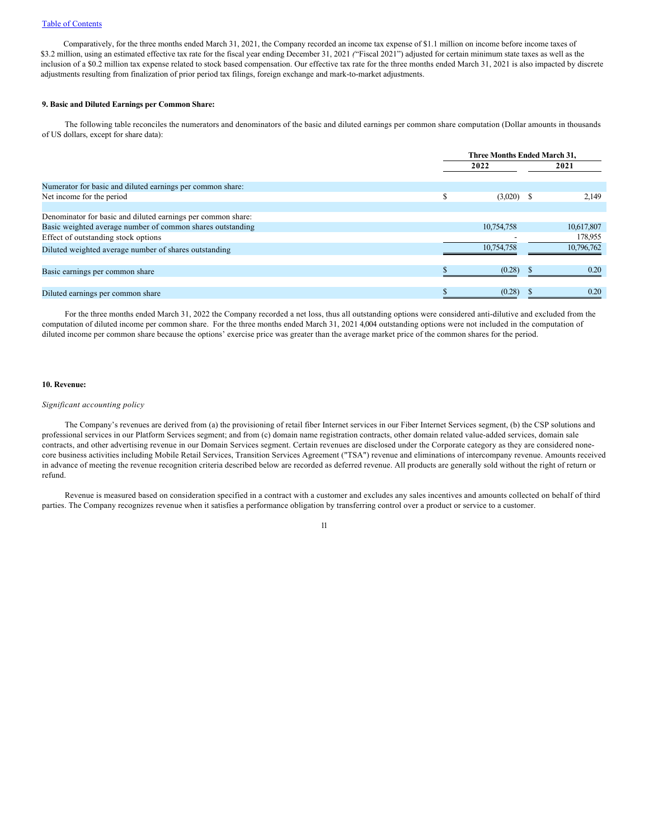Comparatively, for the three months ended March 31, 2021, the Company recorded an income tax expense of \$1.1 million on income before income taxes of \$3.2 million, using an estimated effective tax rate for the fiscal year ending December 31, 2021 *(*"Fiscal 2021") adjusted for certain minimum state taxes as well as the inclusion of a \$0.2 million tax expense related to stock based compensation. Our effective tax rate for the three months ended March 31, 2021 is also impacted by discrete adjustments resulting from finalization of prior period tax filings, foreign exchange and mark-to-market adjustments.

# **9. Basic and Diluted Earnings per Common Share:**

The following table reconciles the numerators and denominators of the basic and diluted earnings per common share computation (Dollar amounts in thousands of US dollars, except for share data):

|                                                              | Three Months Ended March 31, |              |  |            |
|--------------------------------------------------------------|------------------------------|--------------|--|------------|
|                                                              |                              | 2022         |  | 2021       |
|                                                              |                              |              |  |            |
| Numerator for basic and diluted earnings per common share:   |                              |              |  |            |
| Net income for the period                                    |                              | $(3,020)$ \$ |  | 2,149      |
|                                                              |                              |              |  |            |
| Denominator for basic and diluted earnings per common share: |                              |              |  |            |
| Basic weighted average number of common shares outstanding   |                              | 10,754,758   |  | 10,617,807 |
| Effect of outstanding stock options                          |                              |              |  | 178,955    |
| Diluted weighted average number of shares outstanding        |                              | 10,754,758   |  | 10,796,762 |
|                                                              |                              |              |  |            |
| Basic earnings per common share                              |                              | (0.28)       |  | 0.20       |
|                                                              |                              |              |  |            |
| Diluted earnings per common share                            |                              | (0.28)       |  | 0.20       |

For the three months ended March 31, 2022 the Company recorded a net loss, thus all outstanding options were considered anti-dilutive and excluded from the computation of diluted income per common share. For the three months ended March 31, 2021 4,004 outstanding options were not included in the computation of diluted income per common share because the options' exercise price was greater than the average market price of the common shares for the period.

### **10. Revenue:**

### *Significant accounting policy*

The Company's revenues are derived from (a) the provisioning of retail fiber Internet services in our Fiber Internet Services segment, (b) the CSP solutions and professional services in our Platform Services segment; and from (c) domain name registration contracts, other domain related value-added services, domain sale contracts, and other advertising revenue in our Domain Services segment. Certain revenues are disclosed under the Corporate category as they are considered nonecore business activities including Mobile Retail Services, Transition Services Agreement ("TSA") revenue and eliminations of intercompany revenue. Amounts received in advance of meeting the revenue recognition criteria described below are recorded as deferred revenue. All products are generally sold without the right of return or refund.

Revenue is measured based on consideration specified in a contract with a customer and excludes any sales incentives and amounts collected on behalf of third parties. The Company recognizes revenue when it satisfies a performance obligation by transferring control over a product or service to a customer.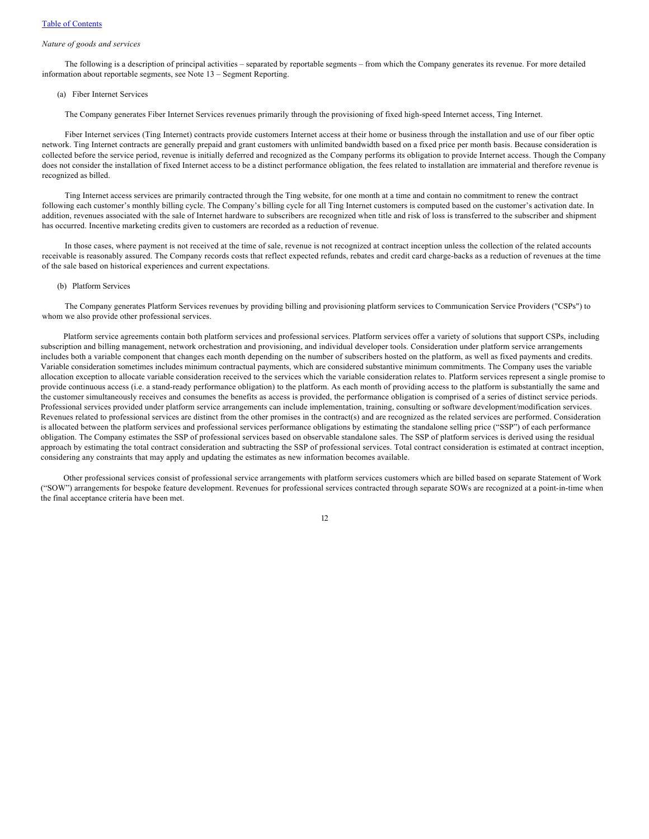#### *Nature of goods and services*

The following is a description of principal activities – separated by reportable segments – from which the Company generates its revenue. For more detailed information about reportable segments, see Note 13 – Segment Reporting.

#### (a) Fiber Internet Services

The Company generates Fiber Internet Services revenues primarily through the provisioning of fixed high-speed Internet access, Ting Internet.

Fiber Internet services (Ting Internet) contracts provide customers Internet access at their home or business through the installation and use of our fiber optic network. Ting Internet contracts are generally prepaid and grant customers with unlimited bandwidth based on a fixed price per month basis. Because consideration is collected before the service period, revenue is initially deferred and recognized as the Company performs its obligation to provide Internet access. Though the Company does not consider the installation of fixed Internet access to be a distinct performance obligation, the fees related to installation are immaterial and therefore revenue is recognized as billed.

Ting Internet access services are primarily contracted through the Ting website, for one month at a time and contain no commitment to renew the contract following each customer's monthly billing cycle. The Company's billing cycle for all Ting Internet customers is computed based on the customer's activation date. In addition, revenues associated with the sale of Internet hardware to subscribers are recognized when title and risk of loss is transferred to the subscriber and shipment has occurred. Incentive marketing credits given to customers are recorded as a reduction of revenue.

In those cases, where payment is not received at the time of sale, revenue is not recognized at contract inception unless the collection of the related accounts receivable is reasonably assured. The Company records costs that reflect expected refunds, rebates and credit card charge-backs as a reduction of revenues at the time of the sale based on historical experiences and current expectations.

#### (b) Platform Services

The Company generates Platform Services revenues by providing billing and provisioning platform services to Communication Service Providers ("CSPs") to whom we also provide other professional services.

Platform service agreements contain both platform services and professional services. Platform services offer a variety of solutions that support CSPs, including subscription and billing management, network orchestration and provisioning, and individual developer tools. Consideration under platform service arrangements includes both a variable component that changes each month depending on the number of subscribers hosted on the platform, as well as fixed payments and credits. Variable consideration sometimes includes minimum contractual payments, which are considered substantive minimum commitments. The Company uses the variable allocation exception to allocate variable consideration received to the services which the variable consideration relates to. Platform services represent a single promise to provide continuous access (i.e. a stand-ready performance obligation) to the platform. As each month of providing access to the platform is substantially the same and the customer simultaneously receives and consumes the benefits as access is provided, the performance obligation is comprised of a series of distinct service periods. Professional services provided under platform service arrangements can include implementation, training, consulting or software development/modification services. Revenues related to professional services are distinct from the other promises in the contract(s) and are recognized as the related services are performed. Consideration is allocated between the platform services and professional services performance obligations by estimating the standalone selling price ("SSP") of each performance obligation. The Company estimates the SSP of professional services based on observable standalone sales. The SSP of platform services is derived using the residual approach by estimating the total contract consideration and subtracting the SSP of professional services. Total contract consideration is estimated at contract inception, considering any constraints that may apply and updating the estimates as new information becomes available.

Other professional services consist of professional service arrangements with platform services customers which are billed based on separate Statement of Work ("SOW") arrangements for bespoke feature development. Revenues for professional services contracted through separate SOWs are recognized at a point-in-time when the final acceptance criteria have been met.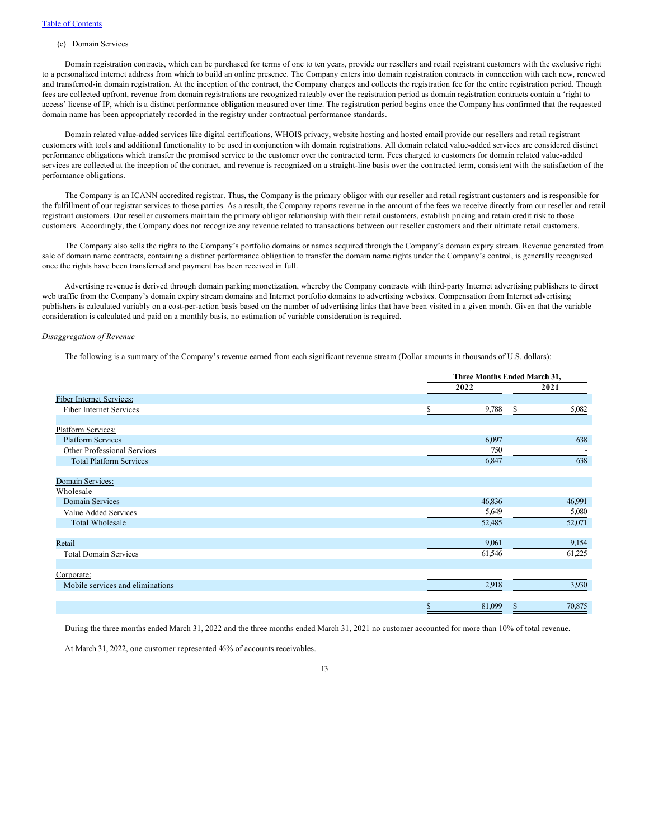### (c) Domain Services

Domain registration contracts, which can be purchased for terms of one to ten years, provide our resellers and retail registrant customers with the exclusive right to a personalized internet address from which to build an online presence. The Company enters into domain registration contracts in connection with each new, renewed and transferred-in domain registration. At the inception of the contract, the Company charges and collects the registration fee for the entire registration period. Though fees are collected upfront, revenue from domain registrations are recognized rateably over the registration period as domain registration contracts contain a 'right to access' license of IP, which is a distinct performance obligation measured over time. The registration period begins once the Company has confirmed that the requested domain name has been appropriately recorded in the registry under contractual performance standards.

Domain related value-added services like digital certifications, WHOIS privacy, website hosting and hosted email provide our resellers and retail registrant customers with tools and additional functionality to be used in conjunction with domain registrations. All domain related value-added services are considered distinct performance obligations which transfer the promised service to the customer over the contracted term. Fees charged to customers for domain related value-added services are collected at the inception of the contract, and revenue is recognized on a straight-line basis over the contracted term, consistent with the satisfaction of the performance obligations.

The Company is an ICANN accredited registrar. Thus, the Company is the primary obligor with our reseller and retail registrant customers and is responsible for the fulfillment of our registrar services to those parties. As a result, the Company reports revenue in the amount of the fees we receive directly from our reseller and retail registrant customers. Our reseller customers maintain the primary obligor relationship with their retail customers, establish pricing and retain credit risk to those customers. Accordingly, the Company does not recognize any revenue related to transactions between our reseller customers and their ultimate retail customers.

The Company also sells the rights to the Company's portfolio domains or names acquired through the Company's domain expiry stream. Revenue generated from sale of domain name contracts, containing a distinct performance obligation to transfer the domain name rights under the Company's control, is generally recognized once the rights have been transferred and payment has been received in full.

Advertising revenue is derived through domain parking monetization, whereby the Company contracts with third-party Internet advertising publishers to direct web traffic from the Company's domain expiry stream domains and Internet portfolio domains to advertising websites. Compensation from Internet advertising publishers is calculated variably on a cost-per-action basis based on the number of advertising links that have been visited in a given month. Given that the variable consideration is calculated and paid on a monthly basis, no estimation of variable consideration is required.

# *Disaggregation of Revenue*

The following is a summary of the Company's revenue earned from each significant revenue stream (Dollar amounts in thousands of U.S. dollars):

|                                  |             | Three Months Ended March 31, |
|----------------------------------|-------------|------------------------------|
|                                  | 2022        | 2021                         |
| <b>Fiber Internet Services:</b>  |             |                              |
| <b>Fiber Internet Services</b>   | 9,788<br>\$ | 5,082<br>S                   |
| Platform Services:               |             |                              |
| <b>Platform Services</b>         | 6,097       | 638                          |
| Other Professional Services      | 750         |                              |
| <b>Total Platform Services</b>   | 6,847       | 638                          |
| Domain Services:                 |             |                              |
| Wholesale                        |             |                              |
| Domain Services                  | 46,836      | 46,991                       |
| Value Added Services             | 5,649       | 5,080                        |
| <b>Total Wholesale</b>           | 52,485      | 52,071                       |
| Retail                           | 9,061       | 9,154                        |
| <b>Total Domain Services</b>     | 61,546      | 61,225                       |
|                                  |             |                              |
| Corporate:                       |             |                              |
| Mobile services and eliminations | 2,918       | 3,930                        |
|                                  | 81,099<br>ъ | 70,875<br>S                  |

During the three months ended March 31, 2022 and the three months ended March 31, 2021 no customer accounted for more than 10% of total revenue.

At March 31, 2022, one customer represented 46% of accounts receivables.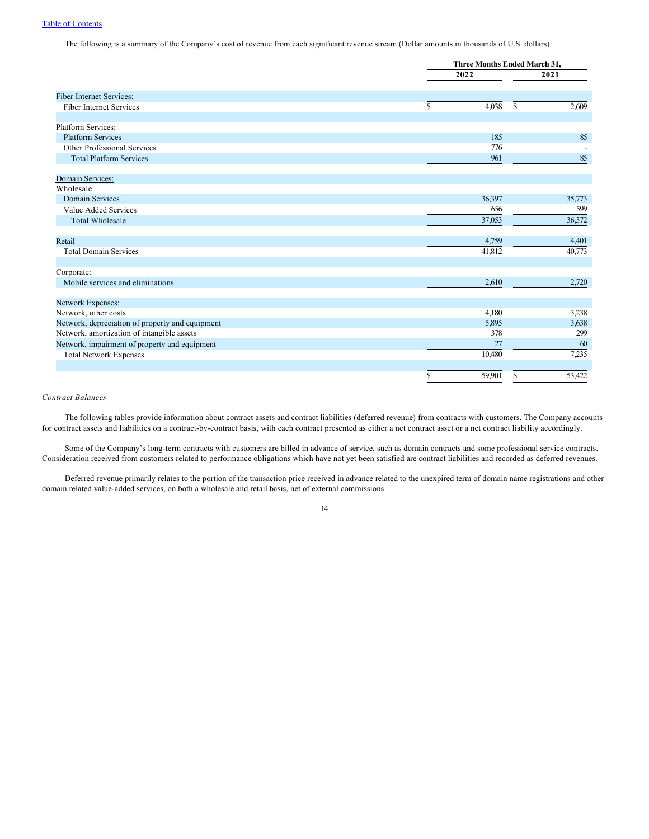The following is a summary of the Company's cost of revenue from each significant revenue stream (Dollar amounts in thousands of U.S. dollars):

|                                                 |              | <b>Three Months Ended March 31,</b> |
|-------------------------------------------------|--------------|-------------------------------------|
|                                                 | 2022         | 2021                                |
| <b>Fiber Internet Services:</b>                 |              |                                     |
| Fiber Internet Services                         | 4,038<br>\$  | \$<br>2,609                         |
|                                                 |              |                                     |
| Platform Services:                              |              |                                     |
| <b>Platform Services</b>                        | 185          | 85                                  |
| Other Professional Services                     | 776          |                                     |
| <b>Total Platform Services</b>                  | 961          | 85                                  |
| <b>Domain Services:</b>                         |              |                                     |
| Wholesale                                       |              |                                     |
| <b>Domain Services</b>                          | 36,397       | 35,773                              |
| Value Added Services                            | 656          | 599                                 |
| <b>Total Wholesale</b>                          | 37,053       | 36,372                              |
| Retail                                          | 4,759        | 4,401                               |
| <b>Total Domain Services</b>                    | 41,812       | 40,773                              |
| Corporate:                                      |              |                                     |
| Mobile services and eliminations                | 2,610        | 2,720                               |
| <b>Network Expenses:</b>                        |              |                                     |
| Network, other costs                            | 4,180        | 3,238                               |
| Network, depreciation of property and equipment | 5,895        | 3,638                               |
| Network, amortization of intangible assets      | 378          | 299                                 |
| Network, impairment of property and equipment   | 27           | 60                                  |
| <b>Total Network Expenses</b>                   | 10,480       | 7,235                               |
|                                                 | \$<br>59,901 | \$<br>53,422                        |

# *Contract Balances*

The following tables provide information about contract assets and contract liabilities (deferred revenue) from contracts with customers. The Company accounts for contract assets and liabilities on a contract-by-contract basis, with each contract presented as either a net contract asset or a net contract liability accordingly.

Some of the Company's long-term contracts with customers are billed in advance of service, such as domain contracts and some professional service contracts. Consideration received from customers related to performance obligations which have not yet been satisfied are contract liabilities and recorded as deferred revenues.

Deferred revenue primarily relates to the portion of the transaction price received in advance related to the unexpired term of domain name registrations and other domain related value-added services, on both a wholesale and retail basis, net of external commissions.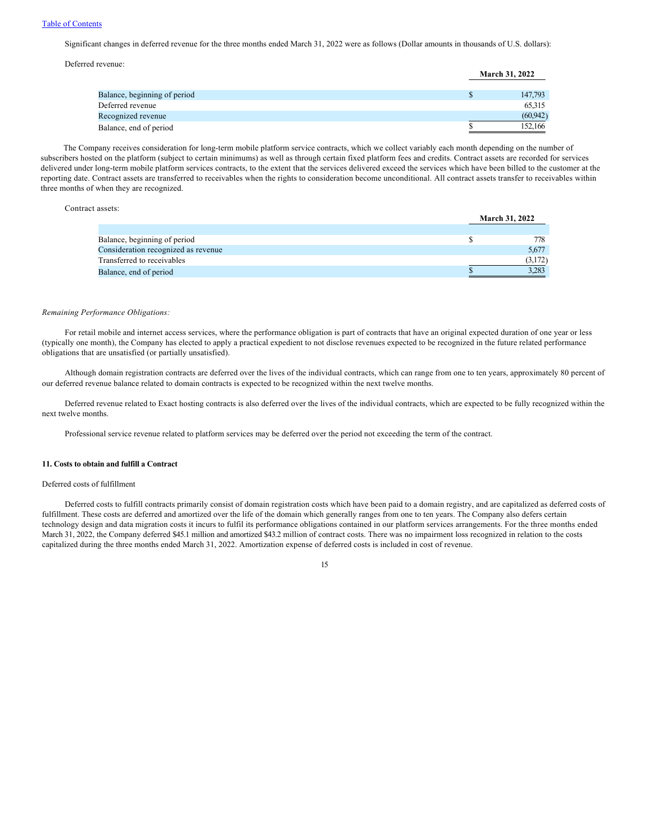#### [Table of Contents](#page-1-0)

Significant changes in deferred revenue for the three months ended March 31, 2022 were as follows (Dollar amounts in thousands of U.S. dollars):

Deferred revenue:

|                              | <b>March 31, 2022</b> |
|------------------------------|-----------------------|
|                              |                       |
| Balance, beginning of period | 147,793               |
| Deferred revenue             | 65,315                |
| Recognized revenue           | (60.942)              |
| Balance, end of period       | 152,166               |

The Company receives consideration for long-term mobile platform service contracts, which we collect variably each month depending on the number of subscribers hosted on the platform (subject to certain minimums) as well as through certain fixed platform fees and credits. Contract assets are recorded for services delivered under long-term mobile platform services contracts, to the extent that the services delivered exceed the services which have been billed to the customer at the reporting date. Contract assets are transferred to receivables when the rights to consideration become unconditional. All contract assets transfer to receivables within three months of when they are recognized.

#### Contract assets:

|                                     | <b>March 31, 2022</b> |
|-------------------------------------|-----------------------|
|                                     |                       |
| Balance, beginning of period        | 778                   |
| Consideration recognized as revenue | 5,677                 |
| Transferred to receivables          | (3,172)               |
| Balance, end of period              | 3,283                 |

# *Remaining Performance Obligations:*

For retail mobile and internet access services, where the performance obligation is part of contracts that have an original expected duration of one year or less (typically one month), the Company has elected to apply a practical expedient to not disclose revenues expected to be recognized in the future related performance obligations that are unsatisfied (or partially unsatisfied).

Although domain registration contracts are deferred over the lives of the individual contracts, which can range from one to ten years, approximately 80 percent of our deferred revenue balance related to domain contracts is expected to be recognized within the next twelve months.

Deferred revenue related to Exact hosting contracts is also deferred over the lives of the individual contracts, which are expected to be fully recognized within the next twelve months.

Professional service revenue related to platform services may be deferred over the period not exceeding the term of the contract.

#### **11. Costs to obtain and fulfill a Contract**

# Deferred costs of fulfillment

Deferred costs to fulfill contracts primarily consist of domain registration costs which have been paid to a domain registry, and are capitalized as deferred costs of fulfillment. These costs are deferred and amortized over the life of the domain which generally ranges from one to ten years. The Company also defers certain technology design and data migration costs it incurs to fulfil its performance obligations contained in our platform services arrangements. For the three months ended March 31, 2022, the Company deferred \$45.1 million and amortized \$43.2 million of contract costs. There was no impairment loss recognized in relation to the costs capitalized during the three months ended March 31, 2022. Amortization expense of deferred costs is included in cost of revenue.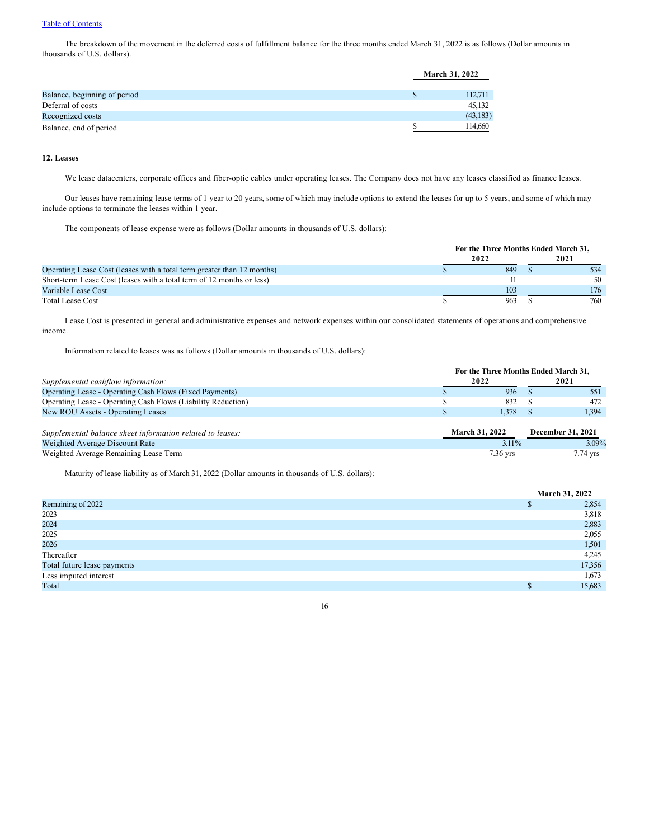# [Table of Contents](#page-1-0)

The breakdown of the movement in the deferred costs of fulfillment balance for the three months ended March 31, 2022 is as follows (Dollar amounts in thousands of U.S. dollars).

|                              | <b>March 31, 2022</b> |  |
|------------------------------|-----------------------|--|
|                              |                       |  |
| Balance, beginning of period | 112,711               |  |
| Deferral of costs            | 45,132                |  |
| Recognized costs             | (43, 183)             |  |
| Balance, end of period       | 114.660               |  |

# **12. Leases**

We lease datacenters, corporate offices and fiber-optic cables under operating leases. The Company does not have any leases classified as finance leases.

Our leases have remaining lease terms of 1 year to 20 years, some of which may include options to extend the leases for up to 5 years, and some of which may include options to terminate the leases within 1 year.

The components of lease expense were as follows (Dollar amounts in thousands of U.S. dollars):

|                                                                        | For the Three Months Ended March 31. |     |  |      |
|------------------------------------------------------------------------|--------------------------------------|-----|--|------|
|                                                                        | 2022                                 |     |  | 2021 |
| Operating Lease Cost (leases with a total term greater than 12 months) |                                      | 849 |  | 534  |
| Short-term Lease Cost (leases with a total term of 12 months or less)  |                                      |     |  | 50   |
| Variable Lease Cost                                                    |                                      | 103 |  | 176  |
| Total Lease Cost                                                       |                                      | 963 |  | 760  |

Lease Cost is presented in general and administrative expenses and network expenses within our consolidated statements of operations and comprehensive income.

Information related to leases was as follows (Dollar amounts in thousands of U.S. dollars):

|                                                              | For the Three Months Ended March 31. |            |  |                          |
|--------------------------------------------------------------|--------------------------------------|------------|--|--------------------------|
| Supplemental cashflow information:                           |                                      | 2022       |  | 2021                     |
| Operating Lease - Operating Cash Flows (Fixed Payments)      |                                      | 936        |  | 551                      |
| Operating Lease - Operating Cash Flows (Liability Reduction) |                                      | 832        |  | 472                      |
| New ROU Assets - Operating Leases                            |                                      | 1.378      |  | 1,394                    |
| Supplemental balance sheet information related to leases:    | <b>March 31, 2022</b>                |            |  | <b>December 31, 2021</b> |
| Weighted Average Discount Rate                               |                                      | $3.11\%$   |  | 3.09%                    |
| Weighted Average Remaining Lease Term                        |                                      | $7.36$ yrs |  | $7.74$ yrs               |

Maturity of lease liability as of March 31, 2022 (Dollar amounts in thousands of U.S. dollars):

| <b>March 31, 2022</b> |
|-----------------------|
| 2,854                 |
| 3,818                 |
| 2,883                 |
| 2,055                 |
| 1,501                 |
| 4,245                 |
| 17,356                |
| 1,673                 |
| 15,683                |
|                       |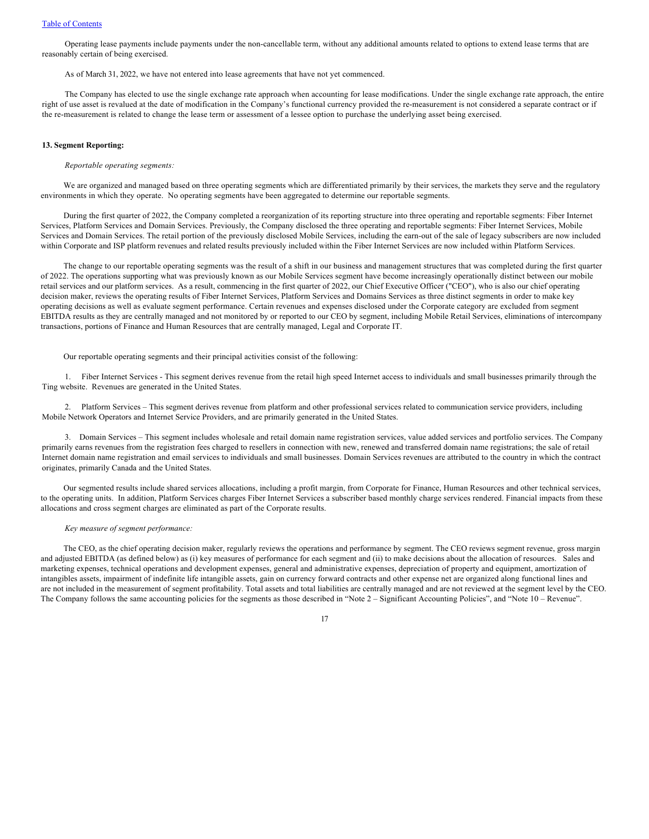Operating lease payments include payments under the non-cancellable term, without any additional amounts related to options to extend lease terms that are reasonably certain of being exercised.

As of March 31, 2022, we have not entered into lease agreements that have not yet commenced.

The Company has elected to use the single exchange rate approach when accounting for lease modifications. Under the single exchange rate approach, the entire right of use asset is revalued at the date of modification in the Company's functional currency provided the re-measurement is not considered a separate contract or if the re-measurement is related to change the lease term or assessment of a lessee option to purchase the underlying asset being exercised.

# **13. Segment Reporting:**

*Reportable operating segments:*

We are organized and managed based on three operating segments which are differentiated primarily by their services, the markets they serve and the regulatory environments in which they operate. No operating segments have been aggregated to determine our reportable segments.

During the first quarter of 2022, the Company completed a reorganization of its reporting structure into three operating and reportable segments: Fiber Internet Services, Platform Services and Domain Services. Previously, the Company disclosed the three operating and reportable segments: Fiber Internet Services, Mobile Services and Domain Services. The retail portion of the previously disclosed Mobile Services, including the earn-out of the sale of legacy subscribers are now included within Corporate and ISP platform revenues and related results previously included within the Fiber Internet Services are now included within Platform Services.

The change to our reportable operating segments was the result of a shift in our business and management structures that was completed during the first quarter of 2022. The operations supporting what was previously known as our Mobile Services segment have become increasingly operationally distinct between our mobile retail services and our platform services. As a result, commencing in the first quarter of 2022, our Chief Executive Officer ("CEO"), who is also our chief operating decision maker, reviews the operating results of Fiber Internet Services, Platform Services and Domains Services as three distinct segments in order to make key operating decisions as well as evaluate segment performance. Certain revenues and expenses disclosed under the Corporate category are excluded from segment EBITDA results as they are centrally managed and not monitored by or reported to our CEO by segment, including Mobile Retail Services, eliminations of intercompany transactions, portions of Finance and Human Resources that are centrally managed, Legal and Corporate IT.

Our reportable operating segments and their principal activities consist of the following:

1. Fiber Internet Services - This segment derives revenue from the retail high speed Internet access to individuals and small businesses primarily through the Ting website. Revenues are generated in the United States.

2. Platform Services – This segment derives revenue from platform and other professional services related to communication service providers, including Mobile Network Operators and Internet Service Providers, and are primarily generated in the United States.

3. Domain Services – This segment includes wholesale and retail domain name registration services, value added services and portfolio services. The Company primarily earns revenues from the registration fees charged to resellers in connection with new, renewed and transferred domain name registrations; the sale of retail Internet domain name registration and email services to individuals and small businesses. Domain Services revenues are attributed to the country in which the contract originates, primarily Canada and the United States.

Our segmented results include shared services allocations, including a profit margin, from Corporate for Finance, Human Resources and other technical services, to the operating units. In addition, Platform Services charges Fiber Internet Services a subscriber based monthly charge services rendered. Financial impacts from these allocations and cross segment charges are eliminated as part of the Corporate results.

#### *Key measure of segment performance:*

The CEO, as the chief operating decision maker, regularly reviews the operations and performance by segment. The CEO reviews segment revenue, gross margin and adjusted EBITDA (as defined below) as (i) key measures of performance for each segment and (ii) to make decisions about the allocation of resources. Sales and marketing expenses, technical operations and development expenses, general and administrative expenses, depreciation of property and equipment, amortization of intangibles assets, impairment of indefinite life intangible assets, gain on currency forward contracts and other expense net are organized along functional lines and are not included in the measurement of segment profitability. Total assets and total liabilities are centrally managed and are not reviewed at the segment level by the CEO. The Company follows the same accounting policies for the segments as those described in "Note 2 – Significant Accounting Policies", and "Note 10 – Revenue".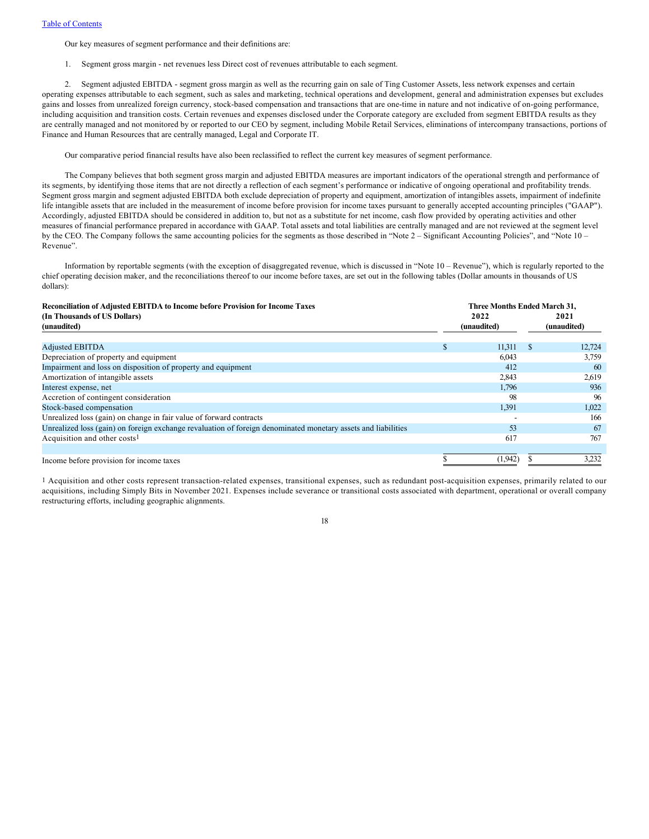Our key measures of segment performance and their definitions are:

1. Segment gross margin - net revenues less Direct cost of revenues attributable to each segment.

2. Segment adjusted EBITDA - segment gross margin as well as the recurring gain on sale of Ting Customer Assets, less network expenses and certain operating expenses attributable to each segment, such as sales and marketing, technical operations and development, general and administration expenses but excludes gains and losses from unrealized foreign currency, stock-based compensation and transactions that are one-time in nature and not indicative of on-going performance, including acquisition and transition costs. Certain revenues and expenses disclosed under the Corporate category are excluded from segment EBITDA results as they are centrally managed and not monitored by or reported to our CEO by segment, including Mobile Retail Services, eliminations of intercompany transactions, portions of Finance and Human Resources that are centrally managed, Legal and Corporate IT.

Our comparative period financial results have also been reclassified to reflect the current key measures of segment performance.

The Company believes that both segment gross margin and adjusted EBITDA measures are important indicators of the operational strength and performance of its segments, by identifying those items that are not directly a reflection of each segment's performance or indicative of ongoing operational and profitability trends. Segment gross margin and segment adjusted EBITDA both exclude depreciation of property and equipment, amortization of intangibles assets, impairment of indefinite life intangible assets that are included in the measurement of income before provision for income taxes pursuant to generally accepted accounting principles ("GAAP"). Accordingly, adjusted EBITDA should be considered in addition to, but not as a substitute for net income, cash flow provided by operating activities and other measures of financial performance prepared in accordance with GAAP. Total assets and total liabilities are centrally managed and are not reviewed at the segment level by the CEO. The Company follows the same accounting policies for the segments as those described in "Note 2 – Significant Accounting Policies", and "Note 10 – Revenue".

Information by reportable segments (with the exception of disaggregated revenue, which is discussed in "Note 10 – Revenue"), which is regularly reported to the chief operating decision maker, and the reconciliations thereof to our income before taxes, are set out in the following tables (Dollar amounts in thousands of US dollars):

# **Reconciliation of Adjusted EBITDA to Income before Provision for Income Taxes Three Months Ended March 31, (In Thousands of US Dollars) 2022 2021 (unaudited) (unaudited) (unaudited)** Adjusted EBITDA 12,724 Depreciation of property and equipment 6,043 3,759 Impairment and loss on disposition of property and equipment 412 60 Amortization of intangible assets 2,619 Interest expense, net 1,796 936 Accretion of contingent consideration 98 96 Stock-based compensation 1,391 1,022<br>
Interalized loss (gain) on change in fair value of forward contracts 166 Unrealized loss (gain) on change in fair value of forward contracts Unrealized loss (gain) on foreign exchange revaluation of foreign denominated monetary assets and liabilities 53 67 67 Acquisition and other costs<sup>1</sup> 767 767 Income before provision for income taxes  $\frac{1}{2}$   $\frac{1}{2}$   $\frac{1}{2}$   $\frac{3,232}{3,232}$

1 Acquisition and other costs represent transaction-related expenses, transitional expenses, such as redundant post-acquisition expenses, primarily related to our acquisitions, including Simply Bits in November 2021. Expenses include severance or transitional costs associated with department, operational or overall company restructuring efforts, including geographic alignments.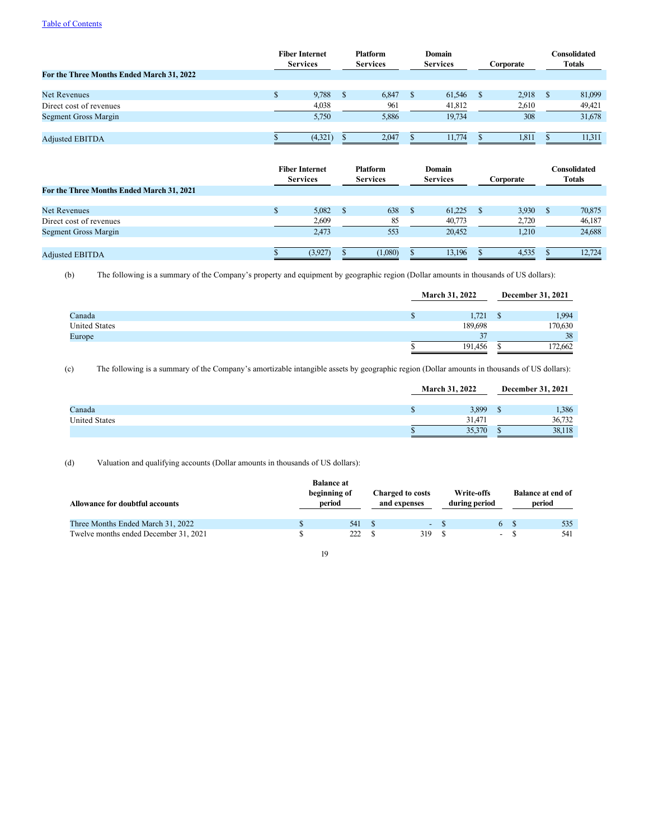# [Table of Contents](#page-1-0)

|                                           |   | <b>Fiber Internet</b><br><b>Services</b> |              | <b>Platform</b><br><b>Services</b> |              | Domain<br><b>Services</b> |              | Corporate |              | Consolidated<br><b>Totals</b> |
|-------------------------------------------|---|------------------------------------------|--------------|------------------------------------|--------------|---------------------------|--------------|-----------|--------------|-------------------------------|
| For the Three Months Ended March 31, 2022 |   |                                          |              |                                    |              |                           |              |           |              |                               |
|                                           |   |                                          |              |                                    |              |                           |              |           |              |                               |
| <b>Net Revenues</b>                       | D | 9,788                                    | <sup>S</sup> | 6,847                              | <sup>8</sup> | 61.546                    | <sup>S</sup> | 2.918     | <sup>8</sup> | 81,099                        |
| Direct cost of revenues                   |   | 4,038                                    |              | 961                                |              | 41,812                    |              | 2,610     |              | 49,421                        |
| Segment Gross Margin                      |   | 5,750                                    |              | 5,886                              |              | 19.734                    |              | 308       |              | 31,678                        |
|                                           |   |                                          |              |                                    |              |                           |              |           |              |                               |
| <b>Adjusted EBITDA</b>                    |   | (4,321)                                  |              | 2.047                              |              | 11,774                    |              | 1.811     |              | 11.311                        |

|                                           | <b>Fiber Internet</b><br><b>Services</b> |         | <b>Platform</b><br><b>Services</b> |          | Domain<br><b>Services</b> |  | Corporate | Consolidated<br>Totals |
|-------------------------------------------|------------------------------------------|---------|------------------------------------|----------|---------------------------|--|-----------|------------------------|
| For the Three Months Ended March 31, 2021 |                                          |         |                                    |          |                           |  |           |                        |
|                                           |                                          |         |                                    |          |                           |  |           |                        |
| <b>Net Revenues</b>                       |                                          | 5,082   | 638                                | <b>S</b> | 61.225                    |  | 3.930     | 70,875                 |
| Direct cost of revenues                   |                                          | 2,609   | 85                                 |          | 40,773                    |  | 2,720     | 46,187                 |
| <b>Segment Gross Margin</b>               |                                          | 2,473   | 553                                |          | 20.452                    |  | 1,210     | 24,688                 |
|                                           |                                          |         |                                    |          |                           |  |           |                        |
| <b>Adjusted EBITDA</b>                    |                                          | (3.927) | (1,080)                            |          | 13.196                    |  | 4,535     | 12,724                 |

(b) The following is a summary of the Company's property and equipment by geographic region (Dollar amounts in thousands of US dollars):

|                      | <b>March 31, 2022</b> | December 31, 2021 |
|----------------------|-----------------------|-------------------|
|                      |                       |                   |
| Canada               | 1,721                 | 1,994             |
| <b>United States</b> | 189,698               | 170,630           |
| Europe               | 37                    | 38                |
|                      | 191,456               | 172,662           |

(c) The following is a summary of the Company's amortizable intangible assets by geographic region (Dollar amounts in thousands of US dollars):

|                      | <b>March 31, 2022</b> |    | December 31, 2021 |
|----------------------|-----------------------|----|-------------------|
| Canada               | 3,899                 | υD | 1,386             |
| <b>United States</b> | 31.471                |    | 36,732            |
|                      | 35,370                |    | 38,118            |

(d) Valuation and qualifying accounts (Dollar amounts in thousands of US dollars):

| <b>Allowance for doubtful accounts</b> | <b>Balance at</b><br>beginning of<br>period |     | <b>Charged to costs</b><br>and expenses |       | Write-offs<br>during period |                              | <b>Balance at end of</b><br>period |     |
|----------------------------------------|---------------------------------------------|-----|-----------------------------------------|-------|-----------------------------|------------------------------|------------------------------------|-----|
| Three Months Ended March 31, 2022      |                                             | 541 |                                         | ra in |                             |                              |                                    | 535 |
| Twelve months ended December 31, 2021  |                                             | 222 |                                         | 319   |                             | $\qquad \qquad \blacksquare$ |                                    | 541 |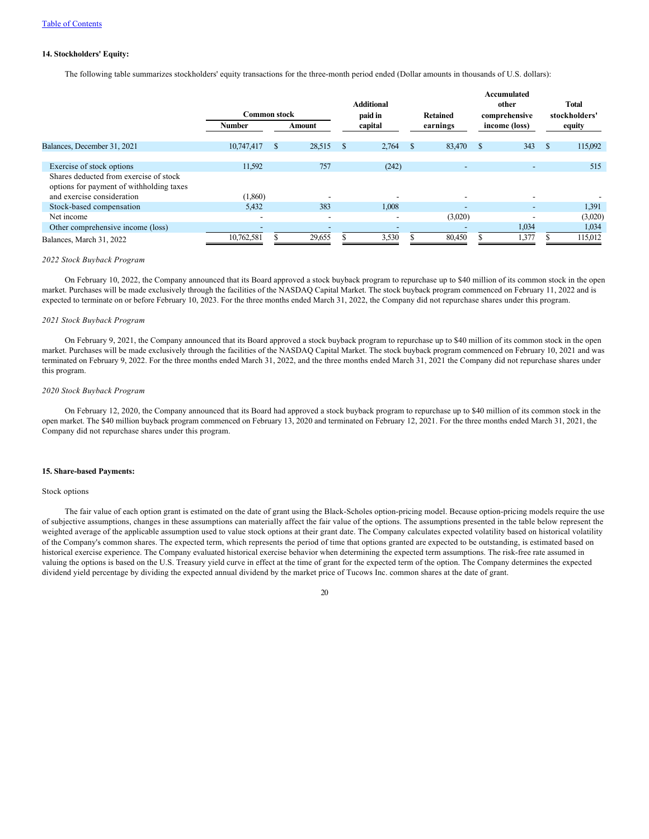### **14. Stockholders' Equity:**

The following table summarizes stockholders' equity transactions for the three-month period ended (Dollar amounts in thousands of U.S. dollars):

|                                                                                    | <b>Common stock</b>      |    |                          | <b>Additional</b><br>paid in<br><b>Retained</b> |         |    |                          |   | Accumulated<br>other<br>comprehensive |          | <b>Total</b><br>stockholders' |
|------------------------------------------------------------------------------------|--------------------------|----|--------------------------|-------------------------------------------------|---------|----|--------------------------|---|---------------------------------------|----------|-------------------------------|
|                                                                                    | <b>Number</b>            |    | <b>Amount</b>            |                                                 | capital |    | earnings                 |   | income (loss)                         |          | equity                        |
| Balances, December 31, 2021                                                        | 10,747,417               | S. | 28,515                   | S                                               | 2,764   | \$ | 83,470                   | S | 343                                   | <b>S</b> | 115,092                       |
| Exercise of stock options                                                          | 11,592                   |    | 757                      |                                                 | (242)   |    | $\overline{\phantom{a}}$ |   | ٠                                     |          | 515                           |
| Shares deducted from exercise of stock<br>options for payment of withholding taxes |                          |    |                          |                                                 |         |    |                          |   |                                       |          |                               |
| and exercise consideration                                                         | (1,860)                  |    |                          |                                                 |         |    | $\overline{\phantom{a}}$ |   |                                       |          |                               |
| Stock-based compensation                                                           | 5,432                    |    | 383                      |                                                 | 1,008   |    | $\overline{\phantom{a}}$ |   | $\overline{\phantom{a}}$              |          | 1,391                         |
| Net income                                                                         | $\overline{\phantom{a}}$ |    | $\overline{\phantom{a}}$ |                                                 |         |    | (3,020)                  |   | -                                     |          | (3,020)                       |
| Other comprehensive income (loss)                                                  |                          |    |                          |                                                 |         |    |                          |   | 1,034                                 |          | 1,034                         |
| Balances, March 31, 2022                                                           | 10,762,581               |    | 29,655                   |                                                 | 3,530   |    | 80,450                   |   | 1,377                                 |          | 115,012                       |

#### *2022 Stock Buyback Program*

On February 10, 2022, the Company announced that its Board approved a stock buyback program to repurchase up to \$40 million of its common stock in the open market. Purchases will be made exclusively through the facilities of the NASDAQ Capital Market. The stock buyback program commenced on February 11, 2022 and is expected to terminate on or before February 10, 2023. For the three months ended March 31, 2022, the Company did not repurchase shares under this program.

# *2021 Stock Buyback Program*

On February 9, 2021, the Company announced that its Board approved a stock buyback program to repurchase up to \$40 million of its common stock in the open market. Purchases will be made exclusively through the facilities of the NASDAQ Capital Market. The stock buyback program commenced on February 10, 2021 and was terminated on February 9, 2022. For the three months ended March 31, 2022, and the three months ended March 31, 2021 the Company did not repurchase shares under this program.

#### *2020 Stock Buyback Program*

On February 12, 2020, the Company announced that its Board had approved a stock buyback program to repurchase up to \$40 million of its common stock in the open market. The \$40 million buyback program commenced on February 13, 2020 and terminated on February 12, 2021. For the three months ended March 31, 2021, the Company did not repurchase shares under this program.

#### **15. Share-based Payments:**

### Stock options

The fair value of each option grant is estimated on the date of grant using the Black-Scholes option-pricing model. Because option-pricing models require the use of subjective assumptions, changes in these assumptions can materially affect the fair value of the options. The assumptions presented in the table below represent the weighted average of the applicable assumption used to value stock options at their grant date. The Company calculates expected volatility based on historical volatility of the Company's common shares. The expected term, which represents the period of time that options granted are expected to be outstanding, is estimated based on historical exercise experience. The Company evaluated historical exercise behavior when determining the expected term assumptions. The risk-free rate assumed in valuing the options is based on the U.S. Treasury yield curve in effect at the time of grant for the expected term of the option. The Company determines the expected dividend yield percentage by dividing the expected annual dividend by the market price of Tucows Inc. common shares at the date of grant.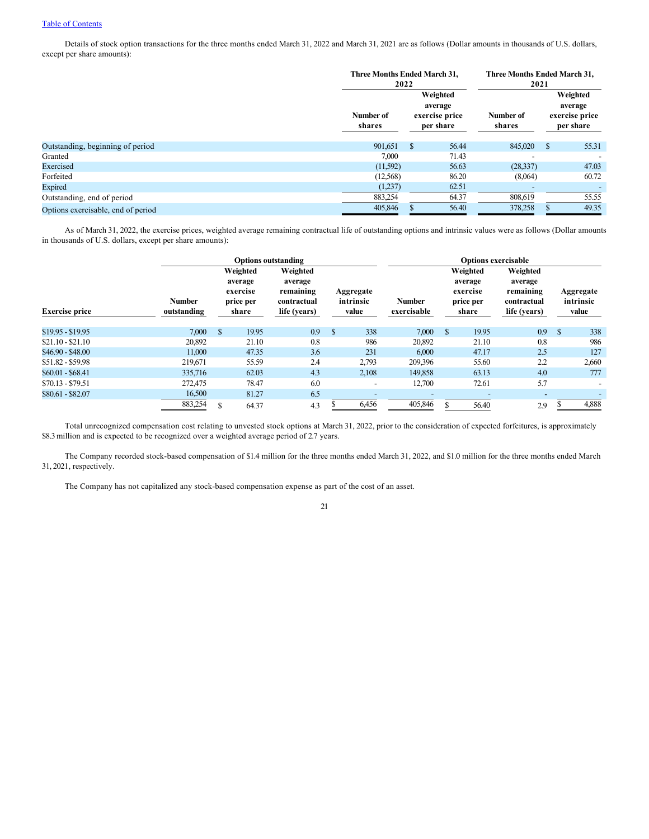Details of stock option transactions for the three months ended March 31, 2022 and March 31, 2021 are as follows (Dollar amounts in thousands of U.S. dollars, except per share amounts):

|                                    | Three Months Ended March 31, | 2022                                               |       | Three Months Ended March 31,<br>2021 |    |                                                    |
|------------------------------------|------------------------------|----------------------------------------------------|-------|--------------------------------------|----|----------------------------------------------------|
|                                    | Number of<br>shares          | Weighted<br>average<br>exercise price<br>per share |       | Number of<br>shares                  |    | Weighted<br>average<br>exercise price<br>per share |
| Outstanding, beginning of period   | 901,651                      | <sup>S</sup>                                       | 56.44 | 845,020                              | \$ | 55.31                                              |
| Granted                            | 7,000                        |                                                    | 71.43 |                                      |    |                                                    |
| Exercised                          | (11,592)                     |                                                    | 56.63 | (28, 337)                            |    | 47.03                                              |
| Forfeited                          | (12,568)                     |                                                    | 86.20 | (8,064)                              |    | 60.72                                              |
| Expired                            | (1,237)                      |                                                    | 62.51 |                                      |    |                                                    |
| Outstanding, end of period         | 883,254                      |                                                    | 64.37 | 808,619                              |    | 55.55                                              |
| Options exercisable, end of period | 405,846                      |                                                    | 56.40 | 378,258                              |    | 49.35                                              |

As of March 31, 2022, the exercise prices, weighted average remaining contractual life of outstanding options and intrinsic values were as follows (Dollar amounts in thousands of U.S. dollars, except per share amounts):

|                       |                              | <b>Options outstanding</b> | <b>Options exercisable</b>                            |                                                                 |              |                                 |                              |     |                                                       |                                                                 |               |                                 |
|-----------------------|------------------------------|----------------------------|-------------------------------------------------------|-----------------------------------------------------------------|--------------|---------------------------------|------------------------------|-----|-------------------------------------------------------|-----------------------------------------------------------------|---------------|---------------------------------|
| <b>Exercise price</b> | <b>Number</b><br>outstanding |                            | Weighted<br>average<br>exercise<br>price per<br>share | Weighted<br>average<br>remaining<br>contractual<br>life (years) |              | Aggregate<br>intrinsic<br>value | <b>Number</b><br>exercisable |     | Weighted<br>average<br>exercise<br>price per<br>share | Weighted<br>average<br>remaining<br>contractual<br>life (years) |               | Aggregate<br>intrinsic<br>value |
| $$19.95 - $19.95$     | 7,000                        | <sup>\$</sup>              | 19.95                                                 | 0.9                                                             | $\mathbf{s}$ | 338                             | 7,000                        | \$. | 19.95                                                 | 0.9                                                             | <sup>\$</sup> | 338                             |
| $$21.10 - $21.10$     | 20,892                       |                            | 21.10                                                 | 0.8                                                             |              | 986                             | 20.892                       |     | 21.10                                                 | 0.8                                                             |               | 986                             |
| \$46.90 - \$48.00     | 11,000                       |                            | 47.35                                                 | 3.6                                                             |              | 231                             | 6,000                        |     | 47.17                                                 | 2.5                                                             |               | 127                             |
| \$51.82 - \$59.98     | 219.671                      |                            | 55.59                                                 | 2.4                                                             |              | 2,793                           | 209,396                      |     | 55.60                                                 | 2.2                                                             |               | 2,660                           |
| $$60.01 - $68.41$     | 335,716                      |                            | 62.03                                                 | 4.3                                                             |              | 2,108                           | 149,858                      |     | 63.13                                                 | 4.0                                                             |               | 777                             |
| $$70.13 - $79.51$     | 272,475                      |                            | 78.47                                                 | 6.0                                                             |              | $\sim$                          | 12,700                       |     | 72.61                                                 | 5.7                                                             |               |                                 |
| $$80.61 - $82.07$     | 16,500                       |                            | 81.27                                                 | 6.5                                                             |              | $\overline{\phantom{a}}$        | -                            |     | $\overline{\phantom{a}}$                              |                                                                 |               |                                 |
|                       | 883,254                      |                            | 64.37                                                 | 4.3                                                             |              | 6,456                           | 405,846                      |     | 56.40                                                 | 2.9                                                             |               | 4,888                           |

Total unrecognized compensation cost relating to unvested stock options at March 31, 2022, prior to the consideration of expected forfeitures, is approximately \$8.3 million and is expected to be recognized over a weighted average period of 2.7 years.

The Company recorded stock-based compensation of \$1.4 million for the three months ended March 31, 2022, and \$1.0 million for the three months ended March 31, 2021, respectively.

The Company has not capitalized any stock-based compensation expense as part of the cost of an asset.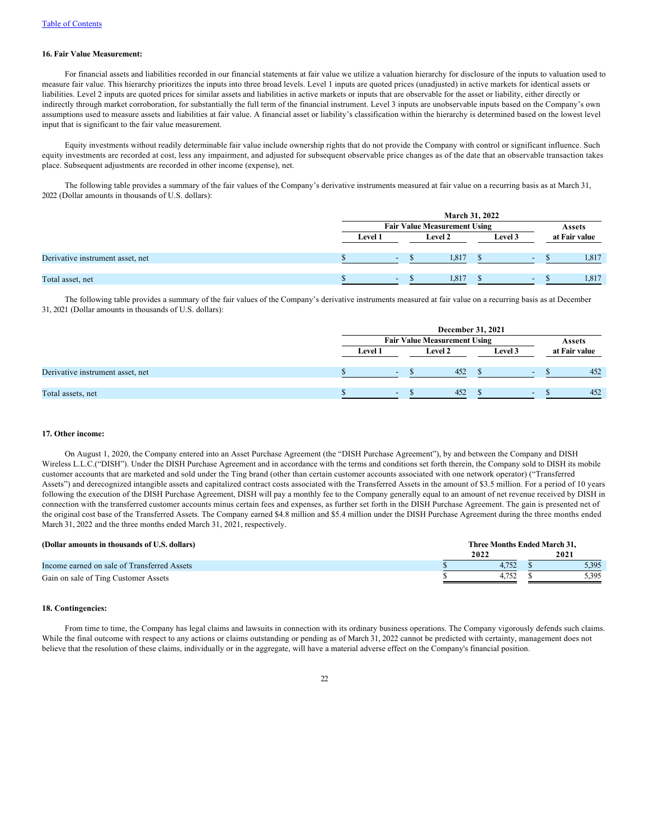# **16. Fair Value Measurement:**

For financial assets and liabilities recorded in our financial statements at fair value we utilize a valuation hierarchy for disclosure of the inputs to valuation used to measure fair value. This hierarchy prioritizes the inputs into three broad levels. Level 1 inputs are quoted prices (unadjusted) in active markets for identical assets or liabilities. Level 2 inputs are quoted prices for similar assets and liabilities in active markets or inputs that are observable for the asset or liability, either directly or indirectly through market corroboration, for substantially the full term of the financial instrument. Level 3 inputs are unobservable inputs based on the Company's own assumptions used to measure assets and liabilities at fair value. A financial asset or liability's classification within the hierarchy is determined based on the lowest level input that is significant to the fair value measurement.

Equity investments without readily determinable fair value include ownership rights that do not provide the Company with control or significant influence. Such equity investments are recorded at cost, less any impairment, and adjusted for subsequent observable price changes as of the date that an observable transaction takes place. Subsequent adjustments are recorded in other income (expense), net.

The following table provides a summary of the fair values of the Company's derivative instruments measured at fair value on a recurring basis as at March 31, 2022 (Dollar amounts in thousands of U.S. dollars):

|                                  |                                     | <b>March 31, 2022</b> |        |                          |               |
|----------------------------------|-------------------------------------|-----------------------|--------|--------------------------|---------------|
|                                  | <b>Fair Value Measurement Using</b> |                       | Assets |                          |               |
|                                  | Level 1                             | <b>Level 2</b>        |        | Level 3                  | at Fair value |
| Derivative instrument asset, net | $\overline{\phantom{0}}$            | 1,817                 |        | $\overline{\phantom{0}}$ | 1,817         |
| Total asset, net                 | $\sim$                              | 1,817                 |        | $\sim$                   | 1,817         |

The following table provides a summary of the fair values of the Company's derivative instruments measured at fair value on a recurring basis as at December 31, 2021 (Dollar amounts in thousands of U.S. dollars):

|                                  |                                     | December 31, 2021 |                          |               |
|----------------------------------|-------------------------------------|-------------------|--------------------------|---------------|
|                                  | <b>Fair Value Measurement Using</b> | Assets            |                          |               |
|                                  | Level 1                             | <b>Level 2</b>    | <b>Level 3</b>           | at Fair value |
|                                  |                                     |                   |                          |               |
| Derivative instrument asset, net | $\sim$                              | 452               | $\sim$                   | 452           |
|                                  |                                     |                   |                          |               |
| Total assets, net                | $\sim$                              | 452               | $\overline{\phantom{a}}$ | 452           |

#### **17. Other income:**

On August 1, 2020, the Company entered into an Asset Purchase Agreement (the "DISH Purchase Agreement"), by and between the Company and DISH Wireless L.L.C.("DISH"). Under the DISH Purchase Agreement and in accordance with the terms and conditions set forth therein, the Company sold to DISH its mobile customer accounts that are marketed and sold under the Ting brand (other than certain customer accounts associated with one network operator) ("Transferred Assets") and derecognized intangible assets and capitalized contract costs associated with the Transferred Assets in the amount of \$3.5 million. For a period of 10 years following the execution of the DISH Purchase Agreement, DISH will pay a monthly fee to the Company generally equal to an amount of net revenue received by DISH in connection with the transferred customer accounts minus certain fees and expenses, as further set forth in the DISH Purchase Agreement. The gain is presented net of the original cost base of the Transferred Assets. The Company earned \$4.8 million and \$5.4 million under the DISH Purchase Agreement during the three months ended March 31, 2022 and the three months ended March 31, 2021, respectively.

| (Dollar amounts in thousands of U.S. dollars) | Three Months Ended March 31. |      |  |       |  |  |  |  |
|-----------------------------------------------|------------------------------|------|--|-------|--|--|--|--|
|                                               |                              | 2022 |  | 2021  |  |  |  |  |
| Income earned on sale of Transferred Assets   |                              |      |  | 5.395 |  |  |  |  |
| Gain on sale of Ting Customer Assets          |                              |      |  | 5.395 |  |  |  |  |

#### **18. Contingencies:**

From time to time, the Company has legal claims and lawsuits in connection with its ordinary business operations. The Company vigorously defends such claims. While the final outcome with respect to any actions or claims outstanding or pending as of March 31, 2022 cannot be predicted with certainty, management does not believe that the resolution of these claims, individually or in the aggregate, will have a material adverse effect on the Company's financial position.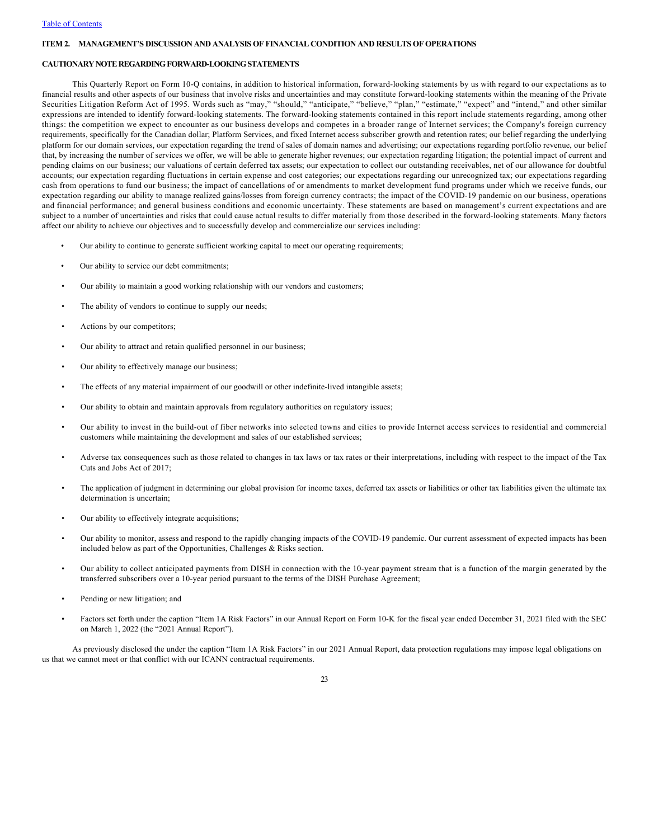#### <span id="page-22-0"></span>**ITEM 2. MANAGEMENT'S DISCUSSION AND ANALYSIS OF FINANCIAL CONDITION AND RESULTS OF OPERATIONS**

# **CAUTIONARY NOTE REGARDING FORWARD-LOOKING STATEMENTS**

This Quarterly Report on Form 10-Q contains, in addition to historical information, forward-looking statements by us with regard to our expectations as to financial results and other aspects of our business that involve risks and uncertainties and may constitute forward-looking statements within the meaning of the Private Securities Litigation Reform Act of 1995. Words such as "may," "should," "anticipate," "believe," "plan," "estimate," "expect" and "intend," and other similar expressions are intended to identify forward-looking statements. The forward-looking statements contained in this report include statements regarding, among other things: the competition we expect to encounter as our business develops and competes in a broader range of Internet services; the Company's foreign currency requirements, specifically for the Canadian dollar; Platform Services, and fixed Internet access subscriber growth and retention rates; our belief regarding the underlying platform for our domain services, our expectation regarding the trend of sales of domain names and advertising; our expectations regarding portfolio revenue, our belief that, by increasing the number of services we offer, we will be able to generate higher revenues; our expectation regarding litigation; the potential impact of current and pending claims on our business; our valuations of certain deferred tax assets; our expectation to collect our outstanding receivables, net of our allowance for doubtful accounts; our expectation regarding fluctuations in certain expense and cost categories; our expectations regarding our unrecognized tax; our expectations regarding cash from operations to fund our business; the impact of cancellations of or amendments to market development fund programs under which we receive funds, our expectation regarding our ability to manage realized gains/losses from foreign currency contracts; the impact of the COVID-19 pandemic on our business, operations and financial performance; and general business conditions and economic uncertainty. These statements are based on management's current expectations and are subject to a number of uncertainties and risks that could cause actual results to differ materially from those described in the forward-looking statements. Many factors affect our ability to achieve our objectives and to successfully develop and commercialize our services including:

- Our ability to continue to generate sufficient working capital to meet our operating requirements;
- Our ability to service our debt commitments;
- Our ability to maintain a good working relationship with our vendors and customers;
- The ability of vendors to continue to supply our needs;
- Actions by our competitors;
- Our ability to attract and retain qualified personnel in our business;
- Our ability to effectively manage our business;
- The effects of any material impairment of our goodwill or other indefinite-lived intangible assets;
- Our ability to obtain and maintain approvals from regulatory authorities on regulatory issues;
- Our ability to invest in the build-out of fiber networks into selected towns and cities to provide Internet access services to residential and commercial customers while maintaining the development and sales of our established services;
- Adverse tax consequences such as those related to changes in tax laws or tax rates or their interpretations, including with respect to the impact of the Tax Cuts and Jobs Act of 2017;
- The application of judgment in determining our global provision for income taxes, deferred tax assets or liabilities or other tax liabilities given the ultimate tax determination is uncertain;
- Our ability to effectively integrate acquisitions;
- Our ability to monitor, assess and respond to the rapidly changing impacts of the COVID-19 pandemic. Our current assessment of expected impacts has been included below as part of the Opportunities, Challenges & Risks section.
- Our ability to collect anticipated payments from DISH in connection with the 10-year payment stream that is a function of the margin generated by the transferred subscribers over a 10-year period pursuant to the terms of the DISH Purchase Agreement;
- Pending or new litigation; and
- Factors set forth under the caption "Item 1A Risk Factors" in our Annual Report on Form 10-K for the fiscal year ended December 31, 2021 filed with the SEC on March 1, 2022 (the "2021 Annual Report").

As previously disclosed the under the caption "Item 1A Risk Factors" in our 2021 Annual Report, data protection regulations may impose legal obligations on us that we cannot meet or that conflict with our ICANN contractual requirements.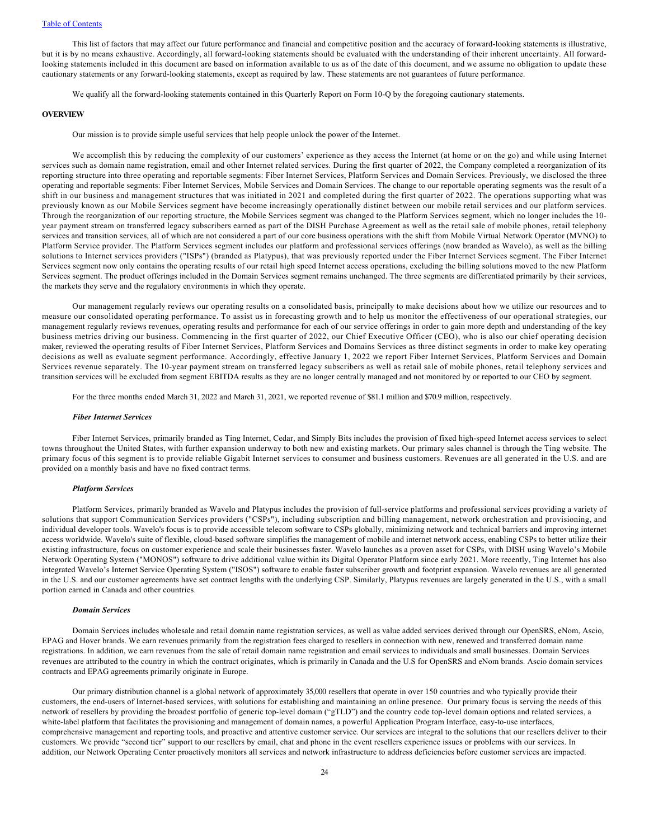This list of factors that may affect our future performance and financial and competitive position and the accuracy of forward-looking statements is illustrative, but it is by no means exhaustive. Accordingly, all forward-looking statements should be evaluated with the understanding of their inherent uncertainty. All forwardlooking statements included in this document are based on information available to us as of the date of this document, and we assume no obligation to update these cautionary statements or any forward-looking statements, except as required by law. These statements are not guarantees of future performance.

We qualify all the forward-looking statements contained in this Quarterly Report on Form 10-Q by the foregoing cautionary statements.

#### **OVERVIEW**

Our mission is to provide simple useful services that help people unlock the power of the Internet.

We accomplish this by reducing the complexity of our customers' experience as they access the Internet (at home or on the go) and while using Internet services such as domain name registration, email and other Internet related services. During the first quarter of 2022, the Company completed a reorganization of its reporting structure into three operating and reportable segments: Fiber Internet Services, Platform Services and Domain Services. Previously, we disclosed the three operating and reportable segments: Fiber Internet Services, Mobile Services and Domain Services. The change to our reportable operating segments was the result of a shift in our business and management structures that was initiated in 2021 and completed during the first quarter of 2022. The operations supporting what was previously known as our Mobile Services segment have become increasingly operationally distinct between our mobile retail services and our platform services. Through the reorganization of our reporting structure, the Mobile Services segment was changed to the Platform Services segment, which no longer includes the 10 year payment stream on transferred legacy subscribers earned as part of the DISH Purchase Agreement as well as the retail sale of mobile phones, retail telephony services and transition services, all of which are not considered a part of our core business operations with the shift from Mobile Virtual Network Operator (MVNO) to Platform Service provider. The Platform Services segment includes our platform and professional services offerings (now branded as Wavelo), as well as the billing solutions to Internet services providers ("ISPs") (branded as Platypus), that was previously reported under the Fiber Internet Services segment. The Fiber Internet Services segment now only contains the operating results of our retail high speed Internet access operations, excluding the billing solutions moved to the new Platform Services segment. The product offerings included in the Domain Services segment remains unchanged. The three segments are differentiated primarily by their services, the markets they serve and the regulatory environments in which they operate.

Our management regularly reviews our operating results on a consolidated basis, principally to make decisions about how we utilize our resources and to measure our consolidated operating performance. To assist us in forecasting growth and to help us monitor the effectiveness of our operational strategies, our management regularly reviews revenues, operating results and performance for each of our service offerings in order to gain more depth and understanding of the key business metrics driving our business. Commencing in the first quarter of 2022, our Chief Executive Officer (CEO), who is also our chief operating decision maker, reviewed the operating results of Fiber Internet Services, Platform Services and Domains Services as three distinct segments in order to make key operating decisions as well as evaluate segment performance. Accordingly, effective January 1, 2022 we report Fiber Internet Services, Platform Services and Domain Services revenue separately. The 10-year payment stream on transferred legacy subscribers as well as retail sale of mobile phones, retail telephony services and transition services will be excluded from segment EBITDA results as they are no longer centrally managed and not monitored by or reported to our CEO by segment.

For the three months ended March 31, 2022 and March 31, 2021, we reported revenue of \$81.1 million and \$70.9 million, respectively.

#### *Fiber Internet Services*

Fiber Internet Services, primarily branded as Ting Internet, Cedar, and Simply Bits includes the provision of fixed high-speed Internet access services to select towns throughout the United States, with further expansion underway to both new and existing markets. Our primary sales channel is through the Ting website. The primary focus of this segment is to provide reliable Gigabit Internet services to consumer and business customers. Revenues are all generated in the U.S. and are provided on a monthly basis and have no fixed contract terms.

# *Platform Services*

Platform Services, primarily branded as Wavelo and Platypus includes the provision of full-service platforms and professional services providing a variety of solutions that support Communication Services providers ("CSPs"), including subscription and billing management, network orchestration and provisioning, and individual developer tools. Wavelo's focus is to provide accessible telecom software to CSPs globally, minimizing network and technical barriers and improving internet access worldwide. Wavelo's suite of flexible, cloud-based software simplifies the management of mobile and internet network access, enabling CSPs to better utilize their existing infrastructure, focus on customer experience and scale their businesses faster. Wavelo launches as a proven asset for CSPs, with DISH using Wavelo's Mobile Network Operating System ("MONOS") software to drive additional value within its Digital Operator Platform since early 2021. More recently, Ting Internet has also integrated Wavelo's Internet Service Operating System ("ISOS") software to enable faster subscriber growth and footprint expansion. Wavelo revenues are all generated in the U.S. and our customer agreements have set contract lengths with the underlying CSP. Similarly, Platypus revenues are largely generated in the U.S., with a small portion earned in Canada and other countries.

### *Domain Services*

Domain Services includes wholesale and retail domain name registration services, as well as value added services derived through our OpenSRS, eNom, Ascio, EPAG and Hover brands. We earn revenues primarily from the registration fees charged to resellers in connection with new, renewed and transferred domain name registrations. In addition, we earn revenues from the sale of retail domain name registration and email services to individuals and small businesses. Domain Services revenues are attributed to the country in which the contract originates, which is primarily in Canada and the U.S for OpenSRS and eNom brands. Ascio domain services contracts and EPAG agreements primarily originate in Europe.

Our primary distribution channel is a global network of approximately 35,000 resellers that operate in over 150 countries and who typically provide their customers, the end-users of Internet-based services, with solutions for establishing and maintaining an online presence. Our primary focus is serving the needs of this network of resellers by providing the broadest portfolio of generic top-level domain ("gTLD") and the country code top-level domain options and related services, a white-label platform that facilitates the provisioning and management of domain names, a powerful Application Program Interface, easy-to-use interfaces, comprehensive management and reporting tools, and proactive and attentive customer service. Our services are integral to the solutions that our resellers deliver to their customers. We provide "second tier" support to our resellers by email, chat and phone in the event resellers experience issues or problems with our services. In addition, our Network Operating Center proactively monitors all services and network infrastructure to address deficiencies before customer services are impacted.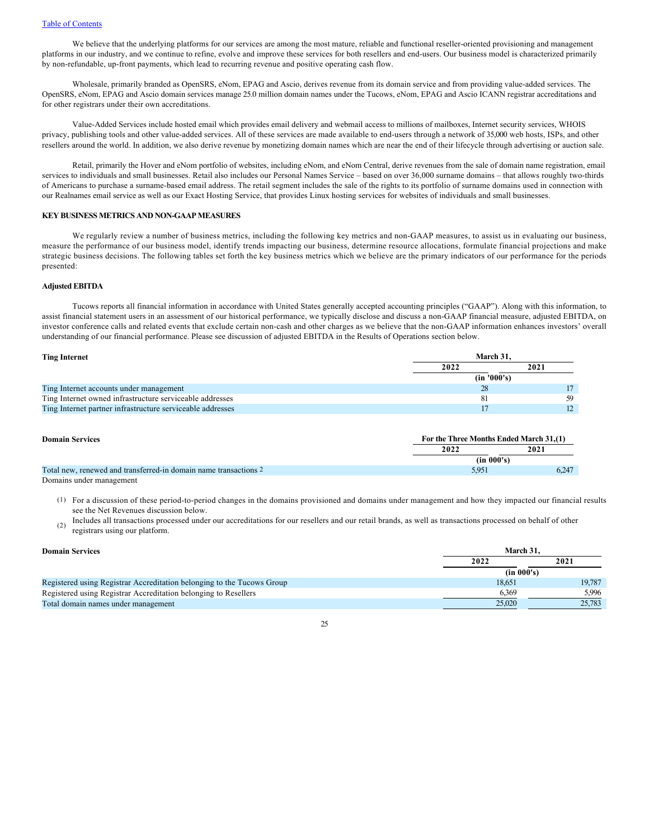We believe that the underlying platforms for our services are among the most mature, reliable and functional reseller-oriented provisioning and management platforms in our industry, and we continue to refine, evolve and improve these services for both resellers and end-users. Our business model is characterized primarily by non-refundable, up-front payments, which lead to recurring revenue and positive operating cash flow.

Wholesale, primarily branded as OpenSRS, eNom, EPAG and Ascio, derives revenue from its domain service and from providing value-added services. The OpenSRS, eNom, EPAG and Ascio domain services manage 25.0 million domain names under the Tucows, eNom, EPAG and Ascio ICANN registrar accreditations and for other registrars under their own accreditations.

Value-Added Services include hosted email which provides email delivery and webmail access to millions of mailboxes, Internet security services, WHOIS privacy, publishing tools and other value-added services. All of these services are made available to end-users through a network of 35,000 web hosts, ISPs, and other resellers around the world. In addition, we also derive revenue by monetizing domain names which are near the end of their lifecycle through advertising or auction sale.

Retail, primarily the Hover and eNom portfolio of websites, including eNom, and eNom Central, derive revenues from the sale of domain name registration, email services to individuals and small businesses. Retail also includes our Personal Names Service – based on over 36,000 surname domains – that allows roughly two-thirds of Americans to purchase a surname-based email address. The retail segment includes the sale of the rights to its portfolio of surname domains used in connection with our Realnames email service as well as our Exact Hosting Service, that provides Linux hosting services for websites of individuals and small businesses.

### **KEY BUSINESS METRICS AND NON-GAAP MEASURES**

We regularly review a number of business metrics, including the following key metrics and non-GAAP measures, to assist us in evaluating our business, measure the performance of our business model, identify trends impacting our business, determine resource allocations, formulate financial projections and make strategic business decisions. The following tables set forth the key business metrics which we believe are the primary indicators of our performance for the periods presented:

# **Adjusted EBITDA**

Tucows reports all financial information in accordance with United States generally accepted accounting principles ("GAAP"). Along with this information, to assist financial statement users in an assessment of our historical performance, we typically disclose and discuss a non-GAAP financial measure, adjusted EBITDA, on investor conference calls and related events that exclude certain non-cash and other charges as we believe that the non-GAAP information enhances investors' overall understanding of our financial performance. Please see discussion of adjusted EBITDA in the Results of Operations section below.

| <b>Ting Internet</b>                                       | March 31.   |      |  |  |  |  |  |  |
|------------------------------------------------------------|-------------|------|--|--|--|--|--|--|
|                                                            | 2022        | 2021 |  |  |  |  |  |  |
|                                                            | (in '000's) |      |  |  |  |  |  |  |
| Ting Internet accounts under management                    | 28          |      |  |  |  |  |  |  |
| Ting Internet owned infrastructure serviceable addresses   | 81          | 59   |  |  |  |  |  |  |
| Ting Internet partner infrastructure serviceable addresses |             |      |  |  |  |  |  |  |

| <b>Domain Services</b>                                           |            | For the Three Months Ended March 31,(1) |  |  |
|------------------------------------------------------------------|------------|-----------------------------------------|--|--|
|                                                                  | 2022       | 2021                                    |  |  |
|                                                                  | (in 000's) |                                         |  |  |
| Total new, renewed and transferred-in domain name transactions 2 | 5.951      | 6.247                                   |  |  |

Domains under management

(1) For a discussion of these period-to-period changes in the domains provisioned and domains under management and how they impacted our financial results see the Net Revenues discussion below.

(2) Includes all transactions processed under our accreditations for our resellers and our retail brands, as well as transactions processed on behalf of other registrars using our platform.

| <b>Domain Services</b>                                                 | March 31.  |        |
|------------------------------------------------------------------------|------------|--------|
|                                                                        | 2022       | 2021   |
|                                                                        | (in 000's) |        |
| Registered using Registrar Accreditation belonging to the Tucows Group | 18.651     | 19.787 |
| Registered using Registrar Accreditation belonging to Resellers        | 6.369      | 5.996  |
| Total domain names under management                                    | 25,020     | 25,783 |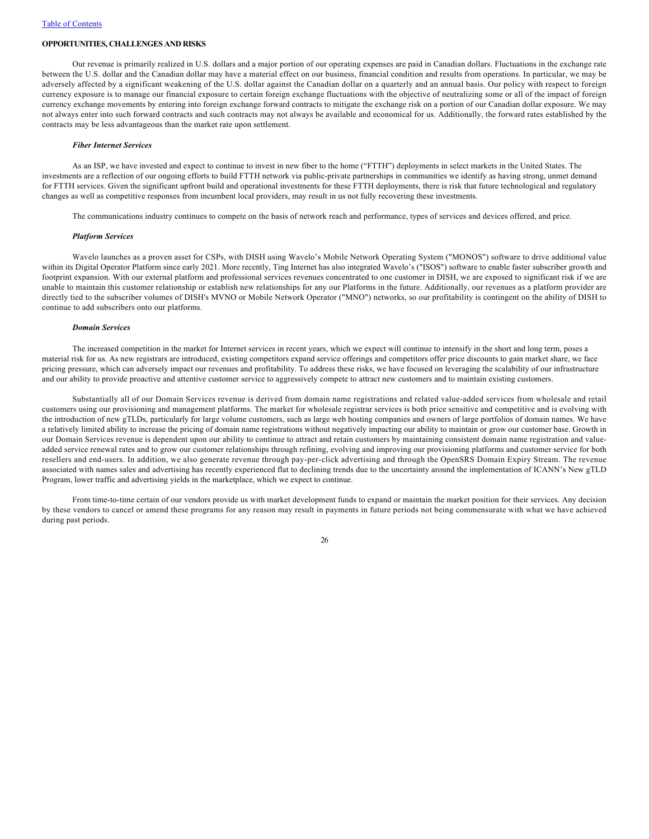### **OPPORTUNITIES, CHALLENGES AND RISKS**

Our revenue is primarily realized in U.S. dollars and a major portion of our operating expenses are paid in Canadian dollars. Fluctuations in the exchange rate between the U.S. dollar and the Canadian dollar may have a material effect on our business, financial condition and results from operations. In particular, we may be adversely affected by a significant weakening of the U.S. dollar against the Canadian dollar on a quarterly and an annual basis. Our policy with respect to foreign currency exposure is to manage our financial exposure to certain foreign exchange fluctuations with the objective of neutralizing some or all of the impact of foreign currency exchange movements by entering into foreign exchange forward contracts to mitigate the exchange risk on a portion of our Canadian dollar exposure. We may not always enter into such forward contracts and such contracts may not always be available and economical for us. Additionally, the forward rates established by the contracts may be less advantageous than the market rate upon settlement.

#### *Fiber Internet Services*

As an ISP, we have invested and expect to continue to invest in new fiber to the home ("FTTH") deployments in select markets in the United States. The investments are a reflection of our ongoing efforts to build FTTH network via public-private partnerships in communities we identify as having strong, unmet demand for FTTH services. Given the significant upfront build and operational investments for these FTTH deployments, there is risk that future technological and regulatory changes as well as competitive responses from incumbent local providers, may result in us not fully recovering these investments.

The communications industry continues to compete on the basis of network reach and performance, types of services and devices offered, and price.

#### *Platform Services*

Wavelo launches as a proven asset for CSPs, with DISH using Wavelo's Mobile Network Operating System ("MONOS") software to drive additional value within its Digital Operator Platform since early 2021. More recently, Ting Internet has also integrated Wavelo's ("ISOS") software to enable faster subscriber growth and footprint expansion. With our external platform and professional services revenues concentrated to one customer in DISH, we are exposed to significant risk if we are unable to maintain this customer relationship or establish new relationships for any our Platforms in the future. Additionally, our revenues as a platform provider are directly tied to the subscriber volumes of DISH's MVNO or Mobile Network Operator ("MNO") networks, so our profitability is contingent on the ability of DISH to continue to add subscribers onto our platforms.

### *Domain Services*

The increased competition in the market for Internet services in recent years, which we expect will continue to intensify in the short and long term, poses a material risk for us. As new registrars are introduced, existing competitors expand service offerings and competitors offer price discounts to gain market share, we face pricing pressure, which can adversely impact our revenues and profitability. To address these risks, we have focused on leveraging the scalability of our infrastructure and our ability to provide proactive and attentive customer service to aggressively compete to attract new customers and to maintain existing customers.

Substantially all of our Domain Services revenue is derived from domain name registrations and related value-added services from wholesale and retail customers using our provisioning and management platforms. The market for wholesale registrar services is both price sensitive and competitive and is evolving with the introduction of new gTLDs, particularly for large volume customers, such as large web hosting companies and owners of large portfolios of domain names. We have a relatively limited ability to increase the pricing of domain name registrations without negatively impacting our ability to maintain or grow our customer base. Growth in our Domain Services revenue is dependent upon our ability to continue to attract and retain customers by maintaining consistent domain name registration and valueadded service renewal rates and to grow our customer relationships through refining, evolving and improving our provisioning platforms and customer service for both resellers and end-users. In addition, we also generate revenue through pay-per-click advertising and through the OpenSRS Domain Expiry Stream. The revenue associated with names sales and advertising has recently experienced flat to declining trends due to the uncertainty around the implementation of ICANN's New gTLD Program, lower traffic and advertising yields in the marketplace, which we expect to continue.

From time-to-time certain of our vendors provide us with market development funds to expand or maintain the market position for their services. Any decision by these vendors to cancel or amend these programs for any reason may result in payments in future periods not being commensurate with what we have achieved during past periods.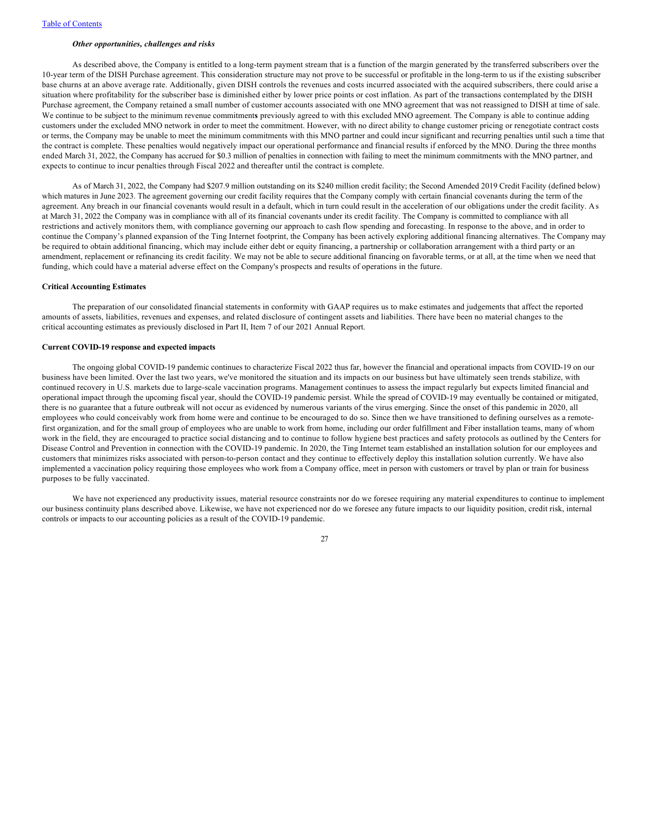# *Other opportunities, challenges and risks*

As described above, the Company is entitled to a long-term payment stream that is a function of the margin generated by the transferred subscribers over the 10-year term of the DISH Purchase agreement. This consideration structure may not prove to be successful or profitable in the long-term to us if the existing subscriber base churns at an above average rate. Additionally, given DISH controls the revenues and costs incurred associated with the acquired subscribers, there could arise a situation where profitability for the subscriber base is diminished either by lower price points or cost inflation. As part of the transactions contemplated by the DISH Purchase agreement, the Company retained a small number of customer accounts associated with one MNO agreement that was not reassigned to DISH at time of sale. We continue to be subject to the minimum revenue commitment**s** previously agreed to with this excluded MNO agreement. The Company is able to continue adding customers under the excluded MNO network in order to meet the commitment. However, with no direct ability to change customer pricing or renegotiate contract costs or terms, the Company may be unable to meet the minimum commitments with this MNO partner and could incur significant and recurring penalties until such a time that the contract is complete. These penalties would negatively impact our operational performance and financial results if enforced by the MNO. During the three months ended March 31, 2022, the Company has accrued for \$0.3 million of penalties in connection with failing to meet the minimum commitments with the MNO partner, and expects to continue to incur penalties through Fiscal 2022 and thereafter until the contract is complete.

As of March 31, 2022, the Company had \$207.9 million outstanding on its \$240 million credit facility; the Second Amended 2019 Credit Facility (defined below) which matures in June 2023. The agreement governing our credit facility requires that the Company comply with certain financial covenants during the term of the agreement. Any breach in our financial covenants would result in a default, which in turn could result in the acceleration of our obligations under the credit facility. As at March 31, 2022 the Company was in compliance with all of its financial covenants under its credit facility. The Company is committed to compliance with all restrictions and actively monitors them, with compliance governing our approach to cash flow spending and forecasting. In response to the above, and in order to continue the Company's planned expansion of the Ting Internet footprint, the Company has been actively exploring additional financing alternatives. The Company may be required to obtain additional financing, which may include either debt or equity financing, a partnership or collaboration arrangement with a third party or an amendment, replacement or refinancing its credit facility. We may not be able to secure additional financing on favorable terms, or at all, at the time when we need that funding, which could have a material adverse effect on the Company's prospects and results of operations in the future.

# **Critical Accounting Estimates**

The preparation of our consolidated financial statements in conformity with GAAP requires us to make estimates and judgements that affect the reported amounts of assets, liabilities, revenues and expenses, and related disclosure of contingent assets and liabilities. There have been no material changes to the critical accounting estimates as previously disclosed in Part II, Item 7 of our 2021 Annual Report.

# **Current COVID-19 response and expected impacts**

The ongoing global COVID-19 pandemic continues to characterize Fiscal 2022 thus far, however the financial and operational impacts from COVID-19 on our business have been limited. Over the last two years, we've monitored the situation and its impacts on our business but have ultimately seen trends stabilize, with continued recovery in U.S. markets due to large-scale vaccination programs. Management continues to assess the impact regularly but expects limited financial and operational impact through the upcoming fiscal year, should the COVID-19 pandemic persist. While the spread of COVID-19 may eventually be contained or mitigated, there is no guarantee that a future outbreak will not occur as evidenced by numerous variants of the virus emerging. Since the onset of this pandemic in 2020, all employees who could conceivably work from home were and continue to be encouraged to do so. Since then we have transitioned to defining ourselves as a remotefirst organization, and for the small group of employees who are unable to work from home, including our order fulfillment and Fiber installation teams, many of whom work in the field, they are encouraged to practice social distancing and to continue to follow hygiene best practices and safety protocols as outlined by the Centers for Disease Control and Prevention in connection with the COVID-19 pandemic. In 2020, the Ting Internet team established an installation solution for our employees and customers that minimizes risks associated with person-to-person contact and they continue to effectively deploy this installation solution currently. We have also implemented a vaccination policy requiring those employees who work from a Company office, meet in person with customers or travel by plan or train for business purposes to be fully vaccinated.

We have not experienced any productivity issues, material resource constraints nor do we foresee requiring any material expenditures to continue to implement our business continuity plans described above. Likewise, we have not experienced nor do we foresee any future impacts to our liquidity position, credit risk, internal controls or impacts to our accounting policies as a result of the COVID-19 pandemic.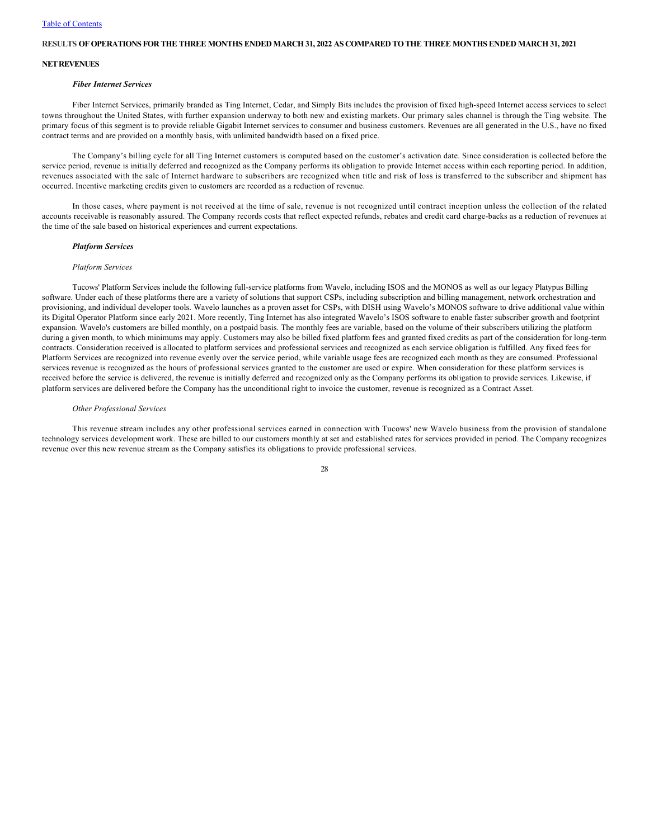#### **RESULTS OF OPERATIONS FOR THE THREE MONTHS ENDED MARCH 31, 2022 AS COMPARED TO THE THREE MONTHS ENDED MARCH 31, 2021**

### **NET REVENUES**

### *Fiber Internet Services*

Fiber Internet Services, primarily branded as Ting Internet, Cedar, and Simply Bits includes the provision of fixed high-speed Internet access services to select towns throughout the United States, with further expansion underway to both new and existing markets. Our primary sales channel is through the Ting website. The primary focus of this segment is to provide reliable Gigabit Internet services to consumer and business customers. Revenues are all generated in the U.S., have no fixed contract terms and are provided on a monthly basis, with unlimited bandwidth based on a fixed price.

The Company's billing cycle for all Ting Internet customers is computed based on the customer's activation date. Since consideration is collected before the service period, revenue is initially deferred and recognized as the Company performs its obligation to provide Internet access within each reporting period. In addition, revenues associated with the sale of Internet hardware to subscribers are recognized when title and risk of loss is transferred to the subscriber and shipment has occurred. Incentive marketing credits given to customers are recorded as a reduction of revenue.

In those cases, where payment is not received at the time of sale, revenue is not recognized until contract inception unless the collection of the related accounts receivable is reasonably assured. The Company records costs that reflect expected refunds, rebates and credit card charge-backs as a reduction of revenues at the time of the sale based on historical experiences and current expectations.

#### *Platform Services*

#### *Platform Services*

Tucows' Platform Services include the following full-service platforms from Wavelo, including ISOS and the MONOS as well as our legacy Platypus Billing software. Under each of these platforms there are a variety of solutions that support CSPs, including subscription and billing management, network orchestration and provisioning, and individual developer tools. Wavelo launches as a proven asset for CSPs, with DISH using Wavelo's MONOS software to drive additional value within its Digital Operator Platform since early 2021. More recently, Ting Internet has also integrated Wavelo's ISOS software to enable faster subscriber growth and footprint expansion. Wavelo's customers are billed monthly, on a postpaid basis. The monthly fees are variable, based on the volume of their subscribers utilizing the platform during a given month, to which minimums may apply. Customers may also be billed fixed platform fees and granted fixed credits as part of the consideration for long-term contracts. Consideration received is allocated to platform services and professional services and recognized as each service obligation is fulfilled. Any fixed fees for Platform Services are recognized into revenue evenly over the service period, while variable usage fees are recognized each month as they are consumed. Professional services revenue is recognized as the hours of professional services granted to the customer are used or expire. When consideration for these platform services is received before the service is delivered, the revenue is initially deferred and recognized only as the Company performs its obligation to provide services. Likewise, if platform services are delivered before the Company has the unconditional right to invoice the customer, revenue is recognized as a Contract Asset.

### *Other Professional Services*

This revenue stream includes any other professional services earned in connection with Tucows' new Wavelo business from the provision of standalone technology services development work. These are billed to our customers monthly at set and established rates for services provided in period. The Company recognizes revenue over this new revenue stream as the Company satisfies its obligations to provide professional services.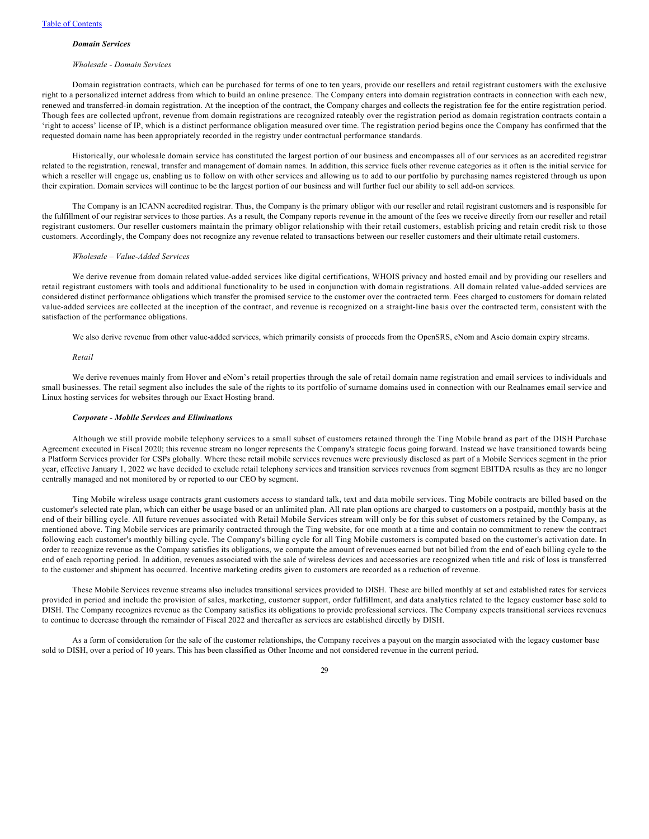#### *Domain Services*

#### *Wholesale - Domain Services*

Domain registration contracts, which can be purchased for terms of one to ten years, provide our resellers and retail registrant customers with the exclusive right to a personalized internet address from which to build an online presence. The Company enters into domain registration contracts in connection with each new, renewed and transferred-in domain registration. At the inception of the contract, the Company charges and collects the registration fee for the entire registration period. Though fees are collected upfront, revenue from domain registrations are recognized rateably over the registration period as domain registration contracts contain a 'right to access' license of IP, which is a distinct performance obligation measured over time. The registration period begins once the Company has confirmed that the requested domain name has been appropriately recorded in the registry under contractual performance standards.

Historically, our wholesale domain service has constituted the largest portion of our business and encompasses all of our services as an accredited registrar related to the registration, renewal, transfer and management of domain names. In addition, this service fuels other revenue categories as it often is the initial service for which a reseller will engage us, enabling us to follow on with other services and allowing us to add to our portfolio by purchasing names registered through us upon their expiration. Domain services will continue to be the largest portion of our business and will further fuel our ability to sell add-on services.

The Company is an ICANN accredited registrar. Thus, the Company is the primary obligor with our reseller and retail registrant customers and is responsible for the fulfillment of our registrar services to those parties. As a result, the Company reports revenue in the amount of the fees we receive directly from our reseller and retail registrant customers. Our reseller customers maintain the primary obligor relationship with their retail customers, establish pricing and retain credit risk to those customers. Accordingly, the Company does not recognize any revenue related to transactions between our reseller customers and their ultimate retail customers.

# *Wholesale – Value-Added Services*

We derive revenue from domain related value-added services like digital certifications, WHOIS privacy and hosted email and by providing our resellers and retail registrant customers with tools and additional functionality to be used in conjunction with domain registrations. All domain related value-added services are considered distinct performance obligations which transfer the promised service to the customer over the contracted term. Fees charged to customers for domain related value-added services are collected at the inception of the contract, and revenue is recognized on a straight-line basis over the contracted term, consistent with the satisfaction of the performance obligations.

We also derive revenue from other value-added services, which primarily consists of proceeds from the OpenSRS, eNom and Ascio domain expiry streams.

#### *Retail*

We derive revenues mainly from Hover and eNom's retail properties through the sale of retail domain name registration and email services to individuals and small businesses. The retail segment also includes the sale of the rights to its portfolio of surname domains used in connection with our Realnames email service and Linux hosting services for websites through our Exact Hosting brand.

# *Corporate - Mobile Services and Eliminations*

Although we still provide mobile telephony services to a small subset of customers retained through the Ting Mobile brand as part of the DISH Purchase Agreement executed in Fiscal 2020; this revenue stream no longer represents the Company's strategic focus going forward. Instead we have transitioned towards being a Platform Services provider for CSPs globally. Where these retail mobile services revenues were previously disclosed as part of a Mobile Services segment in the prior year, effective January 1, 2022 we have decided to exclude retail telephony services and transition services revenues from segment EBITDA results as they are no longer centrally managed and not monitored by or reported to our CEO by segment.

Ting Mobile wireless usage contracts grant customers access to standard talk, text and data mobile services. Ting Mobile contracts are billed based on the customer's selected rate plan, which can either be usage based or an unlimited plan. All rate plan options are charged to customers on a postpaid, monthly basis at the end of their billing cycle. All future revenues associated with Retail Mobile Services stream will only be for this subset of customers retained by the Company, as mentioned above. Ting Mobile services are primarily contracted through the Ting website, for one month at a time and contain no commitment to renew the contract following each customer's monthly billing cycle. The Company's billing cycle for all Ting Mobile customers is computed based on the customer's activation date. In order to recognize revenue as the Company satisfies its obligations, we compute the amount of revenues earned but not billed from the end of each billing cycle to the end of each reporting period. In addition, revenues associated with the sale of wireless devices and accessories are recognized when title and risk of loss is transferred to the customer and shipment has occurred. Incentive marketing credits given to customers are recorded as a reduction of revenue.

These Mobile Services revenue streams also includes transitional services provided to DISH. These are billed monthly at set and established rates for services provided in period and include the provision of sales, marketing, customer support, order fulfillment, and data analytics related to the legacy customer base sold to DISH. The Company recognizes revenue as the Company satisfies its obligations to provide professional services. The Company expects transitional services revenues to continue to decrease through the remainder of Fiscal 2022 and thereafter as services are established directly by DISH.

As a form of consideration for the sale of the customer relationships, the Company receives a payout on the margin associated with the legacy customer base sold to DISH, over a period of 10 years. This has been classified as Other Income and not considered revenue in the current period.

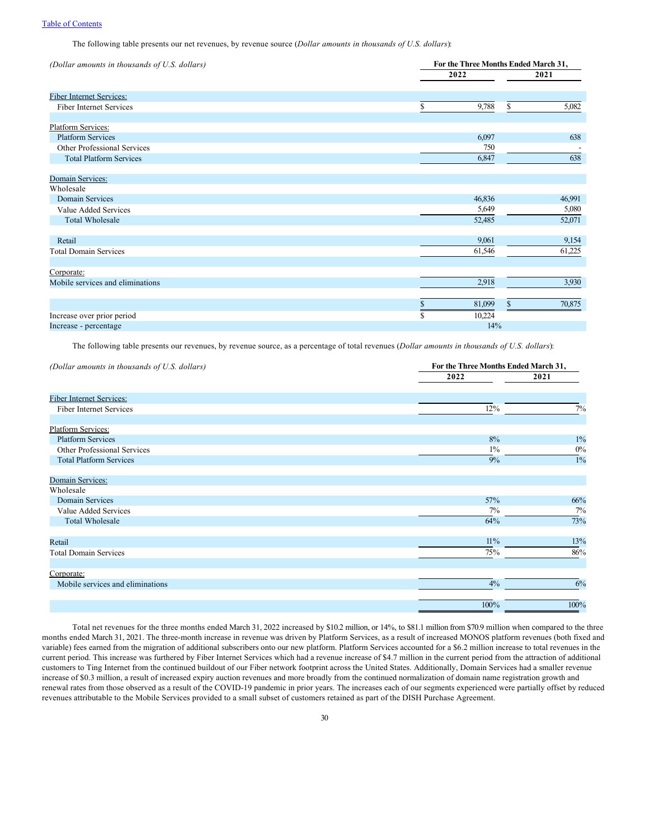# [Table of Contents](#page-1-0)

The following table presents our net revenues, by revenue source (*Dollar amounts in thousands of U.S. dollars*):

| (Dollar amounts in thousands of U.S. dollars) | For the Three Months Ended March 31, |        |    |        |
|-----------------------------------------------|--------------------------------------|--------|----|--------|
|                                               | 2022                                 |        |    | 2021   |
|                                               |                                      |        |    |        |
| <b>Fiber Internet Services:</b>               |                                      |        |    |        |
| Fiber Internet Services                       | \$                                   | 9,788  | \$ | 5,082  |
|                                               |                                      |        |    |        |
| Platform Services:                            |                                      |        |    |        |
| <b>Platform Services</b>                      |                                      | 6,097  |    | 638    |
| Other Professional Services                   |                                      | 750    |    |        |
| <b>Total Platform Services</b>                |                                      | 6,847  |    | 638    |
|                                               |                                      |        |    |        |
| Domain Services:                              |                                      |        |    |        |
| Wholesale                                     |                                      |        |    |        |
| Domain Services                               |                                      | 46,836 |    | 46,991 |
| Value Added Services                          |                                      | 5,649  |    | 5,080  |
| Total Wholesale                               |                                      | 52,485 |    | 52,071 |
|                                               |                                      |        |    |        |
| Retail                                        |                                      | 9,061  |    | 9,154  |
| <b>Total Domain Services</b>                  |                                      | 61,546 |    | 61,225 |
|                                               |                                      |        |    |        |
| Corporate:                                    |                                      |        |    |        |
| Mobile services and eliminations              |                                      | 2,918  |    | 3,930  |
|                                               |                                      |        |    |        |
|                                               | \$                                   | 81,099 | \$ | 70,875 |
| Increase over prior period                    | \$                                   | 10,224 |    |        |
| Increase - percentage                         |                                      | 14%    |    |        |

The following table presents our revenues, by revenue source, as a percentage of total revenues (*Dollar amounts in thousands of U.S. dollars*):

| (Dollar amounts in thousands of U.S. dollars) |        | For the Three Months Ended March 31, |  |  |
|-----------------------------------------------|--------|--------------------------------------|--|--|
|                                               | 2022   | 2021                                 |  |  |
| <b>Fiber Internet Services:</b>               |        |                                      |  |  |
| Fiber Internet Services                       | 12%    | 7%                                   |  |  |
| Platform Services:                            |        |                                      |  |  |
| <b>Platform Services</b>                      | 8%     | $1\%$                                |  |  |
| Other Professional Services                   | $1\%$  | $0\%$                                |  |  |
| <b>Total Platform Services</b>                | 9%     | $1\%$                                |  |  |
| Domain Services:                              |        |                                      |  |  |
| Wholesale                                     |        |                                      |  |  |
| Domain Services                               | 57%    | 66%                                  |  |  |
| Value Added Services                          | 7%     | 7%                                   |  |  |
| <b>Total Wholesale</b>                        | 64%    | 73%                                  |  |  |
| Retail                                        | $11\%$ | 13%                                  |  |  |
| <b>Total Domain Services</b>                  | 75%    | 86%                                  |  |  |
| Corporate:                                    |        |                                      |  |  |
| Mobile services and eliminations              | 4%     | 6%                                   |  |  |
|                                               |        |                                      |  |  |
|                                               | 100%   | 100%                                 |  |  |

Total net revenues for the three months ended March 31, 2022 increased by \$10.2 million, or 14%, to \$81.1 million from \$70.9 million when compared to the three months ended March 31, 2021. The three-month increase in revenue was driven by Platform Services, as a result of increased MONOS platform revenues (both fixed and variable) fees earned from the migration of additional subscribers onto our new platform. Platform Services accounted for a \$6.2 million increase to total revenues in the current period. This increase was furthered by Fiber Internet Services which had a revenue increase of \$4.7 million in the current period from the attraction of additional customers to Ting Internet from the continued buildout of our Fiber network footprint across the United States. Additionally, Domain Services had a smaller revenue increase of \$0.3 million, a result of increased expiry auction revenues and more broadly from the continued normalization of domain name registration growth and renewal rates from those observed as a result of the COVID-19 pandemic in prior years. The increases each of our segments experienced were partially offset by reduced revenues attributable to the Mobile Services provided to a small subset of customers retained as part of the DISH Purchase Agreement.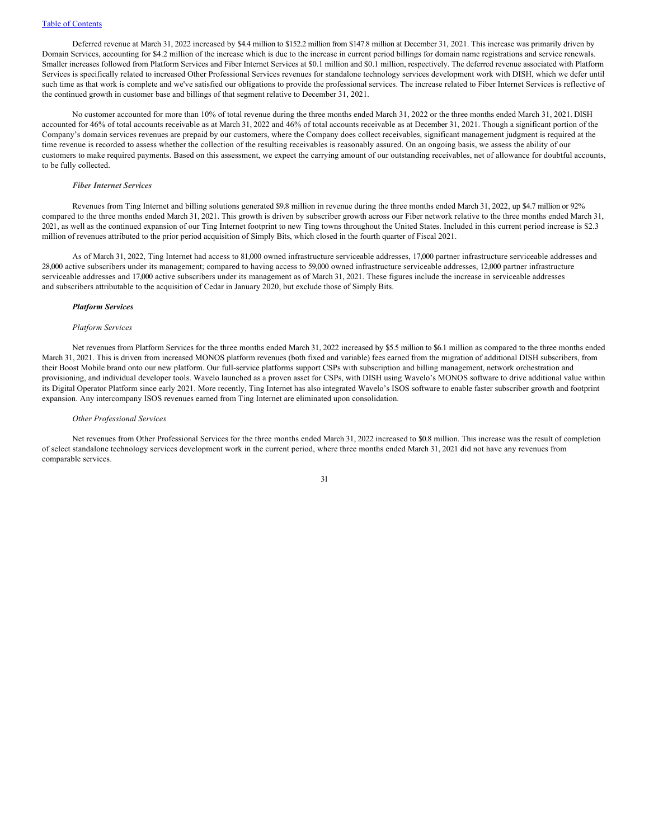Deferred revenue at March 31, 2022 increased by \$4.4 million to \$152.2 million from \$147.8 million at December 31, 2021. This increase was primarily driven by Domain Services, accounting for \$4.2 million of the increase which is due to the increase in current period billings for domain name registrations and service renewals. Smaller increases followed from Platform Services and Fiber Internet Services at \$0.1 million and \$0.1 million, respectively. The deferred revenue associated with Platform Services is specifically related to increased Other Professional Services revenues for standalone technology services development work with DISH, which we defer until such time as that work is complete and we've satisfied our obligations to provide the professional services. The increase related to Fiber Internet Services is reflective of the continued growth in customer base and billings of that segment relative to December 31, 2021.

No customer accounted for more than 10% of total revenue during the three months ended March 31, 2022 or the three months ended March 31, 2021. DISH accounted for 46% of total accounts receivable as at March 31, 2022 and 46% of total accounts receivable as at December 31, 2021. Though a significant portion of the Company's domain services revenues are prepaid by our customers, where the Company does collect receivables, significant management judgment is required at the time revenue is recorded to assess whether the collection of the resulting receivables is reasonably assured. On an ongoing basis, we assess the ability of our customers to make required payments. Based on this assessment, we expect the carrying amount of our outstanding receivables, net of allowance for doubtful accounts, to be fully collected.

# *Fiber Internet Services*

Revenues from Ting Internet and billing solutions generated \$9.8 million in revenue during the three months ended March 31, 2022, up \$4.7 million or 92% compared to the three months ended March 31, 2021. This growth is driven by subscriber growth across our Fiber network relative to the three months ended March 31, 2021, as well as the continued expansion of our Ting Internet footprint to new Ting towns throughout the United States. Included in this current period increase is \$2.3 million of revenues attributed to the prior period acquisition of Simply Bits, which closed in the fourth quarter of Fiscal 2021.

As of March 31, 2022, Ting Internet had access to 81,000 owned infrastructure serviceable addresses, 17,000 partner infrastructure serviceable addresses and 28,000 active subscribers under its management; compared to having access to 59,000 owned infrastructure serviceable addresses, 12,000 partner infrastructure serviceable addresses and 17,000 active subscribers under its management as of March 31, 2021. These figures include the increase in serviceable addresses and subscribers attributable to the acquisition of Cedar in January 2020, but exclude those of Simply Bits.

# *Platform Services*

# *Platform Services*

Net revenues from Platform Services for the three months ended March 31, 2022 increased by \$5.5 million to \$6.1 million as compared to the three months ended March 31, 2021. This is driven from increased MONOS platform revenues (both fixed and variable) fees earned from the migration of additional DISH subscribers, from their Boost Mobile brand onto our new platform. Our full-service platforms support CSPs with subscription and billing management, network orchestration and provisioning, and individual developer tools. Wavelo launched as a proven asset for CSPs, with DISH using Wavelo's MONOS software to drive additional value within its Digital Operator Platform since early 2021. More recently, Ting Internet has also integrated Wavelo's ISOS software to enable faster subscriber growth and footprint expansion. Any intercompany ISOS revenues earned from Ting Internet are eliminated upon consolidation.

#### *Other Professional Services*

Net revenues from Other Professional Services for the three months ended March 31, 2022 increased to \$0.8 million. This increase was the result of completion of select standalone technology services development work in the current period, where three months ended March 31, 2021 did not have any revenues from comparable services.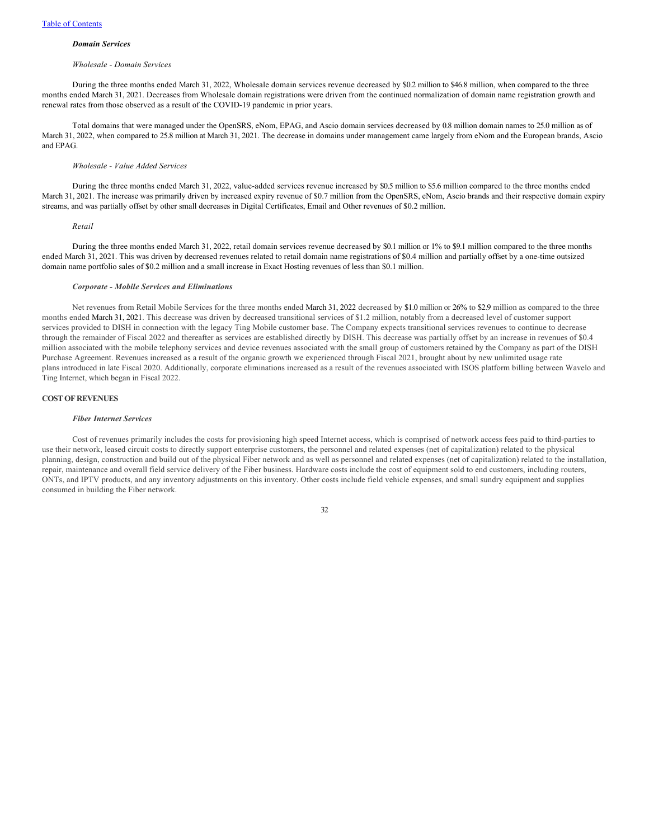#### *Domain Services*

#### *Wholesale - Domain Services*

During the three months ended March 31, 2022, Wholesale domain services revenue decreased by \$0.2 million to \$46.8 million, when compared to the three months ended March 31, 2021. Decreases from Wholesale domain registrations were driven from the continued normalization of domain name registration growth and renewal rates from those observed as a result of the COVID-19 pandemic in prior years.

Total domains that were managed under the OpenSRS, eNom, EPAG, and Ascio domain services decreased by 0.8 million domain names to 25.0 million as of March 31, 2022, when compared to 25.8 million at March 31, 2021. The decrease in domains under management came largely from eNom and the European brands, Ascio and EPAG.

#### *Wholesale - Value Added Services*

During the three months ended March 31, 2022, value-added services revenue increased by \$0.5 million to \$5.6 million compared to the three months ended March 31, 2021. The increase was primarily driven by increased expiry revenue of \$0.7 million from the OpenSRS, eNom, Ascio brands and their respective domain expiry streams, and was partially offset by other small decreases in Digital Certificates, Email and Other revenues of \$0.2 million.

#### *Retail*

During the three months ended March 31, 2022, retail domain services revenue decreased by \$0.1 million or 1% to \$9.1 million compared to the three months ended March 31, 2021. This was driven by decreased revenues related to retail domain name registrations of \$0.4 million and partially offset by a one-time outsized domain name portfolio sales of \$0.2 million and a small increase in Exact Hosting revenues of less than \$0.1 million.

# *Corporate - Mobile Services and Eliminations*

Net revenues from Retail Mobile Services for the three months ended March 31, 2022 decreased by \$1.0 million or 26% to \$2.9 million as compared to the three months ended March 31, 2021. This decrease was driven by decreased transitional services of \$1.2 million, notably from a decreased level of customer support services provided to DISH in connection with the legacy Ting Mobile customer base. The Company expects transitional services revenues to continue to decrease through the remainder of Fiscal 2022 and thereafter as services are established directly by DISH. This decrease was partially offset by an increase in revenues of \$0.4 million associated with the mobile telephony services and device revenues associated with the small group of customers retained by the Company as part of the DISH Purchase Agreement. Revenues increased as a result of the organic growth we experienced through Fiscal 2021, brought about by new unlimited usage rate plans introduced in late Fiscal 2020. Additionally, corporate eliminations increased as a result of the revenues associated with ISOS platform billing between Wavelo and Ting Internet, which began in Fiscal 2022.

# **COST OF REVENUES**

#### *Fiber Internet Services*

Cost of revenues primarily includes the costs for provisioning high speed Internet access, which is comprised of network access fees paid to third-parties to use their network, leased circuit costs to directly support enterprise customers, the personnel and related expenses (net of capitalization) related to the physical planning, design, construction and build out of the physical Fiber network and as well as personnel and related expenses (net of capitalization) related to the installation, repair, maintenance and overall field service delivery of the Fiber business. Hardware costs include the cost of equipment sold to end customers, including routers, ONTs, and IPTV products, and any inventory adjustments on this inventory. Other costs include field vehicle expenses, and small sundry equipment and supplies consumed in building the Fiber network.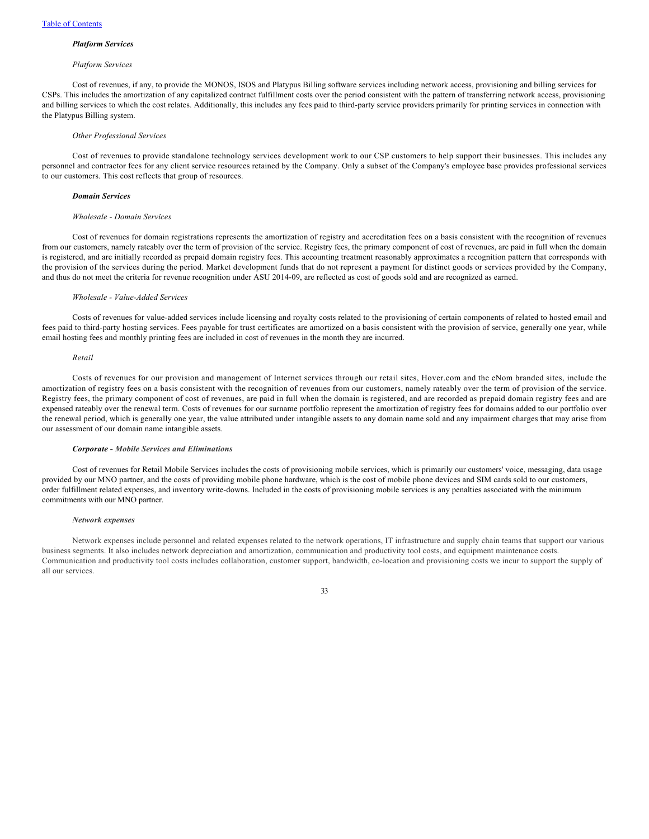#### *Platform Services*

# *Platform Services*

Cost of revenues, if any, to provide the MONOS, ISOS and Platypus Billing software services including network access, provisioning and billing services for CSPs. This includes the amortization of any capitalized contract fulfillment costs over the period consistent with the pattern of transferring network access, provisioning and billing services to which the cost relates. Additionally, this includes any fees paid to third-party service providers primarily for printing services in connection with the Platypus Billing system.

#### *Other Professional Services*

Cost of revenues to provide standalone technology services development work to our CSP customers to help support their businesses. This includes any personnel and contractor fees for any client service resources retained by the Company. Only a subset of the Company's employee base provides professional services to our customers. This cost reflects that group of resources.

# *Domain Services*

### *Wholesale - Domain Services*

Cost of revenues for domain registrations represents the amortization of registry and accreditation fees on a basis consistent with the recognition of revenues from our customers, namely rateably over the term of provision of the service. Registry fees, the primary component of cost of revenues, are paid in full when the domain is registered, and are initially recorded as prepaid domain registry fees. This accounting treatment reasonably approximates a recognition pattern that corresponds with the provision of the services during the period. Market development funds that do not represent a payment for distinct goods or services provided by the Company, and thus do not meet the criteria for revenue recognition under ASU 2014-09, are reflected as cost of goods sold and are recognized as earned.

# *Wholesale - Value-Added Services*

Costs of revenues for value-added services include licensing and royalty costs related to the provisioning of certain components of related to hosted email and fees paid to third-party hosting services. Fees payable for trust certificates are amortized on a basis consistent with the provision of service, generally one year, while email hosting fees and monthly printing fees are included in cost of revenues in the month they are incurred.

#### *Retail*

Costs of revenues for our provision and management of Internet services through our retail sites, Hover.com and the eNom branded sites, include the amortization of registry fees on a basis consistent with the recognition of revenues from our customers, namely rateably over the term of provision of the service. Registry fees, the primary component of cost of revenues, are paid in full when the domain is registered, and are recorded as prepaid domain registry fees and are expensed rateably over the renewal term. Costs of revenues for our surname portfolio represent the amortization of registry fees for domains added to our portfolio over the renewal period, which is generally one year, the value attributed under intangible assets to any domain name sold and any impairment charges that may arise from our assessment of our domain name intangible assets.

#### *Corporate - Mobile Services and Eliminations*

Cost of revenues for Retail Mobile Services includes the costs of provisioning mobile services, which is primarily our customers' voice, messaging, data usage provided by our MNO partner, and the costs of providing mobile phone hardware, which is the cost of mobile phone devices and SIM cards sold to our customers, order fulfillment related expenses, and inventory write-downs. Included in the costs of provisioning mobile services is any penalties associated with the minimum commitments with our MNO partner.

#### *Network expenses*

Network expenses include personnel and related expenses related to the network operations, IT infrastructure and supply chain teams that support our various business segments. It also includes network depreciation and amortization, communication and productivity tool costs, and equipment maintenance costs. Communication and productivity tool costs includes collaboration, customer support, bandwidth, co-location and provisioning costs we incur to support the supply of all our services.

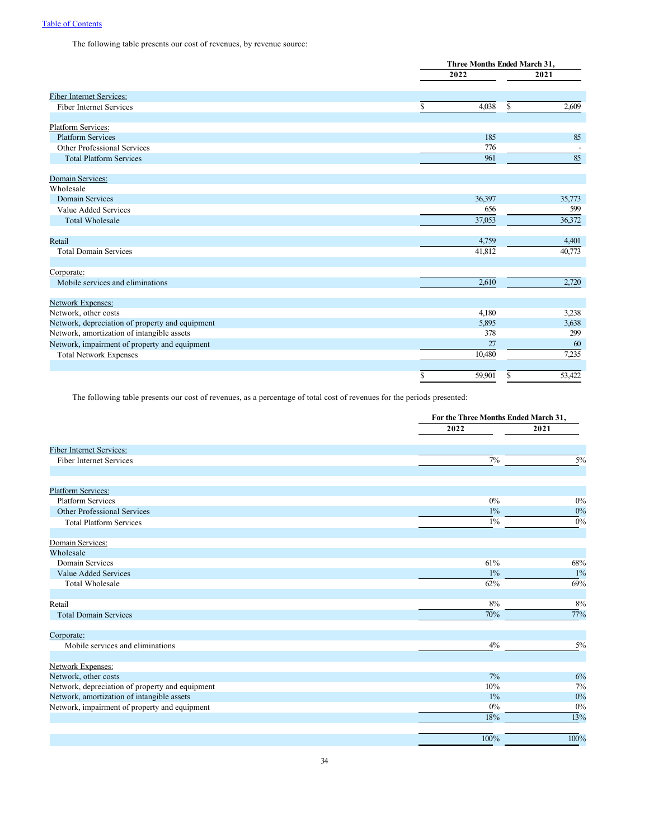The following table presents our cost of revenues, by revenue source:

|                                                 |      | Three Months Ended March 31, |    |        |
|-------------------------------------------------|------|------------------------------|----|--------|
|                                                 | 2022 |                              |    | 2021   |
| Fiber Internet Services:                        |      |                              |    |        |
| Fiber Internet Services                         | \$   | 4,038                        | \$ | 2,609  |
|                                                 |      |                              |    |        |
| Platform Services:                              |      |                              |    |        |
| <b>Platform Services</b>                        |      | 185                          |    | 85     |
| Other Professional Services                     |      | 776                          |    |        |
| <b>Total Platform Services</b>                  |      | 961                          |    | 85     |
| Domain Services:                                |      |                              |    |        |
| Wholesale                                       |      |                              |    |        |
| <b>Domain Services</b>                          |      | 36,397                       |    | 35,773 |
| Value Added Services                            |      | 656                          |    | 599    |
| <b>Total Wholesale</b>                          |      | 37,053                       |    | 36,372 |
|                                                 |      |                              |    |        |
| Retail                                          |      | 4,759                        |    | 4,401  |
| <b>Total Domain Services</b>                    |      | 41,812                       |    | 40,773 |
|                                                 |      |                              |    |        |
| Corporate:                                      |      |                              |    |        |
| Mobile services and eliminations                |      | 2,610                        |    | 2,720  |
|                                                 |      |                              |    |        |
| <b>Network Expenses:</b>                        |      |                              |    |        |
| Network, other costs                            |      | 4,180                        |    | 3,238  |
| Network, depreciation of property and equipment |      | 5,895                        |    | 3,638  |
| Network, amortization of intangible assets      |      | 378                          |    | 299    |
| Network, impairment of property and equipment   |      | 27                           |    | 60     |
| <b>Total Network Expenses</b>                   |      | 10,480                       |    | 7,235  |
|                                                 | \$   | 59.901                       | \$ | 53,422 |

The following table presents our cost of revenues, as a percentage of total cost of revenues for the periods presented:

|                                                 | For the Three Months Ended March 31, |       |
|-------------------------------------------------|--------------------------------------|-------|
|                                                 | 2022                                 | 2021  |
| Fiber Internet Services:                        |                                      |       |
| Fiber Internet Services                         | 7%                                   | $5\%$ |
|                                                 |                                      |       |
| <b>Platform Services:</b>                       |                                      |       |
| <b>Platform Services</b>                        | $0\%$                                | $0\%$ |
| Other Professional Services                     | $1\%$                                | $0\%$ |
| <b>Total Platform Services</b>                  | $1\%$                                | $0\%$ |
| Domain Services:                                |                                      |       |
| Wholesale                                       |                                      |       |
| Domain Services                                 | 61%                                  | 68%   |
| Value Added Services                            | $1\%$                                | $1\%$ |
| <b>Total Wholesale</b>                          | 62%                                  | 69%   |
| Retail                                          | 8%                                   | 8%    |
| <b>Total Domain Services</b>                    | 70%                                  | 77%   |
| Corporate:                                      |                                      |       |
| Mobile services and eliminations                | 4%                                   | 5%    |
| Network Expenses:                               |                                      |       |
| Network, other costs                            | 7%                                   | 6%    |
| Network, depreciation of property and equipment | 10%                                  | 7%    |
| Network, amortization of intangible assets      | $1\%$                                | $0\%$ |
| Network, impairment of property and equipment   | 0%                                   | 0%    |
|                                                 | 18%                                  | 13%   |
|                                                 | 100%                                 | 100%  |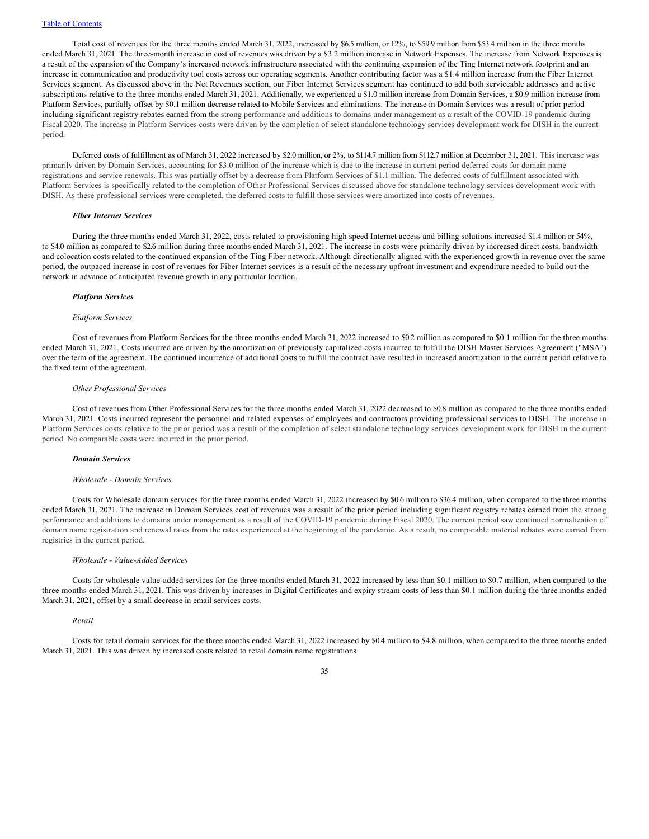Total cost of revenues for the three months ended March 31, 2022, increased by \$6.5 million, or 12%, to \$59.9 million from \$53.4 million in the three months ended March 31, 2021. The three-month increase in cost of revenues was driven by a \$3.2 million increase in Network Expenses. The increase from Network Expenses is a result of the expansion of the Company's increased network infrastructure associated with the continuing expansion of the Ting Internet network footprint and an increase in communication and productivity tool costs across our operating segments. Another contributing factor was a \$1.4 million increase from the Fiber Internet Services segment. As discussed above in the Net Revenues section, our Fiber Internet Services segment has continued to add both serviceable addresses and active subscriptions relative to the three months ended March 31, 2021. Additionally, we experienced a \$1.0 million increase from Domain Services, a \$0.9 million increase from Platform Services, partially offset by \$0.1 million decrease related to Mobile Services and eliminations. The increase in Domain Services was a result of prior period including significant registry rebates earned from the strong performance and additions to domains under management as a result of the COVID-19 pandemic during Fiscal 2020. The increase in Platform Services costs were driven by the completion of select standalone technology services development work for DISH in the current period.

Deferred costs of fulfillment as of March 31, 2022 increased by \$2.0 million, or 2%, to \$114.7 million from \$112.7 million at December 31, 2021. This increase was primarily driven by Domain Services, accounting for \$3.0 million of the increase which is due to the increase in current period deferred costs for domain name registrations and service renewals. This was partially offset by a decrease from Platform Services of \$1.1 million. The deferred costs of fulfillment associated with Platform Services is specifically related to the completion of Other Professional Services discussed above for standalone technology services development work with DISH. As these professional services were completed, the deferred costs to fulfill those services were amortized into costs of revenues.

#### *Fiber Internet Services*

During the three months ended March 31, 2022, costs related to provisioning high speed Internet access and billing solutions increased \$1.4 million or 54%, to \$4.0 million as compared to \$2.6 million during three months ended March 31, 2021. The increase in costs were primarily driven by increased direct costs, bandwidth and colocation costs related to the continued expansion of the Ting Fiber network. Although directionally aligned with the experienced growth in revenue over the same period, the outpaced increase in cost of revenues for Fiber Internet services is a result of the necessary upfront investment and expenditure needed to build out the network in advance of anticipated revenue growth in any particular location.

#### *Platform Services*

#### *Platform Services*

Cost of revenues from Platform Services for the three months ended March 31, 2022 increased to \$0.2 million as compared to \$0.1 million for the three months ended March 31, 2021. Costs incurred are driven by the amortization of previously capitalized costs incurred to fulfill the DISH Master Services Agreement ("MSA") over the term of the agreement. The continued incurrence of additional costs to fulfill the contract have resulted in increased amortization in the current period relative to the fixed term of the agreement.

#### *Other Professional Services*

Cost of revenues from Other Professional Services for the three months ended March 31, 2022 decreased to \$0.8 million as compared to the three months ended March 31, 2021. Costs incurred represent the personnel and related expenses of employees and contractors providing professional services to DISH. The increase in Platform Services costs relative to the prior period was a result of the completion of select standalone technology services development work for DISH in the current period. No comparable costs were incurred in the prior period.

# *Domain Services*

### *Wholesale - Domain Services*

Costs for Wholesale domain services for the three months ended March 31, 2022 increased by \$0.6 million to \$36.4 million, when compared to the three months ended March 31, 2021. The increase in Domain Services cost of revenues was a result of the prior period including significant registry rebates earned from the strong performance and additions to domains under management as a result of the COVID-19 pandemic during Fiscal 2020. The current period saw continued normalization of domain name registration and renewal rates from the rates experienced at the beginning of the pandemic. As a result, no comparable material rebates were earned from registries in the current period.

#### *Wholesale - Value-Added Services*

Costs for wholesale value-added services for the three months ended March 31, 2022 increased by less than \$0.1 million to \$0.7 million, when compared to the three months ended March 31, 2021. This was driven by increases in Digital Certificates and expiry stream costs of less than \$0.1 million during the three months ended March 31, 2021, offset by a small decrease in email services costs.

#### *Retail*

Costs for retail domain services for the three months ended March 31, 2022 increased by \$0.4 million to \$4.8 million, when compared to the three months ended March 31, 2021. This was driven by increased costs related to retail domain name registrations.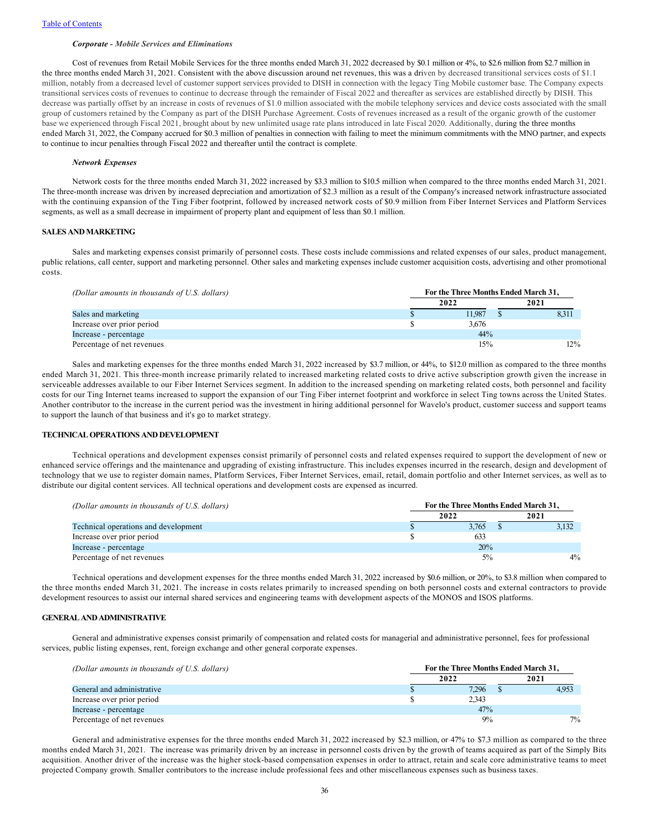### *Corporate - Mobile Services and Eliminations*

Cost of revenues from Retail Mobile Services for the three months ended March 31, 2022 decreased by \$0.1 million or 4%, to \$2.6 million from \$2.7 million in the three months ended March 31, 2021. Consistent with the above discussion around net revenues, this was a driven by decreased transitional services costs of \$1.1 million, notably from a decreased level of customer support services provided to DISH in connection with the legacy Ting Mobile customer base. The Company expects transitional services costs of revenues to continue to decrease through the remainder of Fiscal 2022 and thereafter as services are established directly by DISH. This decrease was partially offset by an increase in costs of revenues of \$1.0 million associated with the mobile telephony services and device costs associated with the small group of customers retained by the Company as part of the DISH Purchase Agreement. Costs of revenues increased as a result of the organic growth of the customer base we experienced through Fiscal 2021, brought about by new unlimited usage rate plans introduced in late Fiscal 2020. Additionally, during the three months ended March 31, 2022, the Company accrued for \$0.3 million of penalties in connection with failing to meet the minimum commitments with the MNO partner, and expects to continue to incur penalties through Fiscal 2022 and thereafter until the contract is complete.

### *Network Expenses*

Network costs for the three months ended March 31, 2022 increased by \$3.3 million to \$10.5 million when compared to the three months ended March 31, 2021. The three-month increase was driven by increased depreciation and amortization of \$2.3 million as a result of the Company's increased network infrastructure associated with the continuing expansion of the Ting Fiber footprint, followed by increased network costs of \$0.9 million from Fiber Internet Services and Platform Services segments, as well as a small decrease in impairment of property plant and equipment of less than \$0.1 million.

# **SALES AND MARKETING**

Sales and marketing expenses consist primarily of personnel costs. These costs include commissions and related expenses of our sales, product management, public relations, call center, support and marketing personnel. Other sales and marketing expenses include customer acquisition costs, advertising and other promotional costs.

| (Dollar amounts in thousands of U.S. dollars) |  | For the Three Months Ended March 31, |  |      |        |  |
|-----------------------------------------------|--|--------------------------------------|--|------|--------|--|
|                                               |  | 2022                                 |  | 2021 |        |  |
| Sales and marketing                           |  | 11.987                               |  |      | 8.311  |  |
| Increase over prior period                    |  | 3.676                                |  |      |        |  |
| Increase - percentage                         |  | 44%                                  |  |      |        |  |
| Percentage of net revenues                    |  | 15%                                  |  |      | $12\%$ |  |

Sales and marketing expenses for the three months ended March 31, 2022 increased by \$3.7 million, or 44%, to \$12.0 million as compared to the three months ended March 31, 2021. This three-month increase primarily related to increased marketing related costs to drive active subscription growth given the increase in serviceable addresses available to our Fiber Internet Services segment. In addition to the increased spending on marketing related costs, both personnel and facility costs for our Ting Internet teams increased to support the expansion of our Ting Fiber internet footprint and workforce in select Ting towns across the United States. Another contributor to the increase in the current period was the investment in hiring additional personnel for Wavelo's product, customer success and support teams to support the launch of that business and it's go to market strategy.

### **TECHNICAL OPERATIONS AND DEVELOPMENT**

Technical operations and development expenses consist primarily of personnel costs and related expenses required to support the development of new or enhanced service offerings and the maintenance and upgrading of existing infrastructure. This includes expenses incurred in the research, design and development of technology that we use to register domain names, Platform Services, Fiber Internet Services, email, retail, domain portfolio and other Internet services, as well as to distribute our digital content services. All technical operations and development costs are expensed as incurred.

| (Dollar amounts in thousands of U.S. dollars) | For the Three Months Ended March 31. |       |  |       |       |
|-----------------------------------------------|--------------------------------------|-------|--|-------|-------|
|                                               |                                      | 2022  |  | 2021  |       |
| Technical operations and development          |                                      | 3.765 |  |       | 3,132 |
| Increase over prior period                    |                                      | 633   |  |       |       |
| Increase - percentage                         |                                      | 20%   |  |       |       |
| Percentage of net revenues                    | 5%                                   |       |  | $4\%$ |       |

Technical operations and development expenses for the three months ended March 31, 2022 increased by \$0.6 million, or 20%, to \$3.8 million when compared to the three months ended March 31, 2021. The increase in costs relates primarily to increased spending on both personnel costs and external contractors to provide development resources to assist our internal shared services and engineering teams with development aspects of the MONOS and ISOS platforms.

# **GENERAL AND ADMINISTRATIVE**

General and administrative expenses consist primarily of compensation and related costs for managerial and administrative personnel, fees for professional services, public listing expenses, rent, foreign exchange and other general corporate expenses.

| (Dollar amounts in thousands of U.S. dollars) | For the Three Months Ended March 31. |       |  |      |       |
|-----------------------------------------------|--------------------------------------|-------|--|------|-------|
|                                               |                                      | 2022  |  | 2021 |       |
| General and administrative                    |                                      | 7.296 |  |      | 4,953 |
| Increase over prior period                    |                                      | 2.343 |  |      |       |
| Increase - percentage                         |                                      | 47%   |  |      |       |
| Percentage of net revenues                    |                                      | 9%    |  |      | $7\%$ |

General and administrative expenses for the three months ended March 31, 2022 increased by \$2.3 million, or 47% to \$7.3 million as compared to the three months ended March 31, 2021. The increase was primarily driven by an increase in personnel costs driven by the growth of teams acquired as part of the Simply Bits acquisition. Another driver of the increase was the higher stock-based compensation expenses in order to attract, retain and scale core administrative teams to meet projected Company growth. Smaller contributors to the increase include professional fees and other miscellaneous expenses such as business taxes.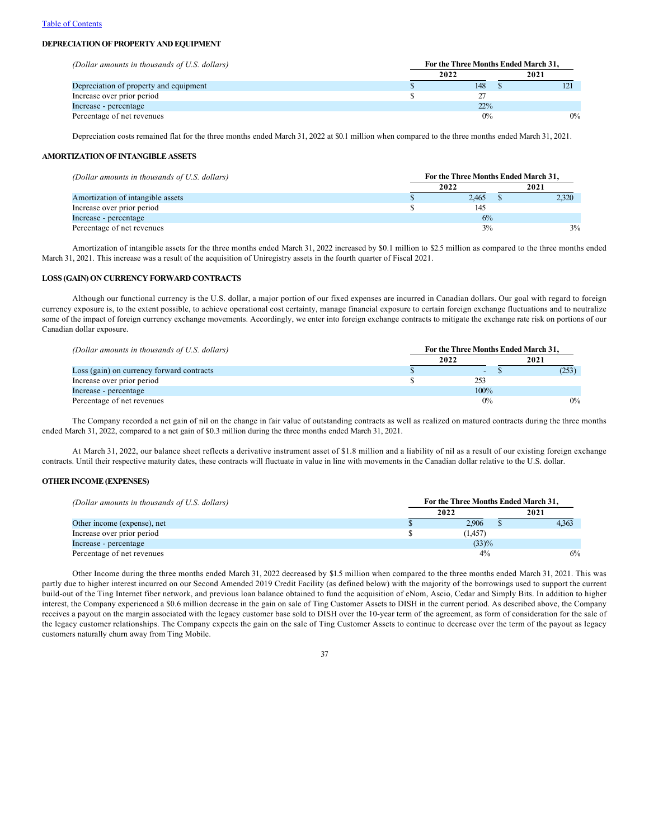# **DEPRECIATION OF PROPERTY AND EQUIPMENT**

| (Dollar amounts in thousands of U.S. dollars) |      |     | For the Three Months Ended March 31. |       |
|-----------------------------------------------|------|-----|--------------------------------------|-------|
|                                               | 2022 |     | 2021                                 |       |
| Depreciation of property and equipment        |      | 148 |                                      |       |
| Increase over prior period                    |      |     |                                      |       |
| Increase - percentage                         |      | 22% |                                      |       |
| Percentage of net revenues                    |      | 0%  |                                      | $0\%$ |

Depreciation costs remained flat for the three months ended March 31, 2022 at \$0.1 million when compared to the three months ended March 31, 2021.

# **AMORTIZATION OF INTANGIBLE ASSETS**

| (Dollar amounts in thousands of U.S. dollars) | For the Three Months Ended March 31, |       |  |       |
|-----------------------------------------------|--------------------------------------|-------|--|-------|
|                                               |                                      | 2022  |  | 2021  |
| Amortization of intangible assets             |                                      | 2.465 |  | 2,320 |
| Increase over prior period                    |                                      | 145   |  |       |
| Increase - percentage                         |                                      | 6%    |  |       |
| Percentage of net revenues                    |                                      | 3%    |  | $3\%$ |

Amortization of intangible assets for the three months ended March 31, 2022 increased by \$0.1 million to \$2.5 million as compared to the three months ended March 31, 2021. This increase was a result of the acquisition of Uniregistry assets in the fourth quarter of Fiscal 2021.

# **LOSS (GAIN) ON CURRENCY FORWARD CONTRACTS**

Although our functional currency is the U.S. dollar, a major portion of our fixed expenses are incurred in Canadian dollars. Our goal with regard to foreign currency exposure is, to the extent possible, to achieve operational cost certainty, manage financial exposure to certain foreign exchange fluctuations and to neutralize some of the impact of foreign currency exchange movements. Accordingly, we enter into foreign exchange contracts to mitigate the exchange rate risk on portions of our Canadian dollar exposure.

| (Dollar amounts in thousands of U.S. dollars) | For the Three Months Ended March 31. |      |       |  |  |
|-----------------------------------------------|--------------------------------------|------|-------|--|--|
|                                               | 2022                                 |      | 2021  |  |  |
| Loss (gain) on currency forward contracts     |                                      |      | (253) |  |  |
| Increase over prior period                    |                                      | 253  |       |  |  |
| Increase - percentage                         |                                      | 100% |       |  |  |
| Percentage of net revenues                    |                                      | 0%   | $0\%$ |  |  |

The Company recorded a net gain of nil on the change in fair value of outstanding contracts as well as realized on matured contracts during the three months ended March 31, 2022, compared to a net gain of \$0.3 million during the three months ended March 31, 2021.

At March 31, 2022, our balance sheet reflects a derivative instrument asset of \$1.8 million and a liability of nil as a result of our existing foreign exchange contracts. Until their respective maturity dates, these contracts will fluctuate in value in line with movements in the Canadian dollar relative to the U.S. dollar.

# **OTHER INCOME (EXPENSES)**

| (Dollar amounts in thousands of U.S. dollars) |      | For the Three Months Ended March 31. |       |  |  |  |
|-----------------------------------------------|------|--------------------------------------|-------|--|--|--|
|                                               | 2022 |                                      | 2021  |  |  |  |
| Other income (expense), net                   |      | 2.906                                | 4,363 |  |  |  |
| Increase over prior period                    |      | (1.457)                              |       |  |  |  |
| Increase - percentage                         |      | (33)%                                |       |  |  |  |
| Percentage of net revenues                    |      | $4\%$                                | $6\%$ |  |  |  |

Other Income during the three months ended March 31, 2022 decreased by \$1.5 million when compared to the three months ended March 31, 2021. This was partly due to higher interest incurred on our Second Amended 2019 Credit Facility (as defined below) with the majority of the borrowings used to support the current build-out of the Ting Internet fiber network, and previous loan balance obtained to fund the acquisition of eNom, Ascio, Cedar and Simply Bits. In addition to higher interest, the Company experienced a \$0.6 million decrease in the gain on sale of Ting Customer Assets to DISH in the current period. As described above, the Company receives a payout on the margin associated with the legacy customer base sold to DISH over the 10-year term of the agreement, as form of consideration for the sale of the legacy customer relationships. The Company expects the gain on the sale of Ting Customer Assets to continue to decrease over the term of the payout as legacy customers naturally churn away from Ting Mobile.

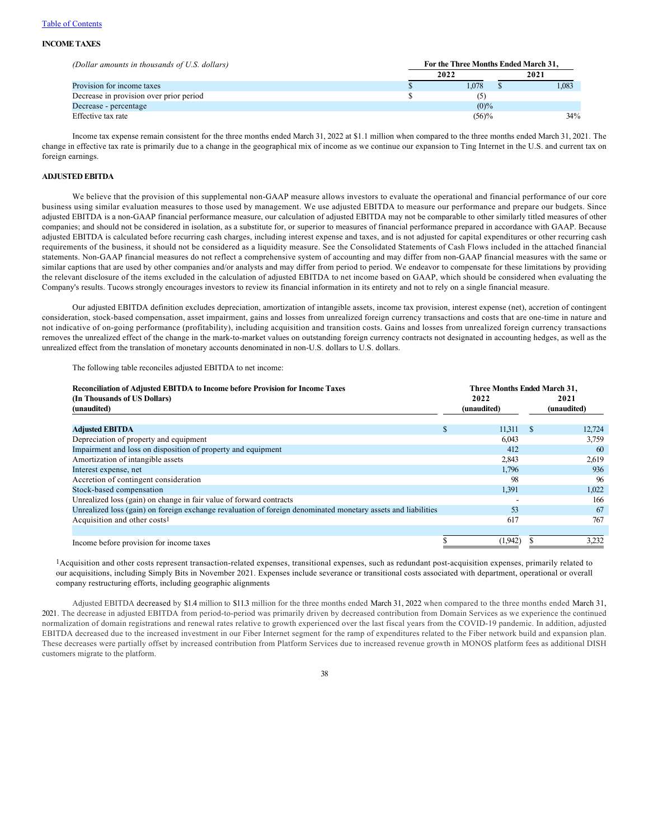#### **INCOME TAXES**

| (Dollar amounts in thousands of U.S. dollars) | For the Three Months Ended March 31, |  |      |       |  |
|-----------------------------------------------|--------------------------------------|--|------|-------|--|
|                                               | 2022                                 |  | 2021 |       |  |
| Provision for income taxes                    | 1.078                                |  |      | 1,083 |  |
| Decrease in provision over prior period       | C)                                   |  |      |       |  |
| Decrease - percentage                         | $(0)\%$                              |  |      |       |  |
| Effective tax rate                            | (56)%                                |  |      | 34%   |  |

Income tax expense remain consistent for the three months ended March 31, 2022 at \$1.1 million when compared to the three months ended March 31, 2021. The change in effective tax rate is primarily due to a change in the geographical mix of income as we continue our expansion to Ting Internet in the U.S. and current tax on foreign earnings.

# **ADJUSTED EBITDA**

We believe that the provision of this supplemental non-GAAP measure allows investors to evaluate the operational and financial performance of our core business using similar evaluation measures to those used by management. We use adjusted EBITDA to measure our performance and prepare our budgets. Since adjusted EBITDA is a non-GAAP financial performance measure, our calculation of adjusted EBITDA may not be comparable to other similarly titled measures of other companies; and should not be considered in isolation, as a substitute for, or superior to measures of financial performance prepared in accordance with GAAP. Because adjusted EBITDA is calculated before recurring cash charges, including interest expense and taxes, and is not adjusted for capital expenditures or other recurring cash requirements of the business, it should not be considered as a liquidity measure. See the Consolidated Statements of Cash Flows included in the attached financial statements. Non-GAAP financial measures do not reflect a comprehensive system of accounting and may differ from non-GAAP financial measures with the same or similar captions that are used by other companies and/or analysts and may differ from period to period. We endeavor to compensate for these limitations by providing the relevant disclosure of the items excluded in the calculation of adjusted EBITDA to net income based on GAAP, which should be considered when evaluating the Company's results. Tucows strongly encourages investors to review its financial information in its entirety and not to rely on a single financial measure.

Our adjusted EBITDA definition excludes depreciation, amortization of intangible assets, income tax provision, interest expense (net), accretion of contingent consideration, stock-based compensation, asset impairment, gains and losses from unrealized foreign currency transactions and costs that are one-time in nature and not indicative of on-going performance (profitability), including acquisition and transition costs. Gains and losses from unrealized foreign currency transactions removes the unrealized effect of the change in the mark-to-market values on outstanding foreign currency contracts not designated in accounting hedges, as well as the unrealized effect from the translation of monetary accounts denominated in non-U.S. dollars to U.S. dollars.

The following table reconciles adjusted EBITDA to net income:

| <b>Reconciliation of Adjusted EBITDA to Income before Provision for Income Taxes</b>                          |   | Three Months Ended March 31, |      |             |  |
|---------------------------------------------------------------------------------------------------------------|---|------------------------------|------|-------------|--|
| (In Thousands of US Dollars)                                                                                  |   | 2022                         | 2021 |             |  |
| (unaudited)                                                                                                   |   | (unaudited)                  |      | (unaudited) |  |
|                                                                                                               |   |                              |      |             |  |
| <b>Adjusted EBITDA</b>                                                                                        | S | 11,311                       | - \$ | 12,724      |  |
| Depreciation of property and equipment                                                                        |   | 6,043                        |      | 3,759       |  |
| Impairment and loss on disposition of property and equipment                                                  |   | 412                          |      | 60          |  |
| Amortization of intangible assets                                                                             |   | 2,843                        |      | 2,619       |  |
| Interest expense, net                                                                                         |   | 1,796                        |      | 936         |  |
| Accretion of contingent consideration                                                                         |   | 98                           |      | 96          |  |
| Stock-based compensation                                                                                      |   | 1,391                        |      | 1,022       |  |
| Unrealized loss (gain) on change in fair value of forward contracts                                           |   |                              |      | 166         |  |
| Unrealized loss (gain) on foreign exchange revaluation of foreign denominated monetary assets and liabilities |   | 53                           |      | 67          |  |
| Acquisition and other costs <sup>1</sup>                                                                      |   | 617                          |      | 767         |  |
|                                                                                                               |   |                              |      |             |  |
| Income before provision for income taxes                                                                      |   | (1,942)                      |      | 3,232       |  |

1Acquisition and other costs represent transaction-related expenses, transitional expenses, such as redundant post-acquisition expenses, primarily related to our acquisitions, including Simply Bits in November 2021. Expenses include severance or transitional costs associated with department, operational or overall company restructuring efforts, including geographic alignments

Adjusted EBITDA decreased by \$1.4 million to \$11.3 million for the three months ended March 31, 2022 when compared to the three months ended March 31, 2021. The decrease in adjusted EBITDA from period-to-period was primarily driven by decreased contribution from Domain Services as we experience the continued normalization of domain registrations and renewal rates relative to growth experienced over the last fiscal years from the COVID-19 pandemic. In addition, adjusted EBITDA decreased due to the increased investment in our Fiber Internet segment for the ramp of expenditures related to the Fiber network build and expansion plan. These decreases were partially offset by increased contribution from Platform Services due to increased revenue growth in MONOS platform fees as additional DISH customers migrate to the platform.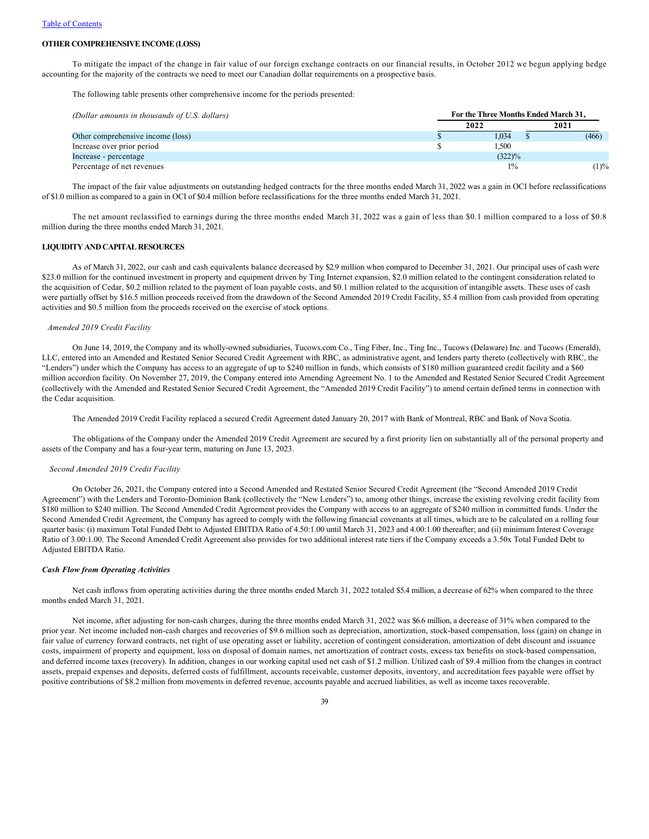### **OTHER COMPREHENSIVE INCOME (LOSS)**

To mitigate the impact of the change in fair value of our foreign exchange contracts on our financial results, in October 2012 we begun applying hedge accounting for the majority of the contracts we need to meet our Canadian dollar requirements on a prospective basis.

The following table presents other comprehensive income for the periods presented:

| (Dollar amounts in thousands of U.S. dollars) | For the Three Months Ended March 31. |           |  |         |
|-----------------------------------------------|--------------------------------------|-----------|--|---------|
|                                               |                                      | 2022      |  | 2021    |
| Other comprehensive income (loss)             |                                      | 1.034     |  | (466)   |
| Increase over prior period                    |                                      | l.500     |  |         |
| Increase - percentage                         |                                      | $(322)\%$ |  |         |
| Percentage of net revenues                    |                                      | $1\%$     |  | $(1)\%$ |

The impact of the fair value adjustments on outstanding hedged contracts for the three months ended March 31, 2022 was a gain in OCI before reclassifications of \$1.0 million as compared to a gain in OCI of \$0.4 million before reclassifications for the three months ended March 31, 2021.

The net amount reclassified to earnings during the three months ended March 31, 2022 was a gain of less than \$0.1 million compared to a loss of \$0.8 million during the three months ended March 31, 2021.

# **LIQUIDITY AND CAPITAL RESOURCES**

As of March 31, 2022, our cash and cash equivalents balance decreased by \$2.9 million when compared to December 31, 2021. Our principal uses of cash were \$23.0 million for the continued investment in property and equipment driven by Ting Internet expansion, \$2.0 million related to the contingent consideration related to the acquisition of Cedar, \$0.2 million related to the payment of loan payable costs, and \$0.1 million related to the acquisition of intangible assets. These uses of cash were partially offset by \$16.5 million proceeds received from the drawdown of the Second Amended 2019 Credit Facility, \$5.4 million from cash provided from operating activities and \$0.5 million from the proceeds received on the exercise of stock options.

# *Amended 2019 Credit Facility*

On June 14, 2019, the Company and its wholly-owned subsidiaries, Tucows.com Co., Ting Fiber, Inc., Ting Inc., Tucows (Delaware) Inc. and Tucows (Emerald), LLC, entered into an Amended and Restated Senior Secured Credit Agreement with RBC, as administrative agent, and lenders party thereto (collectively with RBC, the "Lenders") under which the Company has access to an aggregate of up to \$240 million in funds, which consists of \$180 million guaranteed credit facility and a \$60 million accordion facility. On November 27, 2019, the Company entered into Amending Agreement No. 1 to the Amended and Restated Senior Secured Credit Agreement (collectively with the Amended and Restated Senior Secured Credit Agreement, the "Amended 2019 Credit Facility") to amend certain defined terms in connection with the Cedar acquisition.

The Amended 2019 Credit Facility replaced a secured Credit Agreement dated January 20, 2017 with Bank of Montreal, RBC and Bank of Nova Scotia.

The obligations of the Company under the Amended 2019 Credit Agreement are secured by a first priority lien on substantially all of the personal property and assets of the Company and has a four-year term, maturing on June 13, 2023.

#### *Second Amended 2019 Credit Facility*

On October 26, 2021, the Company entered into a Second Amended and Restated Senior Secured Credit Agreement (the "Second Amended 2019 Credit Agreement") with the Lenders and Toronto-Dominion Bank (collectively the "New Lenders") to, among other things, increase the existing revolving credit facility from \$180 million to \$240 million. The Second Amended Credit Agreement provides the Company with access to an aggregate of \$240 million in committed funds. Under the Second Amended Credit Agreement, the Company has agreed to comply with the following financial covenants at all times, which are to be calculated on a rolling four quarter basis: (i) maximum Total Funded Debt to Adjusted EBITDA Ratio of 4.50:1.00 until March 31, 2023 and 4.00:1.00 thereafter; and (ii) minimum Interest Coverage Ratio of 3.00:1.00. The Second Amended Credit Agreement also provides for two additional interest rate tiers if the Company exceeds a 3.50x Total Funded Debt to Adjusted EBITDA Ratio.

# *Cash Flow from Operating Activities*

Net cash inflows from operating activities during the three months ended March 31, 2022 totaled \$5.4 million, a decrease of 62% when compared to the three months ended March 31, 2021.

Net income, after adjusting for non-cash charges, during the three months ended March 31, 2022 was \$6.6 million, a decrease of 31% when compared to the prior year. Net income included non-cash charges and recoveries of \$9.6 million such as depreciation, amortization, stock-based compensation, loss (gain) on change in fair value of currency forward contracts, net right of use operating asset or liability, accretion of contingent consideration, amortization of debt discount and issuance costs, impairment of property and equipment, loss on disposal of domain names, net amortization of contract costs, excess tax benefits on stock-based compensation, and deferred income taxes (recovery). In addition, changes in our working capital used net cash of \$1.2 million. Utilized cash of \$9.4 million from the changes in contract assets, prepaid expenses and deposits, deferred costs of fulfillment, accounts receivable, customer deposits, inventory, and accreditation fees payable were offset by positive contributions of \$8.2 million from movements in deferred revenue, accounts payable and accrued liabilities, as well as income taxes recoverable.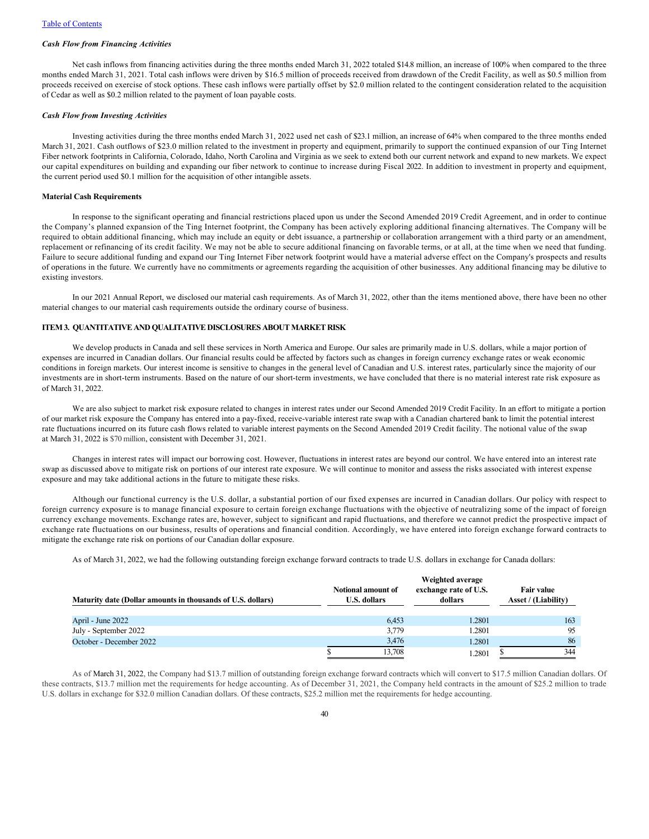#### *Cash Flow from Financing Activities*

Net cash inflows from financing activities during the three months ended March 31, 2022 totaled \$14.8 million, an increase of 100% when compared to the three months ended March 31, 2021. Total cash inflows were driven by \$16.5 million of proceeds received from drawdown of the Credit Facility, as well as \$0.5 million from proceeds received on exercise of stock options. These cash inflows were partially offset by \$2.0 million related to the contingent consideration related to the acquisition of Cedar as well as \$0.2 million related to the payment of loan payable costs.

# *Cash Flow from Investing Activities*

Investing activities during the three months ended March 31, 2022 used net cash of \$23.1 million, an increase of 64% when compared to the three months ended March 31, 2021. Cash outflows of \$23.0 million related to the investment in property and equipment, primarily to support the continued expansion of our Ting Internet Fiber network footprints in California, Colorado, Idaho, North Carolina and Virginia as we seek to extend both our current network and expand to new markets. We expect our capital expenditures on building and expanding our fiber network to continue to increase during Fiscal 2022. In addition to investment in property and equipment, the current period used \$0.1 million for the acquisition of other intangible assets.

# **Material Cash Requirements**

In response to the significant operating and financial restrictions placed upon us under the Second Amended 2019 Credit Agreement, and in order to continue the Company's planned expansion of the Ting Internet footprint, the Company has been actively exploring additional financing alternatives. The Company will be required to obtain additional financing, which may include an equity or debt issuance, a partnership or collaboration arrangement with a third party or an amendment, replacement or refinancing of its credit facility. We may not be able to secure additional financing on favorable terms, or at all, at the time when we need that funding. Failure to secure additional funding and expand our Ting Internet Fiber network footprint would have a material adverse effect on the Company's prospects and results of operations in the future. We currently have no commitments or agreements regarding the acquisition of other businesses. Any additional financing may be dilutive to existing investors.

In our 2021 Annual Report, we disclosed our material cash requirements. As of March 31, 2022, other than the items mentioned above, there have been no other material changes to our material cash requirements outside the ordinary course of business.

# <span id="page-39-0"></span>**ITEM 3. QUANTITATIVE AND QUALITATIVE DISCLOSURES ABOUT MARKET RISK**

We develop products in Canada and sell these services in North America and Europe. Our sales are primarily made in U.S. dollars, while a major portion of expenses are incurred in Canadian dollars. Our financial results could be affected by factors such as changes in foreign currency exchange rates or weak economic conditions in foreign markets. Our interest income is sensitive to changes in the general level of Canadian and U.S. interest rates, particularly since the majority of our investments are in short-term instruments. Based on the nature of our short-term investments, we have concluded that there is no material interest rate risk exposure as of March 31, 2022.

We are also subject to market risk exposure related to changes in interest rates under our Second Amended 2019 Credit Facility. In an effort to mitigate a portion of our market risk exposure the Company has entered into a pay-fixed, receive-variable interest rate swap with a Canadian chartered bank to limit the potential interest rate fluctuations incurred on its future cash flows related to variable interest payments on the Second Amended 2019 Credit facility. The notional value of the swap at March 31, 2022 is \$70 million, consistent with December 31, 2021.

Changes in interest rates will impact our borrowing cost. However, fluctuations in interest rates are beyond our control. We have entered into an interest rate swap as discussed above to mitigate risk on portions of our interest rate exposure. We will continue to monitor and assess the risks associated with interest expense exposure and may take additional actions in the future to mitigate these risks.

Although our functional currency is the U.S. dollar, a substantial portion of our fixed expenses are incurred in Canadian dollars. Our policy with respect to foreign currency exposure is to manage financial exposure to certain foreign exchange fluctuations with the objective of neutralizing some of the impact of foreign currency exchange movements. Exchange rates are, however, subject to significant and rapid fluctuations, and therefore we cannot predict the prospective impact of exchange rate fluctuations on our business, results of operations and financial condition. Accordingly, we have entered into foreign exchange forward contracts to mitigate the exchange rate risk on portions of our Canadian dollar exposure.

As of March 31, 2022, we had the following outstanding foreign exchange forward contracts to trade U.S. dollars in exchange for Canada dollars:

|                                                             | Weighted average                          |                                  |                                                 |
|-------------------------------------------------------------|-------------------------------------------|----------------------------------|-------------------------------------------------|
| Maturity date (Dollar amounts in thousands of U.S. dollars) | Notional amount of<br><b>U.S. dollars</b> | exchange rate of U.S.<br>dollars | <b>Fair value</b><br><b>Asset / (Liability)</b> |
| April - June 2022                                           | 6,453                                     | 1.2801                           | 163                                             |
| July - September 2022                                       | 3,779                                     | 1.2801                           | 95                                              |
| October - December 2022                                     | 3,476                                     | 1.2801                           | 86                                              |
|                                                             | 13,708                                    | 1.2801                           | 344                                             |

As of March 31, 2022, the Company had \$13.7 million of outstanding foreign exchange forward contracts which will convert to \$17.5 million Canadian dollars. Of these contracts, \$13.7 million met the requirements for hedge accounting. As of December 31, 2021, the Company held contracts in the amount of \$25.2 million to trade U.S. dollars in exchange for \$32.0 million Canadian dollars. Of these contracts, \$25.2 million met the requirements for hedge accounting.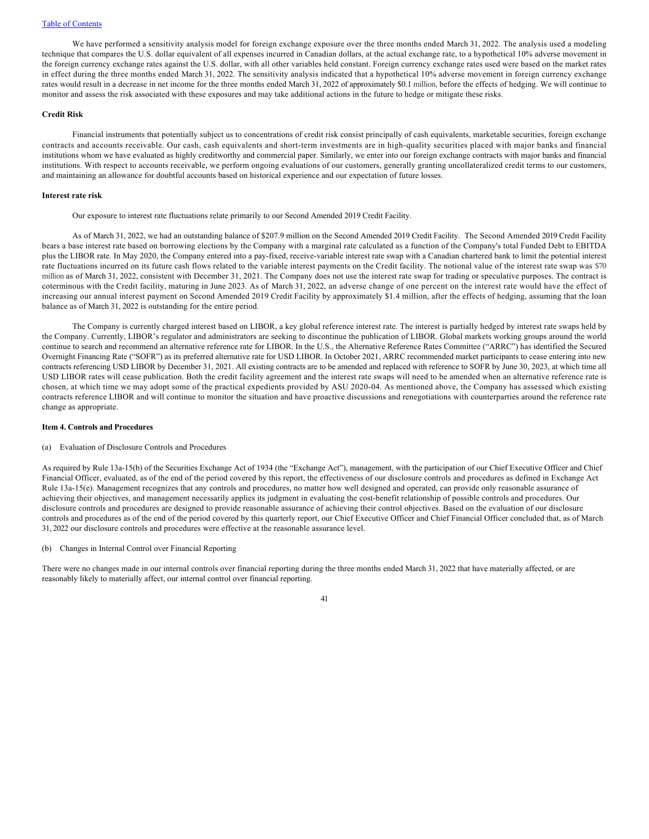We have performed a sensitivity analysis model for foreign exchange exposure over the three months ended March 31, 2022. The analysis used a modeling technique that compares the U.S. dollar equivalent of all expenses incurred in Canadian dollars, at the actual exchange rate, to a hypothetical 10% adverse movement in the foreign currency exchange rates against the U.S. dollar, with all other variables held constant. Foreign currency exchange rates used were based on the market rates in effect during the three months ended March 31, 2022. The sensitivity analysis indicated that a hypothetical 10% adverse movement in foreign currency exchange rates would result in a decrease in net income for the three months ended March 31, 2022 of approximately \$0.1 million, before the effects of hedging. We will continue to monitor and assess the risk associated with these exposures and may take additional actions in the future to hedge or mitigate these risks.

# **Credit Risk**

Financial instruments that potentially subject us to concentrations of credit risk consist principally of cash equivalents, marketable securities, foreign exchange contracts and accounts receivable. Our cash, cash equivalents and short-term investments are in high-quality securities placed with major banks and financial institutions whom we have evaluated as highly creditworthy and commercial paper. Similarly, we enter into our foreign exchange contracts with major banks and financial institutions. With respect to accounts receivable, we perform ongoing evaluations of our customers, generally granting uncollateralized credit terms to our customers, and maintaining an allowance for doubtful accounts based on historical experience and our expectation of future losses.

#### **Interest rate risk**

Our exposure to interest rate fluctuations relate primarily to our Second Amended 2019 Credit Facility.

As of March 31, 2022, we had an outstanding balance of \$207.9 million on the Second Amended 2019 Credit Facility. The Second Amended 2019 Credit Facility bears a base interest rate based on borrowing elections by the Company with a marginal rate calculated as a function of the Company's total Funded Debt to EBITDA plus the LIBOR rate. In May 2020, the Company entered into a pay-fixed, receive-variable interest rate swap with a Canadian chartered bank to limit the potential interest rate fluctuations incurred on its future cash flows related to the variable interest payments on the Credit facility. The notional value of the interest rate swap was \$70 million as of March 31, 2022, consistent with December 31, 2021. The Company does not use the interest rate swap for trading or speculative purposes. The contract is coterminous with the Credit facility, maturing in June 2023. As of March 31, 2022, an adverse change of one percent on the interest rate would have the effect of increasing our annual interest payment on Second Amended 2019 Credit Facility by approximately \$1.4 million, after the effects of hedging, assuming that the loan balance as of March 31, 2022 is outstanding for the entire period.

The Company is currently charged interest based on LIBOR, a key global reference interest rate. The interest is partially hedged by interest rate swaps held by the Company. Currently, LIBOR's regulator and administrators are seeking to discontinue the publication of LIBOR. Global markets working groups around the world continue to search and recommend an alternative reference rate for LIBOR. In the U.S., the Alternative Reference Rates Committee ("ARRC") has identified the Secured Overnight Financing Rate ("SOFR") as its preferred alternative rate for USD LIBOR. In October 2021, ARRC recommended market participants to cease entering into new contracts referencing USD LIBOR by December 31, 2021. All existing contracts are to be amended and replaced with reference to SOFR by June 30, 2023, at which time all USD LIBOR rates will cease publication. Both the credit facility agreement and the interest rate swaps will need to be amended when an alternative reference rate is chosen, at which time we may adopt some of the practical expedients provided by ASU 2020-04. As mentioned above, the Company has assessed which existing contracts reference LIBOR and will continue to monitor the situation and have proactive discussions and renegotiations with counterparties around the reference rate change as appropriate.

#### <span id="page-40-0"></span>**Item 4. Controls and Procedures**

# (a) Evaluation of Disclosure Controls and Procedures

As required by Rule 13a-15(b) of the Securities Exchange Act of 1934 (the "Exchange Act"), management, with the participation of our Chief Executive Officer and Chief Financial Officer, evaluated, as of the end of the period covered by this report, the effectiveness of our disclosure controls and procedures as defined in Exchange Act Rule 13a-15(e). Management recognizes that any controls and procedures, no matter how well designed and operated, can provide only reasonable assurance of achieving their objectives, and management necessarily applies its judgment in evaluating the cost-benefit relationship of possible controls and procedures. Our disclosure controls and procedures are designed to provide reasonable assurance of achieving their control objectives. Based on the evaluation of our disclosure controls and procedures as of the end of the period covered by this quarterly report, our Chief Executive Officer and Chief Financial Officer concluded that, as of March 31, 2022 our disclosure controls and procedures were effective at the reasonable assurance level.

# (b) Changes in Internal Control over Financial Reporting

There were no changes made in our internal controls over financial reporting during the three months ended March 31, 2022 that have materially affected, or are reasonably likely to materially affect, our internal control over financial reporting.

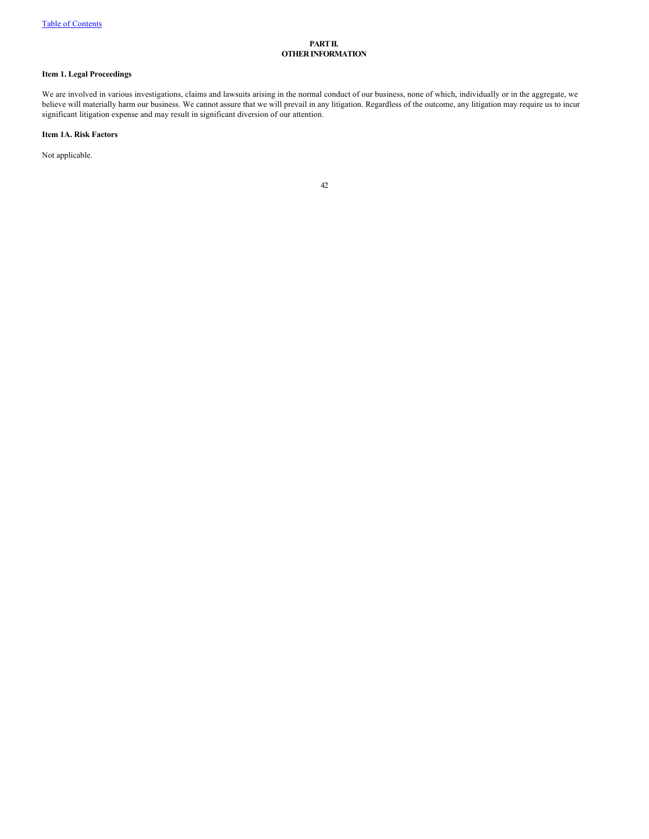# <span id="page-41-0"></span>**PART II. OTHER INFORMATION**

# <span id="page-41-1"></span>**Item 1. Legal Proceedings**

We are involved in various investigations, claims and lawsuits arising in the normal conduct of our business, none of which, individually or in the aggregate, we believe will materially harm our business. We cannot assure that we will prevail in any litigation. Regardless of the outcome, any litigation may require us to incur significant litigation expense and may result in significant diversion of our attention.

# <span id="page-41-2"></span>**Item 1A. Risk Factors**

Not applicable.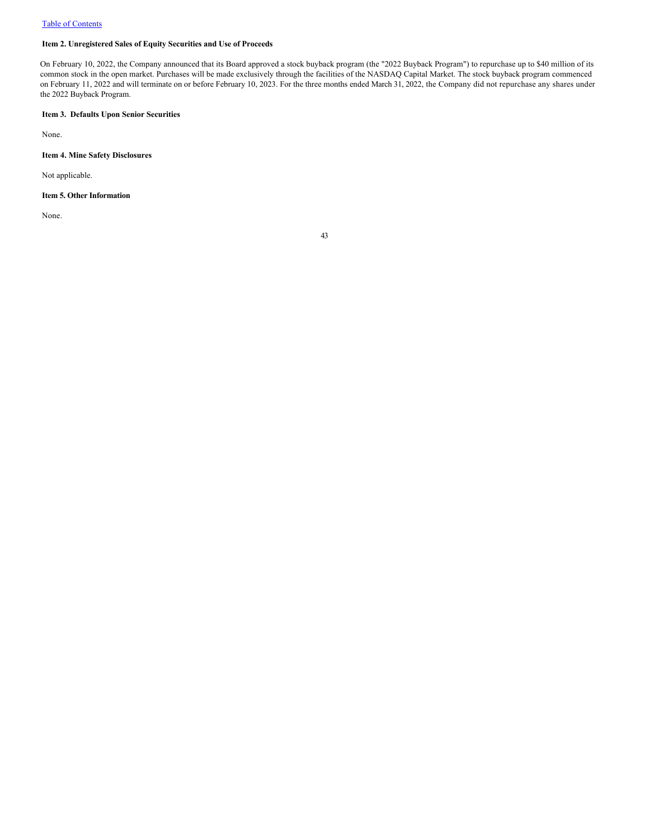# <span id="page-42-0"></span>**Item 2. Unregistered Sales of Equity Securities and Use of Proceeds**

On February 10, 2022, the Company announced that its Board approved a stock buyback program (the "2022 Buyback Program") to repurchase up to \$40 million of its common stock in the open market. Purchases will be made exclusively through the facilities of the NASDAQ Capital Market. The stock buyback program commenced on February 11, 2022 and will terminate on or before February 10, 2023. For the three months ended March 31, 2022, the Company did not repurchase any shares under the 2022 Buyback Program.

# <span id="page-42-1"></span>**Item 3. Defaults Upon Senior Securities**

None.

# <span id="page-42-2"></span>**Item 4. Mine Safety Disclosures**

Not applicable.

# <span id="page-42-3"></span>**Item 5. Other Information**

None.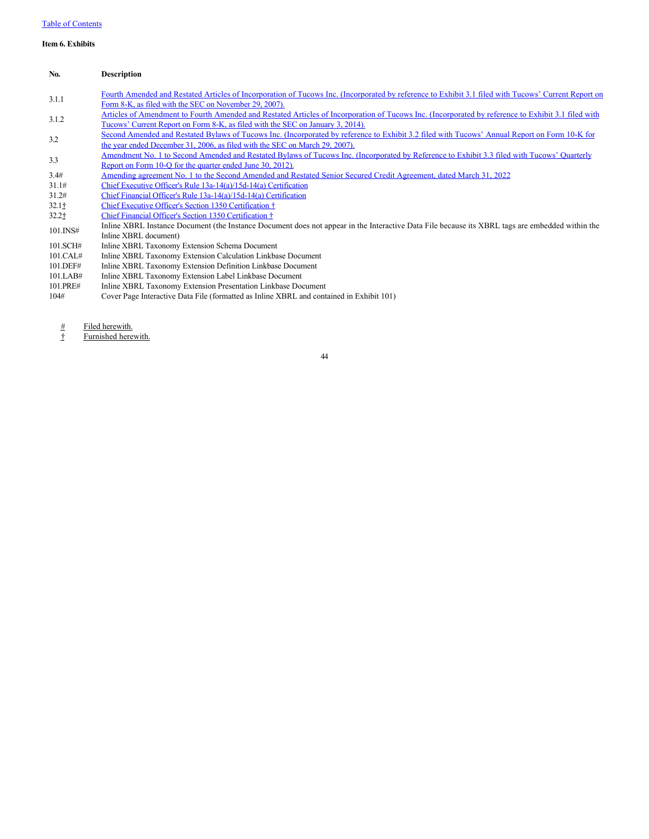### <span id="page-43-0"></span>**Item 6. Exhibits**

# **No. Description**

- 3.1.1 [Fourth Amended and Restated Articles of Incorporation of Tucows Inc. \(Incorporated by reference to Exhibit 3.1 filed with Tucows' Current Report on](http://www.sec.gov/Archives/edgar/data/909494/000110465907085816/a07-30257_1ex3d1.htm) Form 8-K, as filed with the SEC on November 29, 2007).
- 3.1.2 [Articles of Amendment to Fourth Amended and Restated Articles of Incorporation of Tucows Inc. \(Incorporated by reference to Exhibit 3.1 filed with](http://www.sec.gov/Archives/edgar/data/909494/000143774914000138/ex3-1.htm) Tucows' Current Report on Form 8-K, as filed with the SEC on January 3, 2014).
- 3.2 [Second Amended and Restated Bylaws of Tucows Inc. \(Incorporated by reference to Exhibit 3.2 filed with Tucows' Annual Report on Form 10-K for](http://www.sec.gov/Archives/edgar/data/909494/000110465907023306/a07-5843_1ex3d2.htm) the year ended December 31, 2006, as filed with the SEC on March 29, 2007).
- 3.3 [Amendment No. 1 to Second Amended and Restated Bylaws of Tucows Inc. \(Incorporated by Reference to Exhibit 3.3 filed with Tucows' Quarterly](http://www.sec.gov/Archives/edgar/data/909494/000143774912008440/ex3-3.htm) Report on Form 10-Q for the quarter ended June 30, 2012).
- 3.4# [Amending agreement No. 1 to the Second Amended and Restated Senior Secured Credit Agreement, dated March 31, 2022](ex_362549.htm)<br>31.1# Chief Executive Officer's Rule 13a-14(a)/15d-14(a) Certification
- [Chief Executive Officer's Rule 13a-14\(a\)/15d-14\(a\) Certification](ex_334554.htm)
- 31.2# [Chief Financial Officer's Rule 13a-14\(a\)/15d-14\(a\) Certification](ex_334555.htm)
- 32.1<sup>†</sup> [Chief Executive Officer's Section 1350 Certification †](ex_334556.htm)
- 32.2† [Chief Financial Officer's Section 1350 Certification †](ex_334557.htm)
- 101.INS# Inline XBRL Instance Document (the Instance Document does not appear in the Interactive Data File because its XBRL tags are embedded within the Inline XBRL document)
- 101.SCH# Inline XBRL Taxonomy Extension Schema Document<br>101.CAL# Inline XBRL Taxonomy Extension Calculation Linkha
- Inline XBRL Taxonomy Extension Calculation Linkbase Document
- 101.DEF# Inline XBRL Taxonomy Extension Definition Linkbase Document
- 101.LAB# Inline XBRL Taxonomy Extension Label Linkbase Document
- 101.PRE# Inline XBRL Taxonomy Extension Presentation Linkbase Document<br>104# Cover Page Interactive Data File (formatted as Inline XBRL and cont
- Cover Page Interactive Data File (formatted as Inline XBRL and contained in Exhibit 101)
	- $#$  Filed herewith.
	- † Furnished herewith.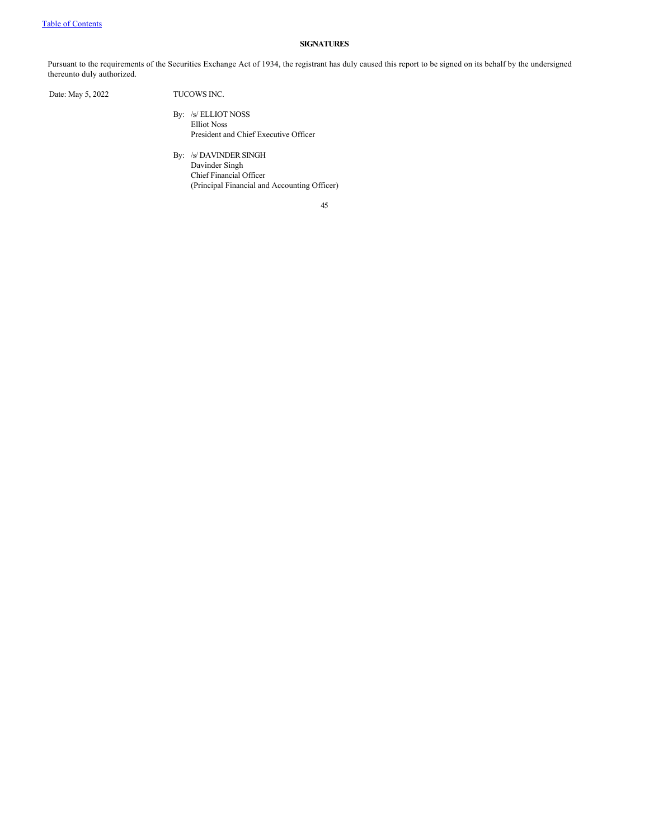# <span id="page-44-0"></span>**SIGNATURES**

Pursuant to the requirements of the Securities Exchange Act of 1934, the registrant has duly caused this report to be signed on its behalf by the undersigned thereunto duly authorized.

Date: May 5, 2022 TUCOWS INC.

- - By: /s/ ELLIOT NOSS Elliot Noss President and Chief Executive Officer
	- By: /s/ DAVINDER SINGH Davinder Singh Chief Financial Officer (Principal Financial and Accounting Officer)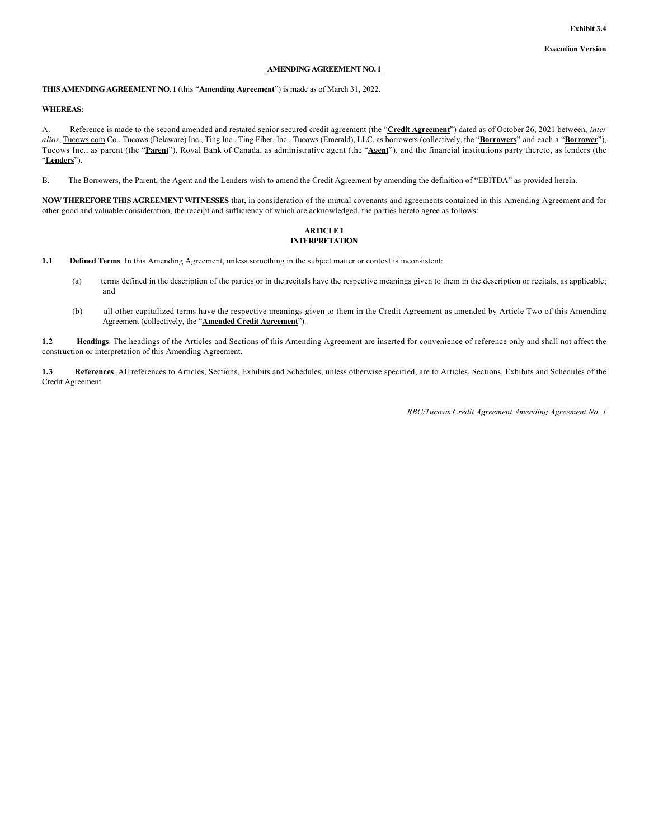# **AMENDING AGREEMENT NO. 1**

# **THIS AMENDING AGREEMENT NO. 1** (this "**Amending Agreement**") is made as of March 31, 2022.

### **WHEREAS:**

A. Reference is made to the second amended and restated senior secured credit agreement (the "**Credit Agreement**") dated as of October 26, 2021 between, *inter alios*, Tucows.com Co., Tucows (Delaware) Inc., Ting Inc., Ting Fiber, Inc., Tucows (Emerald), LLC, as borrowers (collectively, the "**Borrowers**" and each a "**Borrower**"), Tucows Inc., as parent (the "**Parent**"), Royal Bank of Canada, as administrative agent (the "**Agent**"), and the financial institutions party thereto, as lenders (the "**Lenders**").

B. The Borrowers, the Parent, the Agent and the Lenders wish to amend the Credit Agreement by amending the definition of "EBITDA" as provided herein.

**NOW THEREFORE THIS AGREEMENT WITNESSES** that, in consideration of the mutual covenants and agreements contained in this Amending Agreement and for other good and valuable consideration, the receipt and sufficiency of which are acknowledged, the parties hereto agree as follows:

### **ARTICLE 1 INTERPRETATION**

- **1.1 Defined Terms**. In this Amending Agreement, unless something in the subject matter or context is inconsistent:
	- (a) terms defined in the description of the parties or in the recitals have the respective meanings given to them in the description or recitals, as applicable; and
	- (b) all other capitalized terms have the respective meanings given to them in the Credit Agreement as amended by Article Two of this Amending Agreement (collectively, the "**Amended Credit Agreement**").

**1.2 Headings**. The headings of the Articles and Sections of this Amending Agreement are inserted for convenience of reference only and shall not affect the construction or interpretation of this Amending Agreement.

**1.3 References**. All references to Articles, Sections, Exhibits and Schedules, unless otherwise specified, are to Articles, Sections, Exhibits and Schedules of the Credit Agreement.

*RBC/Tucows Credit Agreement Amending Agreement No. 1*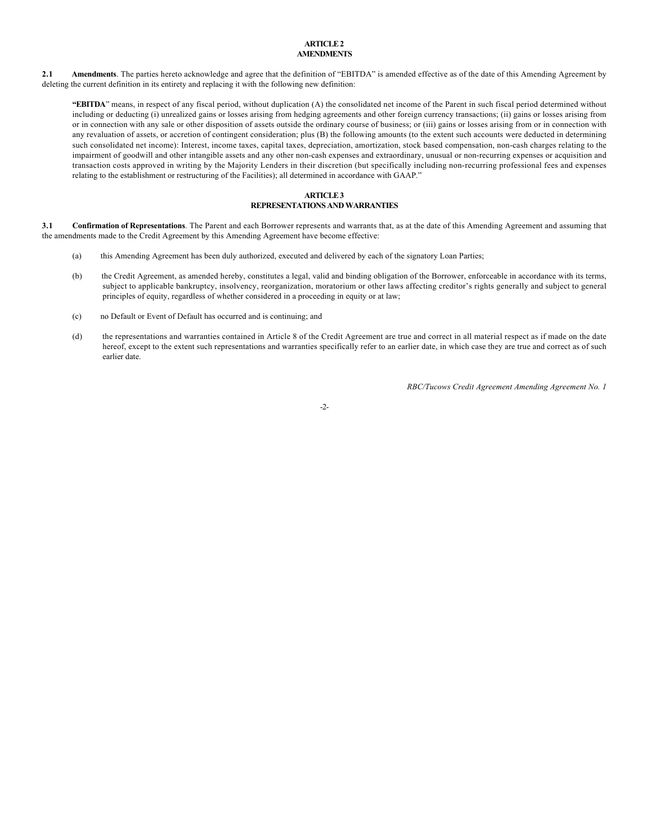# **ARTICLE 2 AMENDMENTS**

2.1 **Amendments**. The parties hereto acknowledge and agree that the definition of "EBITDA" is amended effective as of the date of this Amending Agreement by deleting the current definition in its entirety and replacing it with the following new definition:

**"EBITDA**" means, in respect of any fiscal period, without duplication (A) the consolidated net income of the Parent in such fiscal period determined without including or deducting (i) unrealized gains or losses arising from hedging agreements and other foreign currency transactions; (ii) gains or losses arising from or in connection with any sale or other disposition of assets outside the ordinary course of business; or (iii) gains or losses arising from or in connection with any revaluation of assets, or accretion of contingent consideration; plus (B) the following amounts (to the extent such accounts were deducted in determining such consolidated net income): Interest, income taxes, capital taxes, depreciation, amortization, stock based compensation, non-cash charges relating to the impairment of goodwill and other intangible assets and any other non-cash expenses and extraordinary, unusual or non-recurring expenses or acquisition and transaction costs approved in writing by the Majority Lenders in their discretion (but specifically including non-recurring professional fees and expenses relating to the establishment or restructuring of the Facilities); all determined in accordance with GAAP."

#### **ARTICLE 3 REPRESENTATIONS AND WARRANTIES**

**3.1 Confirmation of Representations**. The Parent and each Borrower represents and warrants that, as at the date of this Amending Agreement and assuming that the amendments made to the Credit Agreement by this Amending Agreement have become effective:

- (a) this Amending Agreement has been duly authorized, executed and delivered by each of the signatory Loan Parties;
- (b) the Credit Agreement, as amended hereby, constitutes a legal, valid and binding obligation of the Borrower, enforceable in accordance with its terms, subject to applicable bankruptcy, insolvency, reorganization, moratorium or other laws affecting creditor's rights generally and subject to general principles of equity, regardless of whether considered in a proceeding in equity or at law;
- (c) no Default or Event of Default has occurred and is continuing; and
- (d) the representations and warranties contained in Article 8 of the Credit Agreement are true and correct in all material respect as if made on the date hereof, except to the extent such representations and warranties specifically refer to an earlier date, in which case they are true and correct as of such earlier date.

*RBC/Tucows Credit Agreement Amending Agreement No. 1*

-2-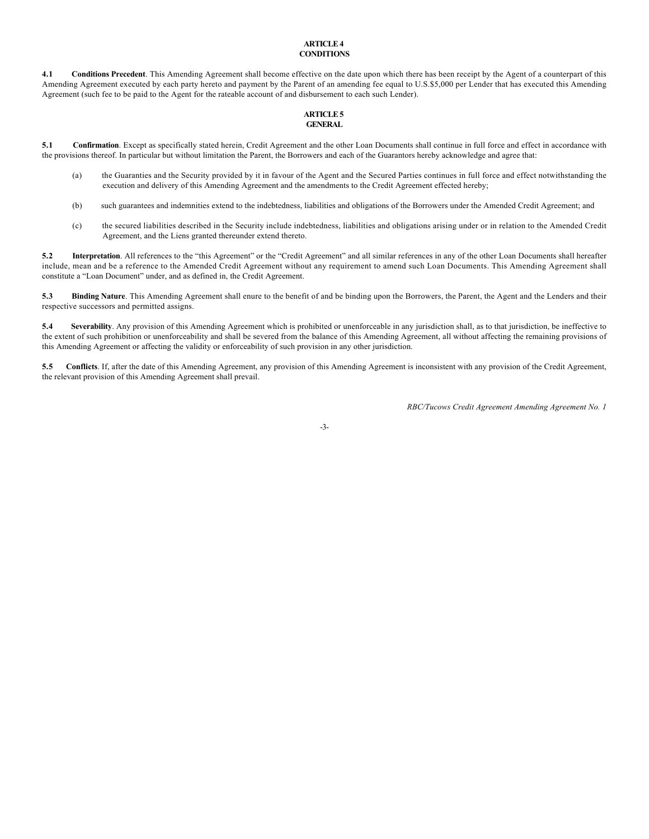# **ARTICLE 4 CONDITIONS**

4.1 **Conditions Precedent**. This Amending Agreement shall become effective on the date upon which there has been receipt by the Agent of a counterpart of this Amending Agreement executed by each party hereto and payment by the Parent of an amending fee equal to U.S.\$5,000 per Lender that has executed this Amending Agreement (such fee to be paid to the Agent for the rateable account of and disbursement to each such Lender).

#### **ARTICLE 5 GENERAL**

**5.1 Confirmation**. Except as specifically stated herein, Credit Agreement and the other Loan Documents shall continue in full force and effect in accordance with the provisions thereof. In particular but without limitation the Parent, the Borrowers and each of the Guarantors hereby acknowledge and agree that:

- (a) the Guaranties and the Security provided by it in favour of the Agent and the Secured Parties continues in full force and effect notwithstanding the execution and delivery of this Amending Agreement and the amendments to the Credit Agreement effected hereby;
- (b) such guarantees and indemnities extend to the indebtedness, liabilities and obligations of the Borrowers under the Amended Credit Agreement; and
- (c) the secured liabilities described in the Security include indebtedness, liabilities and obligations arising under or in relation to the Amended Credit Agreement, and the Liens granted thereunder extend thereto.

5.2 **Interpretation**. All references to the "this Agreement" or the "Credit Agreement" and all similar references in any of the other Loan Documents shall hereafter include, mean and be a reference to the Amended Credit Agreement without any requirement to amend such Loan Documents. This Amending Agreement shall constitute a "Loan Document" under, and as defined in, the Credit Agreement.

**5.3 Binding Nature**. This Amending Agreement shall enure to the benefit of and be binding upon the Borrowers, the Parent, the Agent and the Lenders and their respective successors and permitted assigns.

**5.4 Severability**. Any provision of this Amending Agreement which is prohibited or unenforceable in any jurisdiction shall, as to that jurisdiction, be ineffective to the extent of such prohibition or unenforceability and shall be severed from the balance of this Amending Agreement, all without affecting the remaining provisions of this Amending Agreement or affecting the validity or enforceability of such provision in any other jurisdiction.

**5.5 Conflicts**. If, after the date of this Amending Agreement, any provision of this Amending Agreement is inconsistent with any provision of the Credit Agreement, the relevant provision of this Amending Agreement shall prevail.

*RBC/Tucows Credit Agreement Amending Agreement No. 1*

-3-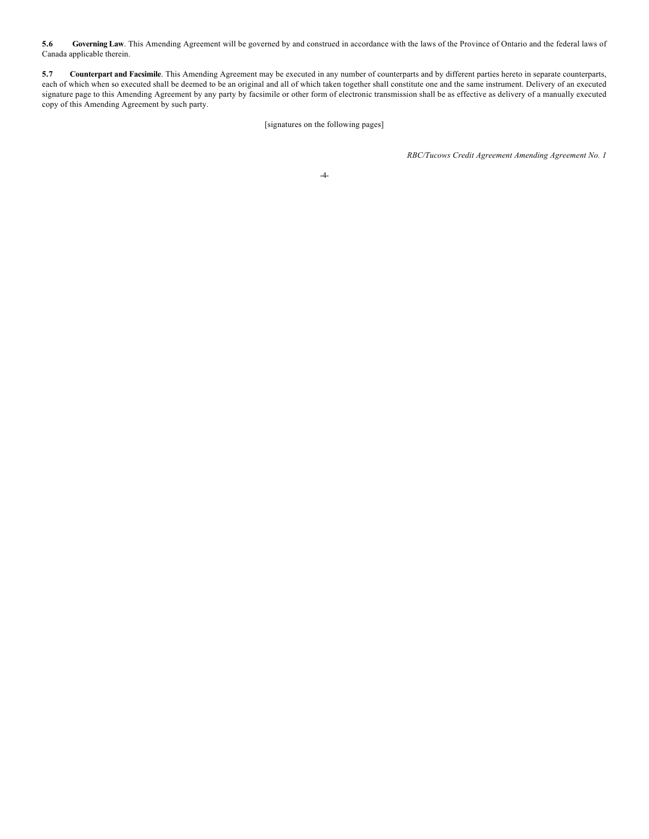**5.6 Governing Law**. This Amending Agreement will be governed by and construed in accordance with the laws of the Province of Ontario and the federal laws of Canada applicable therein.

**5.7 Counterpart and Facsimile**. This Amending Agreement may be executed in any number of counterparts and by different parties hereto in separate counterparts, each of which when so executed shall be deemed to be an original and all of which taken together shall constitute one and the same instrument. Delivery of an executed signature page to this Amending Agreement by any party by facsimile or other form of electronic transmission shall be as effective as delivery of a manually executed copy of this Amending Agreement by such party.

[signatures on the following pages]

*RBC/Tucows Credit Agreement Amending Agreement No. 1*

-4-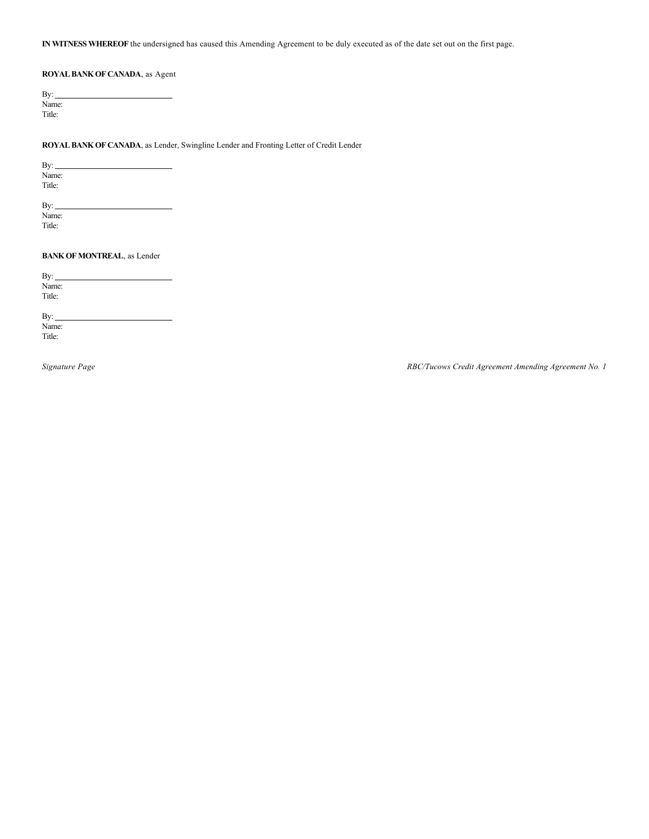**IN WITNESS WHEREOF** the undersigned has caused this Amending Agreement to be duly executed as of the date set out on the first page.

# **ROYAL BANK OF CANADA**, as Agent

By: Name: Title:

**ROYAL BANK OF CANADA**, as Lender, Swingline Lender and Fronting Letter of Credit Lender

By: Name: Title:

By: Name: Title:

**BANK OF MONTREAL**, as Lender

By: $\_\_$ Name: Title:

By:  $\overline{\phantom{a}}$ Name: Title:

*Signature Page RBC/Tucows Credit Agreement Amending Agreement No. 1*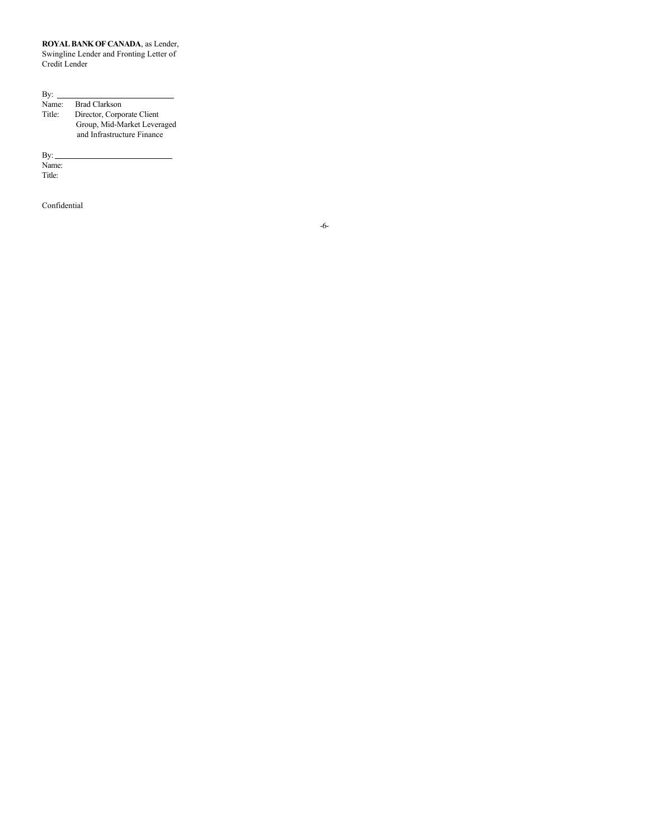# **ROYAL BANK OF CANADA**, as Lender,

Swingline Lender and Fronting Letter of Credit Lender

# By:  $\overline{\phantom{a}}$

Name: Brad Clarkson<br>Title: Director, Corpo Title: Director, Corporate Client Group, Mid-Market Leveraged and Infrastructure Finance

By:

Name: Title:

Confidential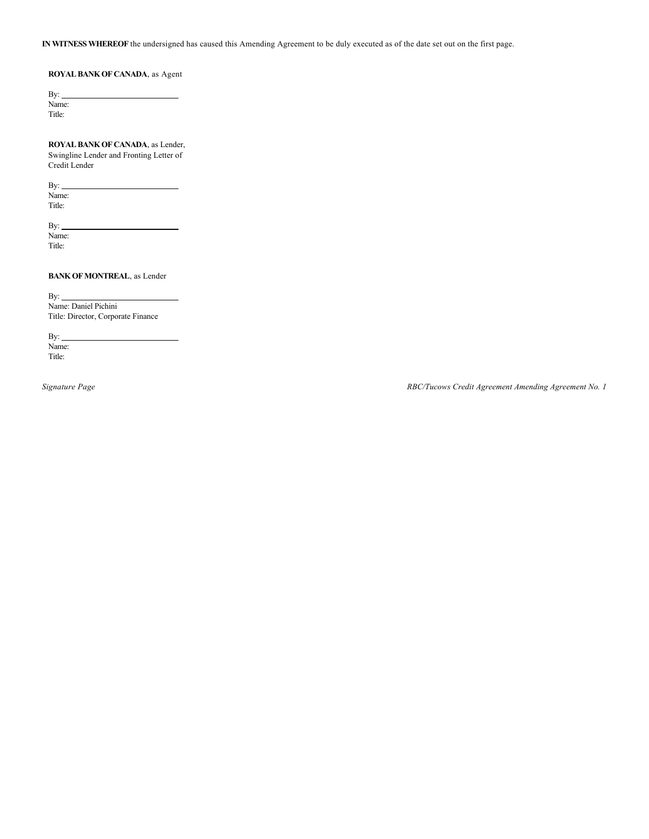**IN WITNESS WHEREOF** the undersigned has caused this Amending Agreement to be duly executed as of the date set out on the first page.

# **ROYAL BANK OF CANADA**, as Agent

By: Name: Title:

**ROYAL BANK OF CANADA**, as Lender, Swingline Lender and Fronting Letter of Credit Lender

 $By:$ Name: Title:

 $By:$ 

Name: Title:

**BANK OF MONTREAL**, as Lender

By: Name: Daniel Pichini Title: Director, Corporate Finance

By: $\_$ Name: Title:

*Signature Page RBC/Tucows Credit Agreement Amending Agreement No. 1*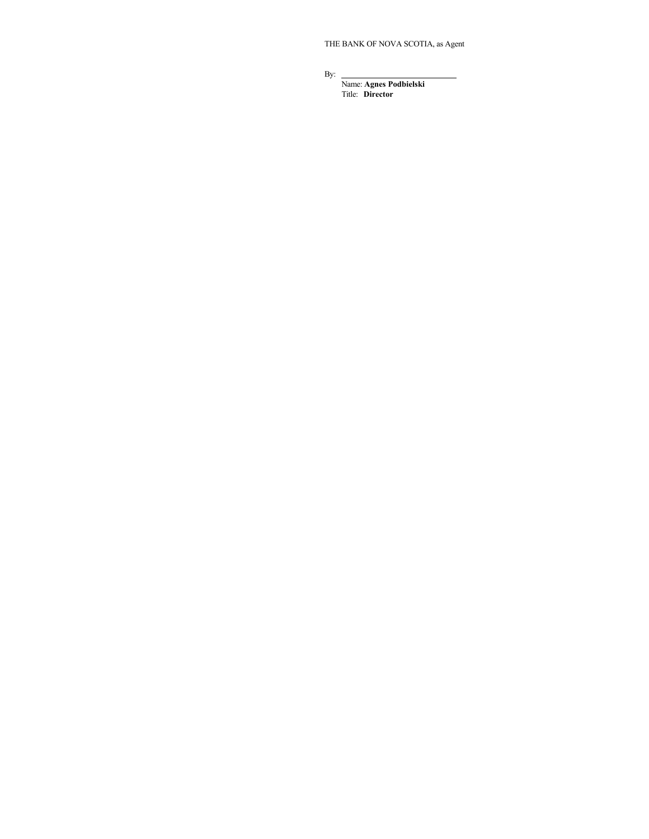THE BANK OF NOVA SCOTIA, as Agent

By:

Name: **Agnes Podbielski** Title: **Director**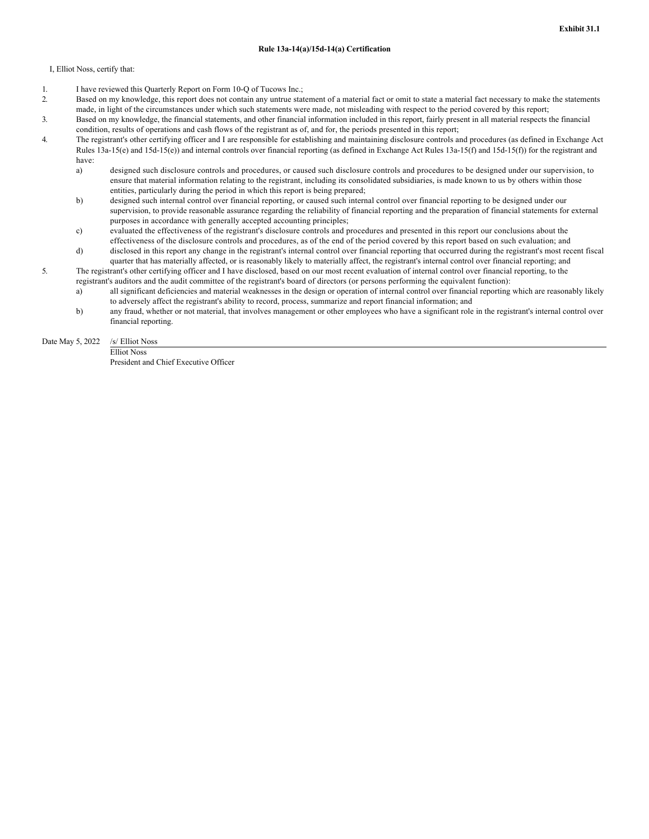# **Rule 13a-14(a)/15d-14(a) Certification**

I, Elliot Noss, certify that:

- 1. I have reviewed this Quarterly Report on Form 10-Q of Tucows Inc.;
- 2. Based on my knowledge, this report does not contain any untrue statement of a material fact or omit to state a material fact necessary to make the statements made, in light of the circumstances under which such statements were made, not misleading with respect to the period covered by this report;
- 3. Based on my knowledge, the financial statements, and other financial information included in this report, fairly present in all material respects the financial condition, results of operations and cash flows of the registrant as of, and for, the periods presented in this report;
- 4. The registrant's other certifying officer and I are responsible for establishing and maintaining disclosure controls and procedures (as defined in Exchange Act Rules 13a-15(e) and 15d-15(e)) and internal controls over financial reporting (as defined in Exchange Act Rules 13a-15(f) and 15d-15(f)) for the registrant and have:
	- a) designed such disclosure controls and procedures, or caused such disclosure controls and procedures to be designed under our supervision, to ensure that material information relating to the registrant, including its consolidated subsidiaries, is made known to us by others within those entities, particularly during the period in which this report is being prepared;
	- b) designed such internal control over financial reporting, or caused such internal control over financial reporting to be designed under our supervision, to provide reasonable assurance regarding the reliability of financial reporting and the preparation of financial statements for external purposes in accordance with generally accepted accounting principles;
	- c) evaluated the effectiveness of the registrant's disclosure controls and procedures and presented in this report our conclusions about the effectiveness of the disclosure controls and procedures, as of the end of the period covered by this report based on such evaluation; and
	- d) disclosed in this report any change in the registrant's internal control over financial reporting that occurred during the registrant's most recent fiscal quarter that has materially affected, or is reasonably likely to materially affect, the registrant's internal control over financial reporting; and
- 5. The registrant's other certifying officer and I have disclosed, based on our most recent evaluation of internal control over financial reporting, to the registrant's auditors and the audit committee of the registrant's board of directors (or persons performing the equivalent function):
	- a) all significant deficiencies and material weaknesses in the design or operation of internal control over financial reporting which are reasonably likely to adversely affect the registrant's ability to record, process, summarize and report financial information; and
	- b) any fraud, whether or not material, that involves management or other employees who have a significant role in the registrant's internal control over financial reporting.

# Date May 5, 2022 /s/ Elliot Noss

Elliot Noss President and Chief Executive Officer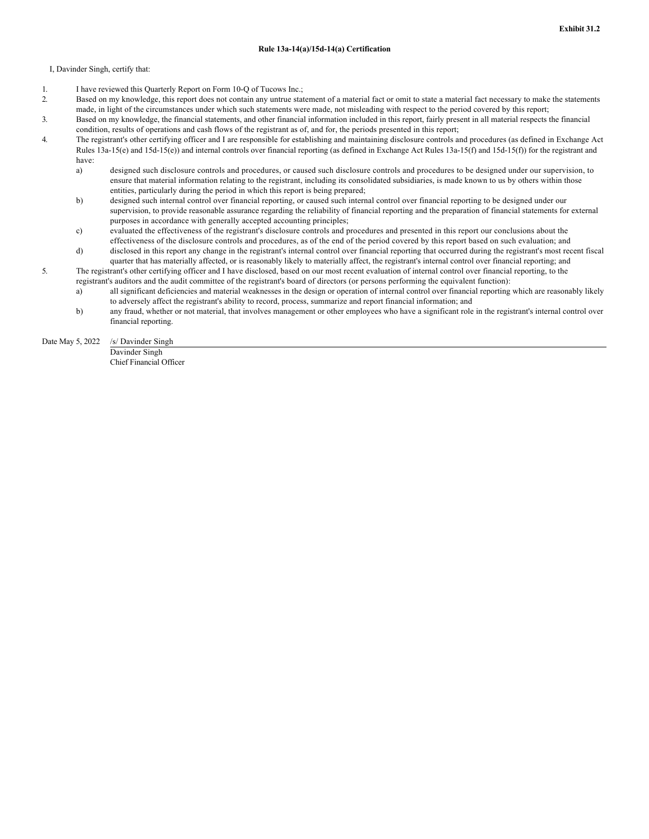# **Rule 13a-14(a)/15d-14(a) Certification**

# I, Davinder Singh, certify that:

- 1. I have reviewed this Quarterly Report on Form 10-Q of Tucows Inc.;
- 2. Based on my knowledge, this report does not contain any untrue statement of a material fact or omit to state a material fact necessary to make the statements made, in light of the circumstances under which such statements were made, not misleading with respect to the period covered by this report;
- 3. Based on my knowledge, the financial statements, and other financial information included in this report, fairly present in all material respects the financial condition, results of operations and cash flows of the registrant as of, and for, the periods presented in this report;
- 4. The registrant's other certifying officer and I are responsible for establishing and maintaining disclosure controls and procedures (as defined in Exchange Act Rules 13a-15(e) and 15d-15(e)) and internal controls over financial reporting (as defined in Exchange Act Rules 13a-15(f) and 15d-15(f)) for the registrant and have:
	- a) designed such disclosure controls and procedures, or caused such disclosure controls and procedures to be designed under our supervision, to ensure that material information relating to the registrant, including its consolidated subsidiaries, is made known to us by others within those entities, particularly during the period in which this report is being prepared;
	- b) designed such internal control over financial reporting, or caused such internal control over financial reporting to be designed under our supervision, to provide reasonable assurance regarding the reliability of financial reporting and the preparation of financial statements for external purposes in accordance with generally accepted accounting principles;
	- c) evaluated the effectiveness of the registrant's disclosure controls and procedures and presented in this report our conclusions about the effectiveness of the disclosure controls and procedures, as of the end of the period covered by this report based on such evaluation; and
	- d) disclosed in this report any change in the registrant's internal control over financial reporting that occurred during the registrant's most recent fiscal quarter that has materially affected, or is reasonably likely to materially affect, the registrant's internal control over financial reporting; and
- 5. The registrant's other certifying officer and I have disclosed, based on our most recent evaluation of internal control over financial reporting, to the registrant's auditors and the audit committee of the registrant's board of directors (or persons performing the equivalent function):
	- a) all significant deficiencies and material weaknesses in the design or operation of internal control over financial reporting which are reasonably likely to adversely affect the registrant's ability to record, process, summarize and report financial information; and
	- b) any fraud, whether or not material, that involves management or other employees who have a significant role in the registrant's internal control over financial reporting.

# Date May 5, 2022 /s/ Davinder Singh

Davinder Singh Chief Financial Officer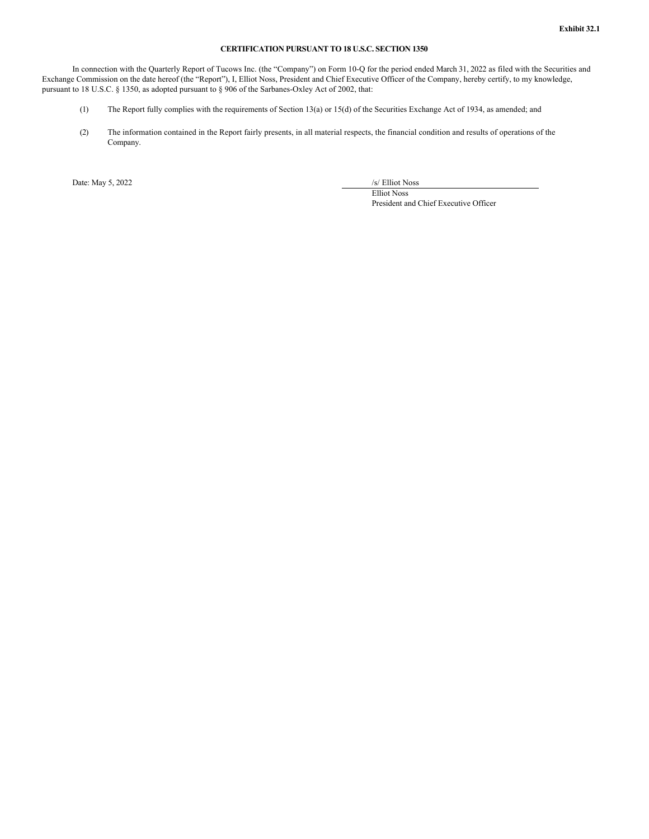# **CERTIFICATION PURSUANT TO 18 U.S.C. SECTION 1350**

In connection with the Quarterly Report of Tucows Inc. (the "Company") on Form 10-Q for the period ended March 31, 2022 as filed with the Securities and Exchange Commission on the date hereof (the "Report"), I, Elliot Noss, President and Chief Executive Officer of the Company, hereby certify, to my knowledge, pursuant to 18 U.S.C. § 1350, as adopted pursuant to § 906 of the Sarbanes-Oxley Act of 2002, that:

- (1) The Report fully complies with the requirements of Section 13(a) or 15(d) of the Securities Exchange Act of 1934, as amended; and
- (2) The information contained in the Report fairly presents, in all material respects, the financial condition and results of operations of the Company.

Date: May 5, 2022 /s/ Elliot Noss

Elliot Noss President and Chief Executive Officer